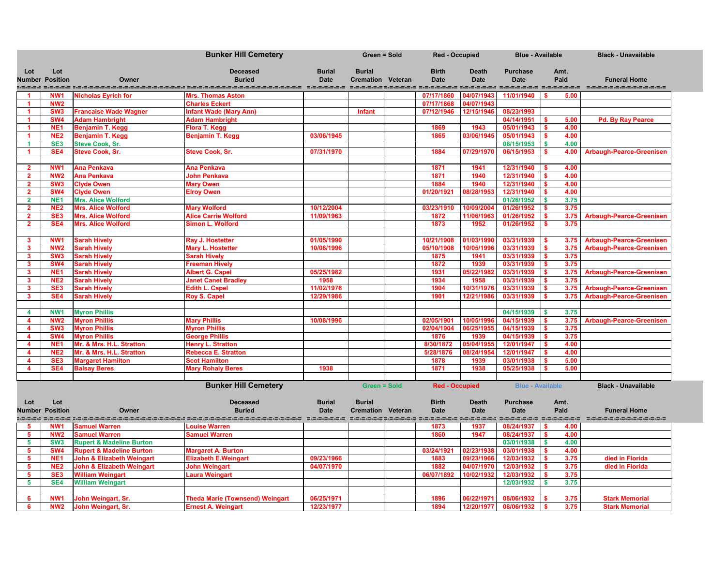|                         |                                    |                                                   | <b>Bunker Hill Cemetery</b>                                                                                    |                              | <b>Green = Sold</b>                       | <b>Red - Occupied</b>       |                             | <b>Blue - Available</b>        |                                  | <b>Black - Unavailable</b>      |
|-------------------------|------------------------------------|---------------------------------------------------|----------------------------------------------------------------------------------------------------------------|------------------------------|-------------------------------------------|-----------------------------|-----------------------------|--------------------------------|----------------------------------|---------------------------------|
| Lot                     | Lot<br><b>Number Position</b>      | Owner                                             | <b>Deceased</b><br><b>Buried</b>                                                                               | <b>Burial</b><br><b>Date</b> | <b>Burial</b><br><b>Cremation Veteran</b> | <b>Birth</b><br><b>Date</b> | <b>Death</b><br><b>Date</b> | <b>Purchase</b><br><b>Date</b> | Amt.<br>Paid                     | <b>Funeral Home</b>             |
|                         |                                    | alamat propinsi alamatan                          |                                                                                                                |                              |                                           |                             | ------------                | ------------                   | -------                          | _______________________         |
|                         | NW <sub>1</sub>                    | <b>Nicholas Eyrich for</b>                        | <b>Mrs. Thomas Aston</b>                                                                                       |                              |                                           | 07/17/1860                  | 04/07/1943                  | 11/01/1940                     | 5.00                             |                                 |
| - 1                     | <b>NW2</b>                         |                                                   | <b>Charles Eckert</b>                                                                                          |                              |                                           | 07/17/1868                  | 04/07/1943                  |                                |                                  |                                 |
|                         | SW <sub>3</sub>                    | <b>Francaise Wade Wagner</b>                      | <b>Infant Wade (Mary Ann)</b>                                                                                  |                              | <b>Infant</b>                             | 07/12/1946                  | 12/15/1946                  | 08/23/1993                     |                                  |                                 |
|                         | SW <sub>4</sub>                    | <b>Adam Hambright</b>                             | <b>Adam Hambright</b>                                                                                          |                              |                                           |                             |                             | 04/14/1951<br>05/01/1943       | 5.00                             | <b>Pd. By Ray Pearce</b>        |
|                         | NE <sub>1</sub><br>NE <sub>2</sub> | <b>Benjamin T. Kegg</b>                           | Flora T. Kegg                                                                                                  | 03/06/1945                   |                                           | 1869<br>1865                | 1943<br>03/06/1945          | 05/01/1943                     | 4.00<br>-\$<br>4.00              |                                 |
|                         | SE <sub>3</sub>                    | <b>Benjamin T. Kegg</b><br><b>Steve Cook, Sr.</b> | <b>Benjamin T. Kegg</b>                                                                                        |                              |                                           |                             |                             | 06/15/1953                     | -\$<br>$\vert$ \$<br>4.00        |                                 |
|                         | SE <sub>4</sub>                    | <b>Steve Cook, Sr.</b>                            | <b>Steve Cook, Sr.</b>                                                                                         | 07/31/1970                   |                                           | 1884                        | 07/29/1970                  | 06/15/1953                     | 4.00                             | <b>Arbaugh-Pearce-Greenisen</b> |
|                         |                                    |                                                   |                                                                                                                |                              |                                           |                             |                             |                                |                                  |                                 |
| -2                      | NW <sub>1</sub>                    | Ana Penkava                                       | <b>Ana Penkava</b>                                                                                             |                              |                                           | 1871                        | 1941                        | 12/31/1940                     | 4.00                             |                                 |
| $\overline{\mathbf{2}}$ | NW <sub>2</sub>                    | Ana Penkava                                       | <b>John Penkava</b>                                                                                            |                              |                                           | 1871                        | 1940                        | 12/31/1940                     | 4.00                             |                                 |
| $\overline{\mathbf{2}}$ | SW <sub>3</sub>                    | <b>Clyde Owen</b>                                 | <b>Mary Owen</b>                                                                                               |                              |                                           | 1884                        | 1940                        | 12/31/1940                     | 4.00                             |                                 |
| $\mathbf{2}$            | SW <sub>4</sub>                    | <b>Clyde Owen</b>                                 | <b>Elroy Owen</b>                                                                                              |                              |                                           | 01/20/1921                  | 08/28/1953                  | 12/31/1940                     | 4.00<br>- \$                     |                                 |
| $\overline{2}$          | NE <sub>1</sub>                    | <b>Mrs. Alice Wolford</b>                         |                                                                                                                |                              |                                           |                             |                             | 01/26/1952                     | 3.75<br>$\overline{\phantom{a}}$ |                                 |
| $\overline{2}$          | NE <sub>2</sub>                    | <b>Mrs. Alice Wolford</b>                         | <b>Mary Wolford</b>                                                                                            | 10/12/2004                   |                                           | 03/23/1910                  | 10/09/2004                  | 01/26/1952                     | 3.75                             |                                 |
| $\mathbf{2}$            | SE <sub>3</sub>                    | <b>Mrs. Alice Wolford</b>                         | <b>Alice Carrie Wolford</b>                                                                                    | 11/09/1963                   |                                           | 1872                        | 11/06/1963                  | 01/26/1952                     | 3.75                             | <b>Arbaugh-Pearce-Greenisen</b> |
| $\mathbf{2}$            | SE <sub>4</sub>                    | <b>Mrs. Alice Wolford</b>                         | <b>Simon L. Wolford</b>                                                                                        |                              |                                           | 1873                        | 1952                        | 01/26/1952                     | 3.75                             |                                 |
|                         |                                    |                                                   |                                                                                                                |                              |                                           |                             |                             |                                |                                  |                                 |
| $\mathbf{3}$            | NW <sub>1</sub>                    | <b>Sarah Hively</b>                               | Ray J. Hostetter                                                                                               | 01/05/1990                   |                                           | 10/21/1908                  | 01/03/1990                  | 03/31/1939                     | 3.75                             | <b>Arbaugh-Pearce-Greenisen</b> |
| $\mathbf{3}$            | NW <sub>2</sub>                    | <b>Sarah Hively</b>                               | <b>Mary L. Hostetter</b>                                                                                       | 10/08/1996                   |                                           | 05/10/1908                  | 10/05/1996                  | 03/31/1939                     | 3.75                             | <b>Arbaugh-Pearce-Greenisen</b> |
| 3                       | SW <sub>3</sub>                    | <b>Sarah Hively</b>                               | <b>Sarah Hively</b>                                                                                            |                              |                                           | 1875                        | 1941                        | 03/31/1939                     | 3.75                             |                                 |
| -3                      | <b>SW4</b>                         | <b>Sarah Hively</b>                               | <b>Freeman Hively</b>                                                                                          |                              |                                           | 1872                        | 1939                        | 03/31/1939                     | 3.75                             |                                 |
| -3                      | NE <sub>1</sub>                    | <b>Sarah Hively</b>                               | <b>Albert G. Capel</b>                                                                                         | 05/25/1982                   |                                           | 1931                        | 05/22/1982                  | 03/31/1939                     | 3.75                             | <b>Arbaugh-Pearce-Greenisen</b> |
| $\mathbf{3}$            | NE <sub>2</sub>                    | <b>Sarah Hively</b>                               | <b>Janet Canet Bradley</b>                                                                                     | 1958                         |                                           | 1934                        | 1958                        | 03/31/1939                     | 3.75                             |                                 |
| $\mathbf{3}$            | SE <sub>3</sub>                    | <b>Sarah Hively</b>                               | <b>Edith L. Capel</b>                                                                                          | 11/02/1976                   |                                           | 1904                        | 10/31/1976                  | 03/31/1939                     | 3.75<br>-\$                      | <b>Arbaugh-Pearce-Greenisen</b> |
| $\mathbf{3}$            | SE4                                | <b>Sarah Hively</b>                               | <b>Roy S. Capel</b>                                                                                            | 12/29/1986                   |                                           | 1901                        | 12/21/1986                  | 03/31/1939                     | 3.75                             | <b>Arbaugh-Pearce-Greenisen</b> |
|                         |                                    |                                                   |                                                                                                                |                              |                                           |                             |                             |                                |                                  |                                 |
| $\boldsymbol{4}$        | NW <sub>1</sub>                    | <b>Myron Phillis</b>                              |                                                                                                                |                              |                                           |                             |                             | 04/15/1939                     | l \$<br>3.75                     |                                 |
| $\boldsymbol{A}$        | NW <sub>2</sub>                    | <b>Myron Phillis</b>                              | <b>Mary Phillis</b>                                                                                            | 10/08/1996                   |                                           | 02/05/1901                  | 10/05/1996                  | 04/15/1939                     | 3.75<br>- \$                     | <b>Arbaugh-Pearce-Greenisen</b> |
|                         | SW <sub>3</sub>                    | <b>Myron Phillis</b>                              | <b>Myron Phillis</b>                                                                                           |                              |                                           | 02/04/1904                  | 06/25/1955                  | 04/15/1939                     | $\mathbf{s}$<br>3.75             |                                 |
|                         | SW4                                | <b>Myron Phillis</b>                              | <b>George Phillis</b>                                                                                          |                              |                                           | 1876                        | 1939                        | $04/15/1939$ \$                | 3.75                             |                                 |
| $\boldsymbol{4}$        | NE <sub>1</sub>                    | Mr. & Mrs. H.L. Stratton                          | <b>Henry L. Stratton</b>                                                                                       |                              |                                           | 8/30/1872                   | 05/04/1955                  | 12/01/1947                     | $\mathsf{S}$<br>4.00             |                                 |
| $\boldsymbol{4}$        | NE <sub>2</sub>                    | Mr. & Mrs. H.L. Stratton                          | <b>Rebecca E. Stratton</b>                                                                                     |                              |                                           | 5/28/1876                   | 08/24/1954                  | 12/01/1947                     | 4.00                             |                                 |
| $\boldsymbol{A}$        | SE <sub>3</sub>                    | <b>Margaret Hamilton</b>                          | <b>Scot Hamilton</b>                                                                                           |                              |                                           | 1878                        | 1939                        | 03/01/1938                     | 5.00<br>$\overline{\phantom{a}}$ |                                 |
| $\boldsymbol{4}$        | SE <sub>4</sub>                    | <b>Balsay Beres</b>                               | <b>Mary Rohaly Beres</b>                                                                                       | 1938                         |                                           | 1871                        | 1938                        | 05/25/1938                     | 5.00                             |                                 |
|                         |                                    |                                                   | <b>Bunker Hill Cemetery</b>                                                                                    |                              | <b>Green = Sold</b>                       | <b>Red - Occupied</b>       |                             | <b>Blue - Available</b>        |                                  | <b>Black - Unavailable</b>      |
|                         |                                    |                                                   |                                                                                                                |                              |                                           |                             |                             |                                |                                  |                                 |
| Lot                     | Lot                                |                                                   | <b>Deceased</b>                                                                                                | <b>Burial</b>                | <b>Burial</b>                             | <b>Birth</b>                | <b>Death</b>                | <b>Purchase</b>                | Amt.                             |                                 |
|                         | <b>Number Position</b>             | Owner                                             | <b>Buried</b>                                                                                                  | <b>Date</b>                  | <b>Cremation Veteran</b>                  | <b>Date</b>                 | <b>Date</b>                 | <b>Date</b>                    | Paid                             | <b>Funeral Home</b>             |
|                         |                                    |                                                   | usini sindis usininginisininginisining menginisininginisiningi sindingi sinding mengingi mengingi usining meng |                              |                                           |                             |                             |                                |                                  | ----------------------          |
| -5                      | <b>NW1</b>                         | <b>Samuel Warren</b>                              | <b>Louise Warren</b>                                                                                           |                              |                                           | 1873                        | 1937                        | 08/24/1937                     | $\sqrt{S}$<br>4.00               |                                 |
| - 5                     | <b>NW2</b>                         | <b>Samuel Warren</b>                              | <b>Samuel Warren</b>                                                                                           |                              |                                           | 1860                        | 1947                        | 08/24/1937                     | $\sqrt{S}$<br>4.00               |                                 |
| 5                       | SW <sub>3</sub>                    | <b>Rupert &amp; Madeline Burton</b>               |                                                                                                                |                              |                                           |                             |                             | 03/01/1938                     | 4.00<br>$\sqrt{3}$               |                                 |
| -5                      | SW <sub>4</sub>                    | <b>Rupert &amp; Madeline Burton</b>               | <b>Margaret A. Burton</b>                                                                                      |                              |                                           | 03/24/1921                  | 02/23/1938                  | 03/01/1938                     | 4.00<br>l S                      |                                 |
| $\sqrt{5}$              | NE <sub>1</sub>                    | <b>John &amp; Elizabeth Weingart</b>              | <b>Elizabeth E. Weingart</b>                                                                                   | 09/23/1966                   |                                           | 1883                        | 09/23/1966                  | 12/03/1932                     | 3.75<br>$\sqrt{5}$               | died in Florida                 |
| 5                       | NE <sub>2</sub>                    | <b>John &amp; Elizabeth Weingart</b>              | <b>John Weingart</b>                                                                                           | 04/07/1970                   |                                           | 1882                        | 04/07/1970                  | 12/03/1932                     | $\overline{\phantom{a}}$<br>3.75 | died in Florida                 |
| - 5                     | SE <sub>3</sub>                    | <b>William Weingart</b>                           | Laura Weingart                                                                                                 |                              |                                           | 06/07/1892                  | 10/02/1932                  | 12/03/1932                     | 3.75                             |                                 |
| 5                       | SE4                                | <b>William Weingart</b>                           |                                                                                                                |                              |                                           |                             |                             | 12/03/1932                     | 3.75<br>$\overline{\phantom{a}}$ |                                 |
|                         |                                    |                                                   |                                                                                                                |                              |                                           |                             |                             |                                |                                  |                                 |
| -6                      | NW <sub>1</sub>                    | John Weingart, Sr.                                | <b>Theda Marie (Townsend) Weingart</b>                                                                         | 06/25/1971                   |                                           | 1896                        | 06/22/1971                  | 08/06/1932                     | 3.75<br>$\blacksquare$           | <b>Stark Memorial</b>           |
|                         | <b>NW2</b>                         | John Weingart, Sr.                                | <b>Ernest A. Weingart</b>                                                                                      | 12/23/1977                   |                                           | 1894                        | 12/20/1977                  | 08/06/1932                     | 3.75<br>$\sqrt{S}$               | <b>Stark Memorial</b>           |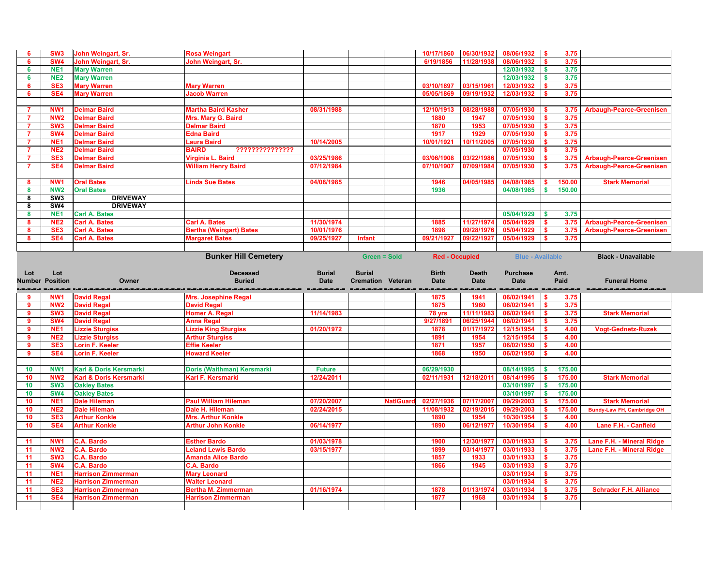| 6                                                                     | SW <sub>3</sub>                    | John Weingart, Sr.                                                     | <b>Rosa Weingart</b>                                                                                          |                              |                                           |                  | 10/17/1860                  | 06/30/1932                  | 08/06/1932                     |              | 3.75         |                                   |
|-----------------------------------------------------------------------|------------------------------------|------------------------------------------------------------------------|---------------------------------------------------------------------------------------------------------------|------------------------------|-------------------------------------------|------------------|-----------------------------|-----------------------------|--------------------------------|--------------|--------------|-----------------------------------|
| -6                                                                    | SW <sub>4</sub>                    | John Weingart, Sr.                                                     | John Weingart, Sr.                                                                                            |                              |                                           |                  | 6/19/1856                   | 11/28/1938                  | 08/06/1932                     |              | 3.75         |                                   |
| 6                                                                     | NE <sub>1</sub>                    | <b>Mary Warren</b>                                                     |                                                                                                               |                              |                                           |                  |                             |                             | 12/03/1932                     |              | 3.75         |                                   |
| 6                                                                     | NE <sub>2</sub>                    | <b>Mary Warren</b>                                                     |                                                                                                               |                              |                                           |                  |                             |                             | 12/03/1932                     |              | 3.75         |                                   |
| -6                                                                    | SE <sub>3</sub>                    | <b>Mary Warren</b>                                                     | <b>Mary Warren</b>                                                                                            |                              |                                           |                  | 03/10/1897                  | 03/15/1961                  | 12/03/1932                     |              | 3.75         |                                   |
| -6                                                                    | SE4                                | <b>Mary Warren</b>                                                     | <b>Jacob Warren</b>                                                                                           |                              |                                           |                  | 05/05/1869                  | 09/19/1932                  | 12/03/1932                     |              | 3.75         |                                   |
|                                                                       |                                    |                                                                        |                                                                                                               |                              |                                           |                  |                             |                             |                                |              |              |                                   |
| -7                                                                    | NW <sub>1</sub>                    | <b>Delmar Baird</b>                                                    | <b>Martha Baird Kasher</b>                                                                                    | 08/31/1988                   |                                           |                  | 12/10/1913                  | 08/28/198                   | 07/05/1930                     |              | 3.75         | <b>Arbaugh-Pearce-Greenisen</b>   |
| $\overline{7}$                                                        | NW <sub>2</sub>                    | <b>Delmar Baird</b>                                                    | Mrs. Mary G. Baird                                                                                            |                              |                                           |                  | 1880                        | 1947                        | 07/05/1930                     |              | 3.75         |                                   |
| -7                                                                    | SW <sub>3</sub>                    | <b>Delmar Baird</b>                                                    | <b>Delmar Baird</b>                                                                                           |                              |                                           |                  | 1870                        | 1953                        | 07/05/1930                     |              | 3.75         |                                   |
| $\overline{7}$                                                        | SW <sub>4</sub>                    | <b>Delmar Baird</b>                                                    | <b>Edna Baird</b>                                                                                             |                              |                                           |                  | 1917                        | 1929                        | 07/05/1930                     |              | 3.75         |                                   |
| -7                                                                    | NE <sub>1</sub>                    | <b>Delmar Baird</b>                                                    | Laura Baird                                                                                                   | 10/14/2005                   |                                           |                  | 10/01/1921                  | 10/11/2005                  | 07/05/1930                     |              | 3.75         |                                   |
| -7                                                                    | NE <sub>2</sub>                    | <b>Delmar Baird</b>                                                    | <b>BAIRD</b><br>7??????????????                                                                               |                              |                                           |                  |                             |                             | 07/05/1930                     |              | 3.75         |                                   |
| $\overline{7}$                                                        | SE <sub>3</sub>                    | <b>Delmar Baird</b>                                                    | Virginia L. Baird                                                                                             | 03/25/1986                   |                                           |                  | 03/06/1908                  | 03/22/1986                  | 07/05/1930                     |              |              | 3.75 Arbaugh-Pearce-Greenisen     |
| $\overline{7}$                                                        | SE4                                | <b>Delmar Baird</b>                                                    | <b>William Henry Baird</b>                                                                                    | 07/12/1984                   |                                           |                  | 07/10/1907                  | 07/09/198                   | 07/05/1930                     |              | 3.75         | <b>Arbaugh-Pearce-Greenisen</b>   |
|                                                                       |                                    |                                                                        |                                                                                                               |                              |                                           |                  |                             |                             |                                |              |              |                                   |
| 8                                                                     | NW <sub>1</sub>                    | <b>Oral Bates</b>                                                      | <b>Linda Sue Bates</b>                                                                                        | 04/08/1985                   |                                           |                  | 1946                        | 04/05/1985                  | 04/08/1985                     |              | 150.00       | <b>Stark Memorial</b>             |
| -8                                                                    | <b>NW2</b>                         | <b>Oral Bates</b>                                                      |                                                                                                               |                              |                                           |                  | 1936                        |                             | 04/08/1985                     |              | 150.00       |                                   |
| 8                                                                     | SW <sub>3</sub>                    | <b>DRIVEWAY</b>                                                        |                                                                                                               |                              |                                           |                  |                             |                             |                                |              |              |                                   |
| 8                                                                     | SW4                                | <b>DRIVEWAY</b>                                                        |                                                                                                               |                              |                                           |                  |                             |                             |                                |              |              |                                   |
| 8                                                                     | NE <sub>1</sub>                    | <b>Carl A. Bates</b>                                                   |                                                                                                               |                              |                                           |                  |                             |                             | 05/04/1929                     |              | 3.75         |                                   |
| 8                                                                     | NE <sub>2</sub>                    | <b>Carl A. Bates</b>                                                   | <b>Carl A. Bates</b>                                                                                          | 11/30/1974                   |                                           |                  | 1885                        | 11/27/1974                  | 05/04/1929                     |              | 3.75         | <b>Arbaugh-Pearce-Greenisen</b>   |
| 8                                                                     | SE <sub>3</sub>                    | <b>Carl A. Bates</b>                                                   | <b>Bertha (Weingart) Bates</b>                                                                                | 10/01/1976                   |                                           |                  | 1898                        | 09/28/1976                  | 05/04/1929                     |              | 3.75         | <b>Arbaugh-Pearce-Greenisen</b>   |
| 8                                                                     | SE4                                | <b>Carl A. Bates</b>                                                   | <b>Margaret Bates</b>                                                                                         | 09/25/1927                   | <b>Infant</b>                             |                  | 09/21/1927                  | 09/22/1927                  | 05/04/1929                     |              | 3.75         |                                   |
|                                                                       |                                    |                                                                        |                                                                                                               |                              |                                           |                  |                             |                             |                                |              |              |                                   |
|                                                                       |                                    |                                                                        |                                                                                                               |                              |                                           |                  |                             |                             |                                |              |              |                                   |
|                                                                       | Lot<br><b>Position</b>             | Owner                                                                  | <b>Deceased</b><br><b>Buried</b>                                                                              | <b>Burial</b><br><b>Date</b> | <b>Burial</b><br><b>Cremation Veteran</b> |                  | <b>Birth</b><br><b>Date</b> | <b>Death</b><br><b>Date</b> | <b>Purchase</b><br><b>Date</b> |              | Amt.<br>Paid | <b>Funeral Home</b>               |
|                                                                       |                                    |                                                                        | acce unaccentratementación desentaciónses desentas de consumentaciónse unaccen desenta desenta desentaciónses |                              |                                           |                  |                             |                             |                                |              |              |                                   |
| 9                                                                     | NW <sub>1</sub>                    | <b>David Regal</b>                                                     | <b>Mrs. Josephine Regal</b>                                                                                   |                              |                                           |                  | 1875                        | 1941                        | 06/02/1941                     |              | 3.75         |                                   |
| $\overline{9}$                                                        | NW <sub>2</sub>                    | <b>David Regal</b>                                                     | <b>David Regal</b>                                                                                            |                              |                                           |                  | 1875                        | 1960                        | 06/02/1941                     |              | 3.75         |                                   |
| -9                                                                    | SW <sub>3</sub>                    | <b>David Regal</b>                                                     | <b>Homer A. Regal</b>                                                                                         | 11/14/1983                   |                                           |                  | 78 yrs                      | 11/11/198                   | 06/02/1941                     |              | 3.75         | <b>Stark Memorial</b>             |
| 9                                                                     | <b>SW4</b>                         | <b>David Regal</b>                                                     | <b>Anna Regal</b>                                                                                             |                              |                                           |                  | 9/27/1891                   | 06/25/1944                  | 06/02/1941                     |              | 3.75         |                                   |
| 9<br>9                                                                | NE <sub>1</sub><br>NE <sub>2</sub> | <b>Lizzie Sturgiss</b>                                                 | <b>Lizzie King Sturgiss</b><br><b>Arthur Sturgiss</b>                                                         | 01/20/1972                   |                                           |                  | 1878<br>1891                | 01/17/1972<br>1954          | 12/15/1954 \$<br>12/15/1954    |              | 4.00<br>4.00 | <b>Vogt-Gednetz-Ruzek</b>         |
| $\overline{\mathbf{9}}$                                               | SE <sub>3</sub>                    | <b>Lizzie Sturgiss</b>                                                 |                                                                                                               |                              |                                           |                  | 1871                        | 1957                        | 06/02/1950                     |              | 4.00         |                                   |
| 9                                                                     | SE4                                | <b>Lorin F. Keeler</b><br>Lorin F. Keeler                              | <b>Effie Keeler</b><br><b>Howard Keeler</b>                                                                   |                              |                                           |                  | 1868                        | 1950                        | 06/02/1950                     |              | 4.00         |                                   |
|                                                                       |                                    |                                                                        |                                                                                                               |                              |                                           |                  |                             |                             |                                |              |              |                                   |
| 10                                                                    | NW <sub>1</sub>                    |                                                                        |                                                                                                               | <b>Future</b>                |                                           |                  | 06/29/1930                  |                             | 08/14/1995                     |              | 175.00       |                                   |
|                                                                       | NW <sub>2</sub>                    | <b>Karl &amp; Doris Kersmarki</b><br><b>Karl &amp; Doris Kersmarki</b> | Doris (Waithman) Kersmarki<br>Karl F. Kersmarki                                                               | 12/24/2011                   |                                           |                  | 02/11/1931                  | 12/18/201                   | 08/14/1995                     |              | 175.00       | <b>Stark Memorial</b>             |
|                                                                       |                                    |                                                                        |                                                                                                               |                              |                                           |                  |                             |                             |                                | $\mathbf{s}$ |              |                                   |
|                                                                       | SW <sub>3</sub>                    | <b>Oakley Bates</b>                                                    |                                                                                                               |                              |                                           |                  |                             |                             | 03/10/1997                     |              | 175.00       |                                   |
|                                                                       | <b>SW4</b>                         | <b>Oakley Bates</b>                                                    |                                                                                                               |                              |                                           |                  |                             |                             | 03/10/1997                     | $-$ \$       | 175.00       |                                   |
|                                                                       | NE <sub>1</sub>                    | <b>Dale Hileman</b>                                                    | <b>Paul William Hileman</b>                                                                                   | 07/20/2007                   |                                           | <b>NatIGuard</b> | 02/27/1936                  | 07/17/2007                  | 09/29/2003                     |              | 175.00       | <b>Stark Memorial</b>             |
|                                                                       | NE <sub>2</sub>                    | <b>Dale Hileman</b>                                                    | Dale H. Hileman                                                                                               | 02/24/2015                   |                                           |                  | 11/08/1932                  | 02/19/2015                  | 09/29/2003                     |              | 175.00       | <b>Bundy-Law FH, Cambridge OH</b> |
|                                                                       | SE <sub>3</sub>                    | <b>Arthur Konkle</b>                                                   | <b>Mrs. Arthur Konkle</b>                                                                                     |                              |                                           |                  | 1890                        | 1954                        | 10/30/1954                     |              | 4.00         |                                   |
|                                                                       | SE4                                | <b>Arthur Konkle</b>                                                   | <b>Arthur John Konkle</b>                                                                                     | 06/14/1977                   |                                           |                  | 1890                        | 06/12/1977                  | 10/30/1954                     |              | 4.00         | Lane F.H. - Canfield              |
|                                                                       |                                    |                                                                        |                                                                                                               |                              |                                           |                  |                             |                             |                                |              |              |                                   |
|                                                                       | NW <sub>1</sub>                    | <b>C.A. Bardo</b>                                                      | <b>Esther Bardo</b>                                                                                           | 01/03/1978                   |                                           |                  | 1900                        | 12/30/1977                  | 03/01/1933                     |              | 3.75         | Lane F.H. - Mineral Ridge         |
|                                                                       | <b>NW2</b>                         | <b>C.A. Bardo</b>                                                      | <b>Leland Lewis Bardo</b>                                                                                     | 03/15/1977                   |                                           |                  | 1899                        | 03/14/1977                  | 03/01/1933                     |              | 3.75         | Lane F.H. - Mineral Ridge         |
|                                                                       | SW <sub>3</sub>                    | <b>C.A. Bardo</b>                                                      | <b>Amanda Alice Bardo</b>                                                                                     |                              |                                           |                  | 1857                        | 1933                        | 03/01/1933                     |              | 3.75         |                                   |
| 11<br>11                                                              | <b>SW4</b>                         | <b>C.A. Bardo</b>                                                      | <b>C.A. Bardo</b>                                                                                             |                              |                                           |                  | 1866                        | 1945                        | 03/01/1933                     |              | 3.75         |                                   |
|                                                                       | NE <sub>1</sub>                    | <b>Harrison Zimmerman</b>                                              | <b>Mary Leonard</b>                                                                                           |                              |                                           |                  |                             |                             | 03/01/1934                     |              | 3.75         |                                   |
| Lot<br>10<br>10<br>10<br>10<br>10<br>10<br>10<br>11<br>11<br>11<br>11 | NE <sub>2</sub>                    | <b>Harrison Zimmerman</b>                                              | <b>Walter Leonard</b>                                                                                         |                              |                                           |                  |                             |                             | 03/01/1934                     |              | 3.75         |                                   |
| <b>Number</b><br>=.=.=.:<br>11<br>11                                  | SE <sub>3</sub><br>SE4             | <b>Harrison Zimmerman</b><br><b>Harrison Zimmerman</b>                 | <b>Bertha M. Zimmerman</b><br><b>Harrison Zimmerman</b>                                                       | 01/16/1974                   |                                           |                  | 1878<br>1877                | 01/13/1974<br>1968          | 03/01/1934<br>03/01/1934       |              | 3.75<br>3.75 | <b>Schrader F.H. Alliance</b>     |

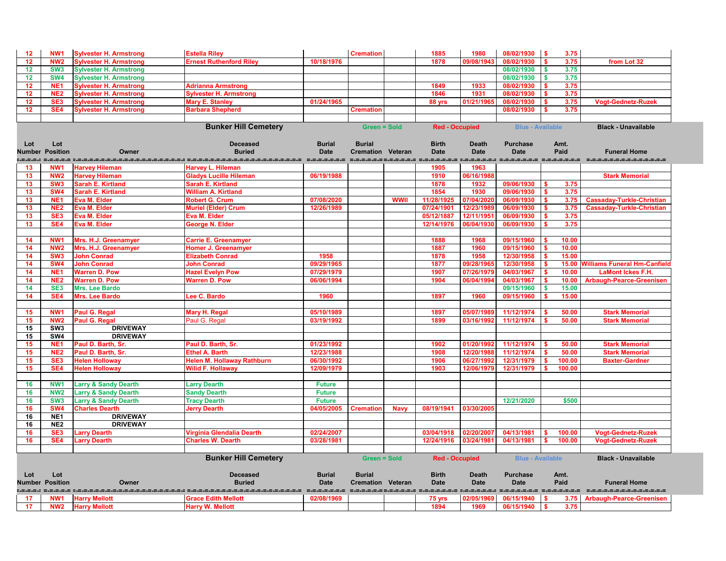| 12       | NW <sub>1</sub>        | <b>Sylvester H. Armstrong</b>                  | <b>Estella Riley</b>                                                                                                    |                            | <b>Cremation</b>         |             | 1885                  | 1980         | 08/02/1930 \$                | 3.75                         |                                    |
|----------|------------------------|------------------------------------------------|-------------------------------------------------------------------------------------------------------------------------|----------------------------|--------------------------|-------------|-----------------------|--------------|------------------------------|------------------------------|------------------------------------|
| 12       | <b>NW2</b>             | <b>Sylvester H. Armstrong</b>                  | <b>Ernest Ruthenford Riley</b>                                                                                          | 10/18/1976                 |                          |             | 1878                  | 09/08/1943   | 08/02/1930                   | 3.75                         | from Lot 32                        |
| 12       | SW <sub>3</sub>        | <b>Sylvester H. Armstrong</b>                  |                                                                                                                         |                            |                          |             |                       |              | 08/02/1930                   | 3.75<br>$\mathbf{\$}$        |                                    |
| 12       | <b>SW4</b>             | <b>Sylvester H. Armstrong</b>                  |                                                                                                                         |                            |                          |             |                       |              | 08/02/1930                   | 3.75<br><b>S</b>             |                                    |
| 12       | NE <sup>1</sup>        | <b>Sylvester H. Armstrong</b>                  | <b>Adrianna Armstrong</b>                                                                                               |                            |                          |             | 1849                  | 1933         | 08/02/1930                   | 3.75                         |                                    |
| 12       | NE <sub>2</sub>        | <b>Sylvester H. Armstrong</b>                  | <b>Sylvester H. Armstrong</b>                                                                                           |                            |                          |             | 1846                  | 1931         | 08/02/1930                   | 3.75                         |                                    |
| 12       | SE <sub>3</sub>        | <b>Sylvester H. Armstrong</b>                  | <b>Mary E. Stanley</b>                                                                                                  | 01/24/1965                 |                          |             | 88 yrs                | 01/21/196    | 08/02/1930                   | 3.75                         | <b>Vogt-Gednetz-Ruzek</b>          |
| 12       | SE4                    | <b>Sylvester H. Armstrong</b>                  | <b>Barbara Shepherd</b>                                                                                                 |                            | <b>Cremation</b>         |             |                       |              | 08/02/1930                   | 3.75                         |                                    |
|          |                        |                                                |                                                                                                                         |                            |                          |             |                       |              |                              |                              |                                    |
|          |                        |                                                | <b>Bunker Hill Cemetery</b>                                                                                             |                            | <b>Green = Sold</b>      |             | <b>Red - Occupied</b> |              | <b>Blue - Available</b>      |                              | <b>Black - Unavailable</b>         |
|          |                        |                                                |                                                                                                                         |                            |                          |             |                       |              |                              |                              |                                    |
| Lot      | Lot                    |                                                | <b>Deceased</b>                                                                                                         | <b>Burial</b>              | <b>Burial</b>            |             | <b>Birth</b>          | <b>Death</b> | <b>Purchase</b>              | Amt.                         |                                    |
|          | <b>Number Position</b> | Owner                                          | <b>Buried</b>                                                                                                           | <b>Date</b>                | <b>Cremation Veteran</b> |             | <b>Date</b>           | <b>Date</b>  | <b>Date</b>                  | Paid                         | <b>Funeral Home</b>                |
| =.=.=.:  | NW <sub>1</sub>        |                                                | <u>taala maalaalaalaalaalaalaala taalaalaalaalaalaalaalaala taalaala taalaalaa taalaalaa maalaala taalaala taalaala</u> |                            |                          |             | 1905                  | 1963         |                              |                              | ====================               |
| 13<br>13 | NW <sub>2</sub>        | <b>Harvey Hileman</b><br><b>Harvey Hileman</b> | <b>Harvey L. Hileman</b><br><b>Gladys Lucille Hileman</b>                                                               | 06/19/1988                 |                          |             | 1910                  | 06/16/1988   |                              |                              | <b>Stark Memorial</b>              |
| 13       | SW <sub>3</sub>        | <b>Sarah E. Kirtland</b>                       | <b>Sarah E. Kirtland</b>                                                                                                |                            |                          |             | 1878                  | 1932         | 09/06/1930                   | 3.75<br>S.                   |                                    |
| 13       | <b>SW4</b>             | <b>Sarah E. Kirtland</b>                       | <b>William A. Kirtland</b>                                                                                              |                            |                          |             | 1854                  | 1930         | 09/06/1930                   | 3.75<br>$\mathbf{\$}$        |                                    |
| 13       | NE <sub>1</sub>        | Eva M. Elder                                   | <b>Robert G. Crum</b>                                                                                                   | 07/08/2020                 |                          | <b>WWII</b> | 11/28/1925            | 07/04/202    | 06/09/1930                   | 3.75<br>\$.                  | <b>Cassaday-Turkle-Christian</b>   |
| 13       | NE <sub>2</sub>        | Eva M. Elder                                   | <b>Muriel (Elder) Crum</b>                                                                                              | 12/26/1989                 |                          |             | 07/24/1901            | 12/23/1989   | 06/09/1930                   | 3.75                         | <b>Cassaday-Turkle-Christian</b>   |
| 13       | SE <sub>3</sub>        | Eva M. Elder                                   | Eva M. Elder                                                                                                            |                            |                          |             | 05/12/1887            | 12/11/1951   | 06/09/1930                   | 3.75                         |                                    |
| 13       | SE4                    | <b>Eva M. Elder</b>                            | George N. Elder                                                                                                         |                            |                          |             | 12/14/1976            | 06/04/1930   | 06/09/1930                   | 3.75                         |                                    |
|          |                        |                                                |                                                                                                                         |                            |                          |             |                       |              |                              |                              |                                    |
| 14       | NW <sub>1</sub>        | Mrs. H.J. Greenamyer                           | <b>Carrie E. Greenamyer</b>                                                                                             |                            |                          |             | 1888                  | 1968         | 09/15/1960                   | 10.00                        |                                    |
| 14       | NW <sub>2</sub>        | Mrs. H.J. Greenamyer                           | <b>Homer J. Greenamyer</b>                                                                                              |                            |                          |             | 1887                  | 1960         | 09/15/1960                   | 10.00                        |                                    |
| 14       | SW <sub>3</sub>        | <b>John Conrad</b>                             | <b>Elizabeth Conrad</b>                                                                                                 | 1958                       |                          |             | 1878                  | 1958         | 12/30/1958                   | 15.00<br><b>S</b>            |                                    |
| 14       | <b>SW4</b>             | <b>John Conrad</b>                             | <b>John Conrad</b>                                                                                                      | 09/29/1965                 |                          |             | 1877                  | 09/28/196    | 12/30/1958                   | S.                           | 15.00 Williams Funeral Hm-Canfield |
| 14       | NE <sub>1</sub>        | <b>Warren D. Pow</b>                           | <b>Hazel Evelyn Pow</b>                                                                                                 | 07/29/1979                 |                          |             | 1907                  | 07/26/1979   | 04/03/1967                   | 10.00<br>S.                  | <b>LaMont Ickes F.H.</b>           |
| 14       | NE <sub>2</sub>        | <b>Warren D. Pow</b>                           | <b>Warren D. Pow</b>                                                                                                    | 06/06/1994                 |                          |             | 1904                  | 06/04/1994   | 04/03/1967                   | 10.00<br>S.                  | <b>Arbaugh-Pearce-Greenisen</b>    |
| 14       | SE <sub>3</sub>        | <b>Mrs. Lee Bardo</b>                          |                                                                                                                         |                            |                          |             |                       |              | 09/15/1960                   | 15.00<br><b>S</b>            |                                    |
| 14       | SE4                    | <b>Mrs. Lee Bardo</b>                          | Lee C. Bardo                                                                                                            | 1960                       |                          |             | 1897                  | 1960         | 09/15/1960                   | 15.00                        |                                    |
|          |                        |                                                |                                                                                                                         |                            |                          |             |                       |              |                              |                              |                                    |
| 15       | NW <sub>1</sub>        | Paul G. Regal                                  | <b>Mary H. Regal</b>                                                                                                    | 05/10/1989                 |                          |             | 1897                  | 05/07/1989   | 11/12/1974                   | 50.00                        | <b>Stark Memorial</b>              |
| 15       | <b>NW2</b>             | Paul G. Regal<br><b>DRIVEWAY</b>               | Paul G. Regal                                                                                                           | 03/19/1992                 |                          |             | 1899                  | 03/16/1992   | 11/12/1974                   | 50.00                        | <b>Stark Memorial</b>              |
| 15<br>15 | SW <sub>3</sub><br>SW4 | <b>DRIVEWAY</b>                                |                                                                                                                         |                            |                          |             |                       |              |                              |                              |                                    |
| 15       | NE <sub>1</sub>        | Paul D. Barth, Sr.                             | Paul D. Barth, Sr.                                                                                                      | 01/23/1992                 |                          |             | 1902                  | 01/20/1992   | 11/12/1974                   | 50.00                        | <b>Stark Memorial</b>              |
| 15       | NE <sub>2</sub>        | Paul D. Barth, Sr.                             | <b>Ethel A. Barth</b>                                                                                                   | 12/23/1988                 |                          |             | 1908                  | 12/20/1988   | 11/12/1974                   | 50.00                        | <b>Stark Memorial</b>              |
| 15       | SE <sub>3</sub>        | <b>Helen Holloway</b>                          | <b>Helen M. Hollaway Rathburn</b>                                                                                       | 06/30/1992                 |                          |             | 1906                  | 06/27/1992   | 12/31/1979                   | 100.00                       | <b>Baxter-Gardner</b>              |
| 15       | SE4                    | <b>Helen Holloway</b>                          | <b>Wilid F. Hollaway</b>                                                                                                | 12/09/1979                 |                          |             | 1903                  | 12/06/1979   | 12/31/1979                   | 100.00                       |                                    |
|          |                        |                                                |                                                                                                                         |                            |                          |             |                       |              |                              |                              |                                    |
| 16       | NW <sub>1</sub>        | <b>Larry &amp; Sandy Dearth</b>                | <b>Larry Dearth</b>                                                                                                     | <b>Future</b>              |                          |             |                       |              |                              |                              |                                    |
| 16       | NW <sub>2</sub>        | <b>Larry &amp; Sandy Dearth</b>                | <b>Sandy Dearth</b>                                                                                                     | <b>Future</b>              |                          |             |                       |              |                              |                              |                                    |
| 16       | SW <sub>3</sub>        | <b>Larry &amp; Sandy Dearth</b>                | <b>Tracy Dearth</b>                                                                                                     | <b>Future</b>              |                          |             |                       |              | 12/21/2020                   | \$500                        |                                    |
| 16       | SW4                    | <b>Charles Dearth</b>                          | <b>Jerry Dearth</b>                                                                                                     | 04/05/2005                 | <b>Cremation</b>         | <b>Navy</b> | 08/19/1941            | 03/30/2005   |                              |                              |                                    |
| 16       | NE <sub>1</sub>        | <b>DRIVEWAY</b>                                |                                                                                                                         |                            |                          |             |                       |              |                              |                              |                                    |
| 16       | NE <sub>2</sub>        | <b>DRIVEWAY</b>                                |                                                                                                                         |                            |                          |             |                       |              |                              |                              |                                    |
| 16       | SE <sub>3</sub>        | <b>Larry Dearth</b>                            | Virginia Glendalia Dearth                                                                                               | 02/24/2007                 |                          |             | 03/04/1918            | 02/20/2007   | 04/13/1981                   | 100.00                       | <b>Vogt-Gednetz-Ruzek</b>          |
| 16       | SE4                    | <b>Larry Dearth</b>                            | <b>Charles W. Dearth</b>                                                                                                | 03/28/1981                 |                          |             | 12/24/1916            | 03/24/1981   | 04/13/1981                   | 100.00                       | <b>Vogt-Gednetz-Ruzek</b>          |
|          |                        |                                                |                                                                                                                         |                            |                          |             |                       |              |                              |                              |                                    |
|          |                        |                                                | <b>Bunker Hill Cemetery</b>                                                                                             |                            | <b>Green = Sold</b>      |             | <b>Red - Occupied</b> |              | <b>Blue - Available</b>      |                              | <b>Black - Unavailable</b>         |
|          |                        |                                                |                                                                                                                         |                            |                          |             |                       |              |                              |                              |                                    |
| Lot      | Lot                    |                                                | <b>Deceased</b>                                                                                                         | <b>Burial</b>              | <b>Burial</b>            |             | <b>Birth</b>          | <b>Death</b> | <b>Purchase</b>              | Amt.                         |                                    |
|          | <b>Number Position</b> | Owner                                          | <b>Buried</b>                                                                                                           | <b>Date</b>                | <b>Cremation Veteran</b> |             | <b>Date</b>           | <b>Date</b>  | <b>Date</b>                  | Paid                         | <b>Funeral Home</b>                |
|          | <b>NW1</b>             |                                                | =.=.=.=.=.=.=.=.=.<br><b>Grace Edith Mellott</b>                                                                        | ____________<br>02/08/1969 |                          |             |                       | 02/05/1969   | =========== ==<br>06/15/1940 |                              |                                    |
| 17<br>17 | <b>NW2</b>             | <b>Harry Mellott</b><br><b>Harry Mellott</b>   | <b>Harry W. Mellott</b>                                                                                                 |                            |                          |             | 75 yrs<br>1894        | 1969         | 06/15/1940                   | 3.75<br>3.75<br>$\mathbf{s}$ | <b>Arbaugh-Pearce-Greenisen</b>    |
|          |                        |                                                |                                                                                                                         |                            |                          |             |                       |              |                              |                              |                                    |

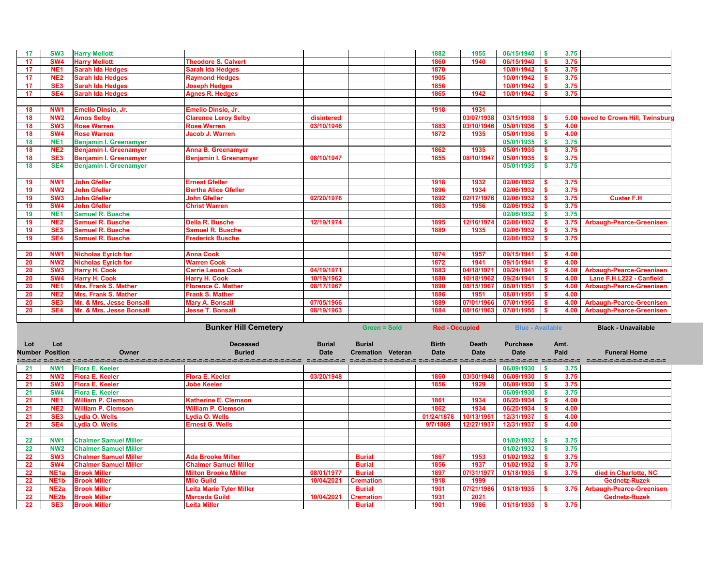

**Black - Unavailable** 

| 17              | SW <sub>3</sub>                      | <b>Harry Mellott</b>                                         |                                                                                                                 |               |                                   | 1882                  | 1955         | 06/15/1940               | $\sqrt{3}$                | 3.75         |                                |
|-----------------|--------------------------------------|--------------------------------------------------------------|-----------------------------------------------------------------------------------------------------------------|---------------|-----------------------------------|-----------------------|--------------|--------------------------|---------------------------|--------------|--------------------------------|
| 17              | <b>SW4</b>                           | <b>Harry Mellott</b>                                         | <b>Theodore S. Calvert</b>                                                                                      |               |                                   | 1860                  | 1940         | 06/15/1940               |                           | 3.75         |                                |
| 17              | NE <sub>1</sub>                      | <b>Sarah Ida Hedges</b>                                      | <b>Sarah Ida Hedges</b>                                                                                         |               |                                   | 1870                  |              | 10/01/1942               |                           | 3.75         |                                |
| 17              | NE <sub>2</sub>                      | <b>Sarah Ida Hedges</b>                                      | <b>Raymond Hedges</b>                                                                                           |               |                                   | 1905                  |              | 10/01/1942               |                           | 3.75         |                                |
| 17              | SE <sub>3</sub>                      | <b>Sarah Ida Hedges</b>                                      | <b>Joseph Hedges</b>                                                                                            |               |                                   | 1856                  |              | 10/01/1942               |                           | 3.75         |                                |
| 17              | SE4                                  | <b>Sarah Ida Hedges</b>                                      | <b>Agnes R. Hedges</b>                                                                                          |               |                                   | 1865                  | 1942         | 10/01/1942               |                           | 3.75         |                                |
|                 |                                      |                                                              |                                                                                                                 |               |                                   |                       |              |                          |                           |              |                                |
| <b>18</b>       | NW <sub>1</sub>                      | Emelio Dinsio, Jr.                                           | Emelio Dinsio, Jr.                                                                                              |               |                                   | 1918                  | 1931         |                          |                           |              |                                |
| 18              | <b>NW2</b>                           | <b>Amos Selby</b>                                            | <b>Clarence Leroy Selby</b>                                                                                     | disintered    |                                   |                       | 03/07/1938   | 03/15/1938               |                           |              | 5.00 hoved to Crown Hill, Twin |
| 18              | SW <sub>3</sub>                      | <b>Rose Warren</b>                                           | <b>Rose Warren</b>                                                                                              | 03/10/1946    |                                   | 1883                  | 03/10/1946   | 05/01/1936               |                           | 4.00         |                                |
| 18              | <b>SW4</b>                           | <b>Rose Warren</b>                                           | <b>Jacob J. Warren</b>                                                                                          |               |                                   | 1872                  | 1935         | 05/01/1936               |                           | 4.00         |                                |
| 18              | NE <sub>1</sub>                      | <b>Benjamin I. Greenamyer</b>                                |                                                                                                                 |               |                                   |                       |              | 05/01/1935               |                           | 3.75         |                                |
| 18              | NE <sub>2</sub>                      | <b>Benjamin I. Greenamyer</b>                                | <b>Anna B. Greenamyer</b>                                                                                       |               |                                   | 1862                  | 1935         | 05/01/1935               |                           | 3.75         |                                |
| 18              | SE <sub>3</sub>                      | Benjamin I. Greenamyer                                       | <b>Benjamin I. Greenamyer</b>                                                                                   | 08/10/1947    |                                   | 1855                  | 08/10/1947   | 05/01/1935               |                           | 3.75         |                                |
| 18              | SE4                                  | Benjamin I. Greenamyer                                       |                                                                                                                 |               |                                   |                       |              | 05/01/1935               |                           | 3.75         |                                |
|                 |                                      |                                                              |                                                                                                                 |               |                                   |                       |              |                          |                           |              |                                |
| 19              | NW <sub>1</sub>                      | <b>John Gfeller</b>                                          | <b>Ernest Gfeller</b>                                                                                           |               |                                   | 1918                  | 1932         | 02/06/1932               |                           | 3.75         |                                |
| 19              | <b>NW2</b>                           | <b>John Gfeller</b>                                          | <b>Bertha Alice Gfeller</b>                                                                                     |               |                                   | 1896                  | 1934         | 02/06/1932               |                           | 3.75         |                                |
| 19              | SW <sub>3</sub>                      | <b>John Gfeller</b>                                          | <b>John Gfeller</b>                                                                                             | 02/20/1976    |                                   | 1892                  | 02/17/1976   | 02/06/1932               |                           | 3.75         | <b>Custer F.H</b>              |
| 19              | <b>SW4</b>                           | <b>John Gfeller</b>                                          | <b>Christ Warren</b>                                                                                            |               |                                   | 1863                  | 1956         | 02/06/1932               |                           | 3.75         |                                |
| 19              | NE <sub>1</sub>                      | <b>Samuel R. Busche</b>                                      |                                                                                                                 |               |                                   |                       |              | 02/06/1932               |                           | 3.75         |                                |
|                 |                                      |                                                              | <b>Della R. Busche</b>                                                                                          |               |                                   |                       |              |                          |                           |              |                                |
| 19              | NE <sub>2</sub><br>SE <sub>3</sub>   | <b>Samuel R. Busche</b><br><b>Samuel R. Busche</b>           | <b>Samuel R. Busche</b>                                                                                         | 12/19/1974    |                                   | 1895<br>1889          | 12/16/1974   | 02/06/1932<br>02/06/1932 |                           | 3.75         | <b>Arbaugh-Pearce-Greeni</b>   |
| 19              |                                      |                                                              |                                                                                                                 |               |                                   |                       | 1935         |                          |                           | 3.75         |                                |
| 19              | SE4                                  | <b>Samuel R. Busche</b>                                      | <b>Frederick Busche</b>                                                                                         |               |                                   |                       |              | 02/06/1932               |                           | 3.75         |                                |
|                 |                                      |                                                              |                                                                                                                 |               |                                   |                       |              |                          |                           |              |                                |
| 20              | NW <sub>1</sub>                      | <b>Nicholas Eyrich for</b>                                   | <b>Anna Cook</b>                                                                                                |               |                                   | 1874                  | 1957         | 09/15/1941               |                           | 4.00         |                                |
| 20              | <b>NW2</b>                           | <b>Nicholas Eyrich for</b>                                   | <b>Warren Cook</b>                                                                                              |               |                                   | 1872                  | 1941         | 09/15/1941               |                           | 4.00         |                                |
| 20              | SW <sub>3</sub>                      | <b>Harry H. Cook</b>                                         | <b>Carrie Leona Cook</b>                                                                                        | 04/19/1971    |                                   | 1883                  | 04/18/1971   | 09/24/1941               |                           | 4.00         | <b>Arbaugh-Pearce-Greeni</b>   |
| 20              | <b>SW4</b>                           | <b>Harry H. Cook</b>                                         | <b>Harry H. Cook</b>                                                                                            | 10/19/1962    |                                   | 1880                  | 10/18/1962   | 09/24/1941               |                           | 4.00         | Lane F.H.L222 - Canfie         |
| 20              | NE <sub>1</sub>                      | <b>Mrs. Frank S. Mather</b>                                  | <b>Florence C. Mather</b>                                                                                       | 08/17/1967    |                                   | 1890                  | 08/15/1967   | 08/01/1951               |                           | 4.00         | <b>Arbaugh-Pearce-Greeni</b>   |
| 20              | NE <sub>2</sub>                      | <b>Mrs. Frank S. Mather</b>                                  | <b>Frank S. Mather</b>                                                                                          |               |                                   | 1886                  | 1951         | 08/01/1951               |                           | 4.00         |                                |
| 20              | SE <sub>3</sub>                      | Mr. & Mrs. Jesse Bonsall                                     | <b>Mary A. Bonsall</b>                                                                                          | 07/05/1966    |                                   | 1889                  | 07/01/1966   | 07/01/1955               |                           | 4.00         | <b>Arbaugh-Pearce-Greeni</b>   |
|                 |                                      |                                                              |                                                                                                                 |               |                                   | 1884                  | 08/16/1963   | 07/01/1955               |                           |              |                                |
| 20              | SE4                                  | Mr. & Mrs. Jesse Bonsall                                     | <b>Jesse T. Bonsall</b>                                                                                         | 08/19/1963    |                                   |                       |              |                          |                           | 4.00         | <b>Arbaugh-Pearce-Greeni</b>   |
|                 |                                      |                                                              |                                                                                                                 |               |                                   |                       |              |                          |                           |              |                                |
|                 |                                      |                                                              | <b>Bunker Hill Cemetery</b>                                                                                     |               | <b>Green = Sold</b>               | <b>Red - Occupied</b> |              | <b>Blue - Available</b>  |                           |              | <b>Black - Unavailable</b>     |
|                 |                                      |                                                              |                                                                                                                 |               |                                   |                       |              |                          |                           |              |                                |
| Lot             | Lot                                  |                                                              | <b>Deceased</b>                                                                                                 | <b>Burial</b> | <b>Burial</b>                     | <b>Birth</b>          | <b>Death</b> | <b>Purchase</b>          |                           | Amt.         |                                |
|                 | <b>Number Position</b>               | Owner                                                        | <b>Buried</b>                                                                                                   | <b>Date</b>   | <b>Cremation Veteran</b>          | <b>Date</b>           | <b>Date</b>  | <b>Date</b>              |                           | Paid         | <b>Funeral Home</b>            |
|                 |                                      |                                                              | kaan seaan kananananananananan senanananananananan senanan senanan senana senanan senanan senanan senanan senan |               |                                   |                       |              |                          |                           |              | --------------------           |
| 21              | NW1                                  | <b>Flora E. Keeler</b>                                       |                                                                                                                 |               |                                   |                       |              | 06/09/1930               | $\boldsymbol{\mathsf{s}}$ | 3.75         |                                |
| 21              | <b>NW2</b>                           | <b>Flora E. Keeler</b>                                       | <b>Flora E. Keeler</b>                                                                                          | 03/20/1948    |                                   | 1860                  | 03/30/1948   | 06/09/1930               |                           | 3.75         |                                |
| 21              | SW <sub>3</sub>                      | <b>Flora E. Keeler</b>                                       | <b>Jobe Keeler</b>                                                                                              |               |                                   | 1856                  | 1929         | 06/09/1930               |                           | 3.75         |                                |
|                 | <b>SW4</b>                           | <b>Flora E. Keeler</b>                                       |                                                                                                                 |               |                                   |                       |              | 06/09/1930               |                           |              |                                |
| 21<br>21        | NE <sub>1</sub>                      | <b>William P. Clemson</b>                                    | <b>Katherine E. Clemson</b>                                                                                     |               |                                   | 1861                  | 1934         | 06/20/1934               |                           | 3.75<br>4.00 |                                |
|                 | NE <sub>2</sub>                      |                                                              | <b>William P. Clemson</b>                                                                                       |               |                                   | 1862                  | 1934         | 06/20/1934               |                           | 4.00         |                                |
| 21<br>21        | SE <sub>3</sub>                      | <b>William P. Clemson</b><br>Lydia O. Wells                  |                                                                                                                 |               |                                   | 01/24/1878            | 10/13/1951   | 12/31/1937               |                           | 4.00         |                                |
| 21              | SE4                                  | Lydia O. Wells                                               | <b>Lydia O. Wells</b><br><b>Ernest G. Wells</b>                                                                 |               |                                   | 9/7/1869              | 12/27/1937   | 12/31/1937               |                           | 4.00         |                                |
|                 |                                      |                                                              |                                                                                                                 |               |                                   |                       |              |                          |                           |              |                                |
|                 | NW1                                  |                                                              |                                                                                                                 |               |                                   |                       |              |                          |                           |              |                                |
| 22              | <b>NW2</b>                           | <b>Chalmer Samuel Miller</b><br><b>Chalmer Samuel Miller</b> |                                                                                                                 |               |                                   |                       |              | 01/02/1932               |                           | 3.75         |                                |
| 22              |                                      |                                                              |                                                                                                                 |               |                                   |                       |              | 01/02/1932               |                           | 3.75         |                                |
| 22              | SW <sub>3</sub>                      | <b>Chalmer Samuel Miller</b>                                 | <b>Ada Brooke Miller</b>                                                                                        |               | <b>Burial</b>                     | 1867                  | 1953         | 01/02/1932               |                           | 3.75         |                                |
| $\overline{22}$ | <b>SW4</b>                           | <b>Chalmer Samuel Miller</b>                                 | <b>Chalmer Samuel Miller</b>                                                                                    |               | <b>Burial</b>                     | 1856                  | 1937         | 01/02/1932               |                           | 3.75         |                                |
| 22              | NE <sub>1a</sub>                     | <b>Brook Miller</b>                                          | <b>Milton Brooke Miller</b>                                                                                     | 08/01/1977    | <b>Burial</b>                     | 1897                  | 07/31/1977   | 01/18/1935               |                           | 3.75         | died in Charlotte, NC          |
| 22              | NE <sub>1</sub> b                    | <b>Brook Miller</b>                                          | <b>Milo Guild</b>                                                                                               | 10/04/2021    | <b>Cremation</b>                  | 1918                  | 1999         |                          |                           |              | <b>Gednetz-Ruzek</b>           |
| 22              | NE <sub>2a</sub>                     | <b>Brook Miller</b>                                          | <b>Leita Marie Tyler Miller</b>                                                                                 |               | <b>Burial</b>                     | 1901                  | 07/21/1986   | 01/18/1935               |                           | 3.75         | <b>Arbaugh-Pearce-Greeni</b>   |
| 22<br>22        | NE <sub>2</sub> b<br>SE <sub>3</sub> | <b>Brook Miller</b><br><b>Brook Miller</b>                   | <b>Marceda Guild</b><br><b>Leita Miller</b>                                                                     | 10/04/2021    | <b>Cremation</b><br><b>Burial</b> | 1931<br>1901          | 2021<br>1986 | 01/18/1935               |                           | 3.75         | <b>Gednetz-Ruzek</b>           |

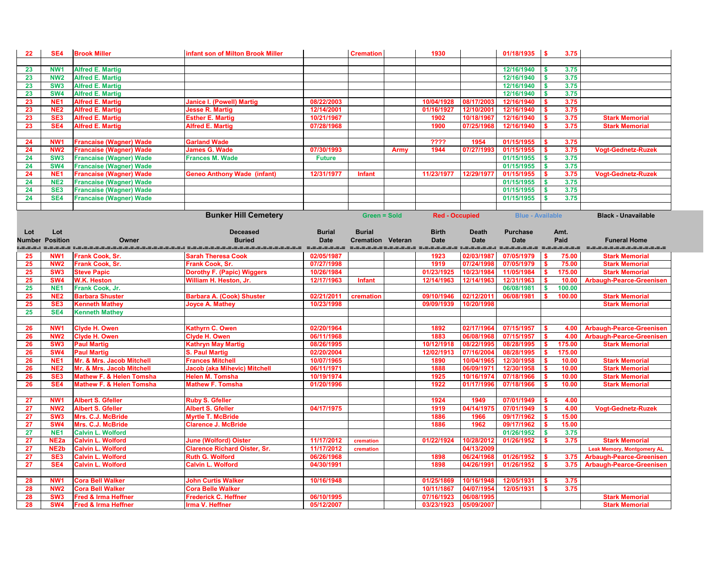| 22        | SE4                                | <b>Brook Miller</b>                       | infant son of Milton Brook Miller                          |               | <b>Cremation</b>         |             | 1930                  |              | $01/18/1935$ \$                           | 3.75                              |                                   |
|-----------|------------------------------------|-------------------------------------------|------------------------------------------------------------|---------------|--------------------------|-------------|-----------------------|--------------|-------------------------------------------|-----------------------------------|-----------------------------------|
|           |                                    |                                           |                                                            |               |                          |             |                       |              |                                           |                                   |                                   |
| 23        | NW <sub>1</sub>                    | <b>Alfred E. Martig</b>                   |                                                            |               |                          |             |                       |              | 12/16/1940                                | \$<br>3.75                        |                                   |
| 23        | <b>NW2</b>                         | <b>Alfred E. Martig</b>                   |                                                            |               |                          |             |                       |              | 12/16/1940                                | 3.75<br>\$                        |                                   |
| 23        | SW <sub>3</sub>                    | <b>Alfred E. Martig</b>                   |                                                            |               |                          |             |                       |              | 12/16/1940                                | 3.75<br>$\boldsymbol{\mathsf{s}}$ |                                   |
| 23        | <b>SW4</b>                         | <b>Alfred E. Martig</b>                   |                                                            |               |                          |             |                       |              | 12/16/1940                                | 3.75<br>\$                        |                                   |
| 23        | NE <sub>1</sub>                    | <b>Alfred E. Martig</b>                   | <b>Janice I. (Powell) Martig</b>                           | 08/22/2003    |                          |             | 10/04/1928            | 08/17/2003   | 12/16/1940                                | 3.75                              |                                   |
| 23        | NE <sub>2</sub>                    | <b>Alfred E. Martig</b>                   | <b>Jesse R. Martig</b>                                     | 12/14/2001    |                          |             | 01/16/1927            | 12/10/200    | 12/16/1940                                | 3.75                              |                                   |
| 23        | SE <sub>3</sub>                    | <b>Alfred E. Martig</b>                   | <b>Esther E. Martig</b>                                    | 10/21/1967    |                          |             | 1902                  | 10/18/1967   | 12/16/1940                                | 3.75                              | <b>Stark Memorial</b>             |
| 23        | SE4                                | <b>Alfred E. Martig</b>                   | <b>Alfred E. Martig</b>                                    | 07/28/1968    |                          |             | 1900                  | 07/25/1968   | 12/16/1940                                | 3.75                              | <b>Stark Memorial</b>             |
|           |                                    |                                           |                                                            |               |                          |             |                       |              |                                           |                                   |                                   |
| 24        | NW <sub>1</sub>                    | <b>Francaise (Wagner) Wade</b>            | <b>Garland Wade</b>                                        |               |                          |             | ????                  | 1954         | 01/15/1955                                | 3.75                              |                                   |
| 24        | NW <sub>2</sub>                    | <b>Francaise (Wagner) Wade</b>            | <b>James G. Wade</b>                                       | 07/30/1993    |                          | <b>Army</b> | 1944                  | 07/27/199    | 01/15/1955                                | 3.75                              | <b>Vogt-Gednetz-Ruzek</b>         |
| 24        | SW <sub>3</sub>                    | <b>Francaise (Wagner) Wade</b>            | <b>Frances M. Wade</b>                                     | <b>Future</b> |                          |             |                       |              | 01/15/1955                                | l \$<br>3.75                      |                                   |
| 24        | <b>SW4</b>                         | <b>Francaise (Wagner) Wade</b>            |                                                            |               |                          |             |                       |              | 01/15/1955                                | 3.75<br>l \$                      |                                   |
| 24        | NE <sub>1</sub>                    | <b>Francaise (Wagner) Wade</b>            | <b>Geneo Anthony Wade (infant)</b>                         | 12/31/1977    | <b>Infant</b>            |             | 11/23/1977            | 12/29/197    | 01/15/1955                                | 3.75                              | <b>Vogt-Gednetz-Ruzek</b>         |
| 24        | <b>NE2</b>                         | <b>Francaise (Wagner) Wade</b>            |                                                            |               |                          |             |                       |              | 01/15/1955                                | 3.75<br>$\boldsymbol{\mathsf{s}}$ |                                   |
| 24        | SE <sub>3</sub>                    | <b>Francaise (Wagner) Wade</b>            |                                                            |               |                          |             |                       |              | 01/15/1955                                | 3.75<br>- \$                      |                                   |
| 24        | SE4                                | <b>Francaise (Wagner) Wade</b>            |                                                            |               |                          |             |                       |              | 01/15/1955                                | 3.75                              |                                   |
|           |                                    |                                           |                                                            |               |                          |             |                       |              |                                           |                                   |                                   |
|           |                                    |                                           | <b>Bunker Hill Cemetery</b>                                |               | <b>Green = Sold</b>      |             | <b>Red - Occupied</b> |              | <b>Blue - Available</b>                   |                                   | <b>Black - Unavailable</b>        |
|           |                                    |                                           |                                                            |               |                          |             |                       |              |                                           |                                   |                                   |
| Lot       | Lot                                |                                           | <b>Deceased</b>                                            | <b>Burial</b> | <b>Burial</b>            |             | <b>Birth</b>          | <b>Death</b> | <b>Purchase</b>                           | Amt.                              |                                   |
|           | <b>Number Position</b>             | Owner                                     | <b>Buried</b>                                              | <b>Date</b>   | <b>Cremation Veteran</b> |             | <b>Date</b>           | <b>Date</b>  | <b>Date</b>                               | Paid                              | <b>Funeral Home</b>               |
|           |                                    |                                           |                                                            | =-=-=-=-=-=-= | -------------------      |             |                       |              | curated increased and construct contracts |                                   | =====================             |
| 25        | NW <sub>1</sub>                    | <b>Frank Cook, Sr.</b>                    | <b>Sarah Theresa Cook</b>                                  | 02/05/1987    |                          |             | 1923                  | 02/03/1987   | 07/05/1979                                | 75.00                             | <b>Stark Memorial</b>             |
| <b>25</b> | NW <sub>2</sub>                    | <b>Frank Cook, Sr.</b>                    | <b>Frank Cook, Sr.</b>                                     | 07/27/1998    |                          |             | 1919                  | 07/24/1998   | 07/05/1979                                | 75.00                             | <b>Stark Memorial</b>             |
| 25        | SW <sub>3</sub><br><b>SW4</b>      | <b>Steve Papic</b>                        | <b>Dorothy F. (Papic) Wiggers</b>                          | 10/26/1984    |                          |             | 01/23/1925            | 10/23/1984   | 11/05/1984                                | 175.00                            | <b>Stark Memorial</b>             |
| 25        |                                    | <b>W.K. Heston</b>                        | William H. Heston, Jr.                                     | 12/17/1963    | <b>Infant</b>            |             | 12/14/1963            | 12/14/1963   | 12/31/1963                                | 10.00                             | <b>Arbaugh-Pearce-Greenisen</b>   |
| 25        | NE <sub>1</sub><br>NE <sub>2</sub> | Frank Cook, Jr.<br><b>Barbara Shuster</b> |                                                            | 02/21/201     | cremation                |             | 09/10/1946            | 02/12/201    | 06/08/1981<br>06/08/1981                  | 100.00<br><b>S</b><br>100.00      | <b>Stark Memorial</b>             |
| 25<br>25  | SE <sub>3</sub>                    | <b>Kenneth Mathey</b>                     | <b>Barbara A. (Cook) Shuster</b><br><b>Joyce A. Mathey</b> | 10/23/1998    |                          |             | 09/09/1939            | 10/20/1998   |                                           |                                   | <b>Stark Memorial</b>             |
| 25        | SE4                                | <b>Kenneth Mathey</b>                     |                                                            |               |                          |             |                       |              |                                           |                                   |                                   |
|           |                                    |                                           |                                                            |               |                          |             |                       |              |                                           |                                   |                                   |
| 26        | NW <sub>1</sub>                    | <b>Clyde H. Owen</b>                      | <b>Kathyrn C. Owen</b>                                     | 02/20/1964    |                          |             | 1892                  | 02/17/1964   | 07/15/1957                                |                                   | 4.00   Arbaugh-Pearce-Greenisen   |
| 26        |                                    | NW2 Clyde H. Owen                         | <b>Clyde H. Owen</b>                                       | 06/11/1968    |                          |             | 1883                  | 06/08/1968   | 07/15/1957 \$                             |                                   | 4.00 Arbaugh-Pearce-Greenisen     |
| 26        | SW <sub>3</sub>                    | <b>Paul Martig</b>                        | <b>Kathryn May Martig</b>                                  | 08/26/1995    |                          |             | 10/12/1918            | 08/22/1995   | 08/28/1995                                | 175.00                            | <b>Stark Memorial</b>             |
| 26        | <b>SW4</b>                         | <b>Paul Martig</b>                        | <b>S. Paul Martig</b>                                      | 02/20/2004    |                          |             | 12/02/1913            | 07/16/2004   | 08/28/1995                                | 175.00                            |                                   |
| 26        | NE <sub>1</sub>                    | Mr. & Mrs. Jacob Mitchell                 | <b>Frances Mitchell</b>                                    | 10/07/1965    |                          |             | 1890                  | 10/04/1965   | 12/30/1958                                | 10.00                             | <b>Stark Memorial</b>             |
| 26        | NE <sub>2</sub>                    | Mr. & Mrs. Jacob Mitchell                 | <b>Jacob (aka Mihevic) Mitchell</b>                        | 06/11/1971    |                          |             | 1888                  | 06/09/1971   | 12/30/1958                                | 10.00                             | <b>Stark Memorial</b>             |
| 26        | SE <sub>3</sub>                    | <b>Mathew F. &amp; Helen Tomsha</b>       | <b>Helen M. Tomsha</b>                                     | 10/19/1974    |                          |             | 1925                  | 10/16/197    | 07/18/1966                                | 10.00                             | <b>Stark Memorial</b>             |
| 26        | SE4                                | <b>Mathew F. &amp; Helen Tomsha</b>       | <b>Mathew F. Tomsha</b>                                    | 01/20/1996    |                          |             | 1922                  | 01/17/1996   | 07/18/1966                                | 10.00                             | <b>Stark Memorial</b>             |
|           |                                    |                                           |                                                            |               |                          |             |                       |              |                                           |                                   |                                   |
| 27        | NW <sub>1</sub>                    | <b>Albert S. Gfeller</b>                  | <b>Ruby S. Gfeller</b>                                     |               |                          |             | 1924                  | 1949         | 07/01/1949                                | 4.00<br>-S                        |                                   |
| 27        | <b>NW2</b>                         | <b>Albert S. Gfeller</b>                  | <b>Albert S. Gfeller</b>                                   | 04/17/1975    |                          |             | 1919                  | 04/14/197    | 07/01/1949                                | 4.00<br>- \$                      | <b>Vogt-Gednetz-Ruzek</b>         |
| 27        | SW <sub>3</sub>                    | Mrs. C.J. McBride                         | <b>Myrtle T. McBride</b>                                   |               |                          |             | 1886                  | 1966         | 09/17/1962                                | 15.00<br>- \$                     |                                   |
| 27        | <b>SW4</b>                         | Mrs. C.J. McBride                         | <b>Clarence J. McBride</b>                                 |               |                          |             | 1886                  | 1962         | 09/17/1962                                | 15.00<br>- \$                     |                                   |
| 27        | NE <sub>1</sub>                    | <b>Calvin L. Wolford</b>                  |                                                            |               |                          |             |                       |              | 01/26/1952                                | 3.75<br>$\vert$ \$                |                                   |
| 27        | NE <sub>2a</sub>                   | <b>Calvin L. Wolford</b>                  | <b>June (Wolford) Oister</b>                               | 11/17/2012    | cremation                |             | 01/22/1924            | 10/28/201    | 01/26/1952                                | 3.75                              | <b>Stark Memorial</b>             |
| 27        | NE <sub>2</sub> b                  | <b>Calvin L. Wolford</b>                  | <b>Clarence Richard Oister, Sr.</b>                        | 11/17/2012    | cremation                |             |                       | 04/13/2009   |                                           |                                   | <b>Leak Memory, Montgomery AL</b> |
| 27        | SE <sub>3</sub>                    | <b>Calvin L. Wolford</b>                  | <b>Ruth G. Wolford</b>                                     | 06/26/1968    |                          |             | 1898                  | 06/24/1968   | 01/26/1952                                | 3.75                              | <b>Arbaugh-Pearce-Greenisen</b>   |
| 27        | SE4                                | <b>Calvin L. Wolford</b>                  | <b>Calvin L. Wolford</b>                                   | 04/30/1991    |                          |             | 1898                  | 04/26/1991   | 01/26/1952                                | 3.75                              | <b>Arbaugh-Pearce-Greenisen</b>   |
|           |                                    |                                           |                                                            |               |                          |             |                       |              |                                           |                                   |                                   |
| 28        | NW <sub>1</sub>                    | <b>Cora Bell Walker</b>                   | <b>John Curtis Walker</b>                                  | 10/16/1948    |                          |             | 01/25/1869            | 10/16/1948   | 12/05/1931                                | 3.75                              |                                   |
| 28        | <b>NW2</b>                         | <b>Cora Bell Walker</b>                   | <b>Cora Belle Walker</b>                                   |               |                          |             | 10/11/1867            | 04/07/1954   | 12/05/1931                                | 3.75                              |                                   |
| 28        | SW <sub>3</sub>                    | <b>Fred &amp; Irma Heffner</b>            | <b>Frederick C. Heffner</b>                                | 06/10/1995    |                          |             | 07/16/1923            | 06/08/1995   |                                           |                                   | <b>Stark Memorial</b>             |
| 28        | <b>SW4</b>                         | <b>Fred &amp; Irma Heffner</b>            | <b>Irma V. Heffner</b>                                     | 05/12/2007    |                          |             | 03/23/1923            | 05/09/2007   |                                           |                                   | <b>Stark Memorial</b>             |

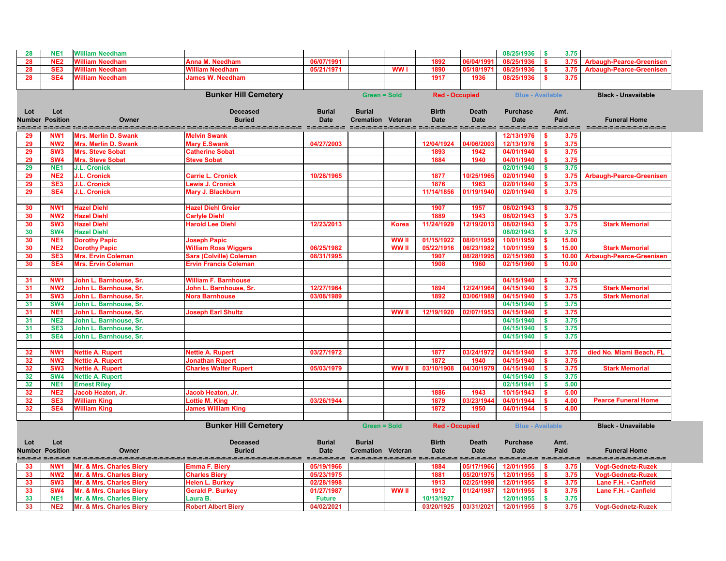| 28       | NE <sub>1</sub>        | <b>William Needham</b>                                     |                                |               |                          |              |                                         |              | 08/25/1936                  | <b>S</b><br>3.75     |                                         |
|----------|------------------------|------------------------------------------------------------|--------------------------------|---------------|--------------------------|--------------|-----------------------------------------|--------------|-----------------------------|----------------------|-----------------------------------------|
| 28       | NE <sub>2</sub>        | <b>William Needham</b>                                     | <b>Anna M. Needham</b>         | 06/07/1991    |                          |              | 1892                                    | 06/04/199    | 08/25/1936                  |                      | 3.75<br><b>Arbaugh-Pearce-Greenisen</b> |
| 28       | SE <sub>3</sub>        | <b>William Needham</b>                                     | <b>William Needham</b>         | 05/21/1971    |                          | <b>WW1</b>   | 1890                                    | 05/18/197    | 08/25/1936                  |                      | 3.75<br><b>Arbaugh-Pearce-Greenisen</b> |
| 28       | SE4                    | <b>William Needham</b>                                     | <b>James W. Needham</b>        |               |                          |              | 1917                                    | 1936         | 08/25/1936                  | 3.75                 |                                         |
|          |                        |                                                            |                                |               |                          |              |                                         |              |                             |                      |                                         |
|          |                        |                                                            | <b>Bunker Hill Cemetery</b>    |               | <b>Green = Sold</b>      |              | <b>Red - Occupied</b>                   |              | <b>Blue - Available</b>     |                      | <b>Black - Unavailable</b>              |
|          |                        |                                                            |                                |               |                          |              |                                         |              |                             |                      |                                         |
| Lot      | Lot                    |                                                            | <b>Deceased</b>                | <b>Burial</b> | <b>Burial</b>            |              | <b>Birth</b>                            | <b>Death</b> | <b>Purchase</b>             | Amt.                 |                                         |
|          | <b>Number Position</b> | Owner                                                      | <b>Buried</b>                  | <b>Date</b>   | <b>Cremation Veteran</b> |              | <b>Date</b>                             | <b>Date</b>  | <b>Date</b>                 | Paid                 | <b>Funeral Home</b>                     |
|          | NW <sub>1</sub>        |                                                            | <b>Melvin Swank</b>            |               |                          |              |                                         |              | 12/13/1976                  | S.                   | ----------------------                  |
| 29<br>29 | NW <sub>2</sub>        | <b>Mrs. Merlin D. Swank</b><br><b>Mrs. Merlin D. Swank</b> | <b>Mary E.Swank</b>            | 04/27/2003    |                          |              | 12/04/1924                              | 04/06/200    | 12/13/1976                  | 3.75<br>3.75         |                                         |
| 29       | SW <sub>3</sub>        | Mrs. Steve Sobat                                           | <b>Catherine Sobat</b>         |               |                          |              | 1893                                    | 1942         | 04/01/1940                  | 3.75<br>S.           |                                         |
| 29       | SW <sub>4</sub>        | Mrs. Steve Sobat                                           | <b>Steve Sobat</b>             |               |                          |              | 1884                                    | 1940         | 04/01/1940                  | 3.75                 |                                         |
| 29       | NE <sub>1</sub>        | <b>J.L. Cronick</b>                                        |                                |               |                          |              |                                         |              | 02/01/1940                  | 3.75<br><b>S</b>     |                                         |
| 29       | NE <sub>2</sub>        | J.L. Cronick                                               | <b>Carrie L. Cronick</b>       | 10/28/1965    |                          |              | 1877                                    | 10/25/196    | 02/01/1940                  | 3.75<br>S.           | <b>Arbaugh-Pearce-Greenisen</b>         |
|          | SE <sub>3</sub>        |                                                            |                                |               |                          |              | 1876                                    | 1963         | 02/01/1940                  | 3.75                 |                                         |
| 29<br>29 | SE4                    | J.L. Cronick<br><b>J.L. Cronick</b>                        | <b>Lewis J. Cronick</b>        |               |                          |              | 11/14/1856                              | 01/19/194    | 02/01/1940                  | 3.75                 |                                         |
|          |                        |                                                            | Mary J. Blackburn              |               |                          |              |                                         |              |                             |                      |                                         |
| 30       | NW <sub>1</sub>        | <b>Hazel Diehl</b>                                         | <b>Hazel Diehl Greier</b>      |               |                          |              | 1907                                    | 1957         | 08/02/1943                  | 3.75                 |                                         |
| 30       | NW <sub>2</sub>        | <b>Hazel Diehl</b>                                         | <b>Carlyle Diehl</b>           |               |                          |              | 1889                                    | 1943         | 08/02/1943                  | 3.75                 |                                         |
| 30       | SW <sub>3</sub>        | <b>Hazel Diehl</b>                                         | <b>Harold Lee Diehl</b>        | 12/23/2013    |                          | <b>Korea</b> | 11/24/1929                              | 12/19/201    | 08/02/1943                  | 3.75                 | <b>Stark Memorial</b>                   |
| 30       | SW <sub>4</sub>        | <b>Hazel Diehl</b>                                         |                                |               |                          |              |                                         |              | 08/02/1943                  | 3.75                 |                                         |
| 30       | NE <sub>1</sub>        | <b>Dorothy Papic</b>                                       | <b>Joseph Papic</b>            |               |                          | WW I         | 01/15/1922                              | 08/01/1959   | 10/01/1959                  | 15.00                |                                         |
| 30       | NE <sub>2</sub>        | <b>Dorothy Papic</b>                                       | <b>William Ross Wiggers</b>    | 06/25/1982    |                          | <b>WW</b> II | 05/22/1916                              | 06/23/1982   | 10/01/1959                  | 15.00                | <b>Stark Memorial</b>                   |
| 30       | SE <sub>3</sub>        | <b>Mrs. Ervin Coleman</b>                                  | <b>Sara (Colville) Coleman</b> | 08/31/1995    |                          |              | 1907                                    | 08/28/199    | 02/15/1960                  | 10.00                | <b>Arbaugh-Pearce-Greenisen</b>         |
| 30       | SE4                    | <b>Mrs. Ervin Coleman</b>                                  | <b>Ervin Francis Coleman</b>   |               |                          |              | 1908                                    | 1960         | 02/15/1960                  | 10.00                |                                         |
|          |                        |                                                            |                                |               |                          |              |                                         |              |                             |                      |                                         |
| 31       | NW <sub>1</sub>        | John L. Barnhouse, Sr.                                     | <b>William F. Barnhouse</b>    |               |                          |              |                                         |              | 04/15/1940                  | 3.75                 |                                         |
| 31       | NW <sub>2</sub>        | John L. Barnhouse, Sr.                                     | John L. Barnhouse, Sr.         | 12/27/1964    |                          |              | 1894                                    | 12/24/1964   | 04/15/1940                  | 3.75                 | <b>Stark Memorial</b>                   |
| 31       | SW <sub>3</sub>        | John L. Barnhouse, Sr.                                     | <b>Nora Barnhouse</b>          | 03/08/1989    |                          |              | 1892                                    | 03/06/1989   | 04/15/1940                  | 3.75                 | <b>Stark Memorial</b>                   |
| 31       | <b>SW4</b>             | John L. Barnhouse, Sr.                                     |                                |               |                          |              |                                         |              | 04/15/1940                  | 3.75                 |                                         |
| 31       | NE <sub>1</sub>        | John L. Barnhouse, Sr.                                     | <b>Joseph Earl Shultz</b>      |               |                          | <b>WW</b> II | 12/19/1920                              | 02/07/195    | 04/15/1940                  | 3.75                 |                                         |
| 31       | NE <sub>2</sub>        | John L. Barnhouse, Sr.                                     |                                |               |                          |              |                                         |              | 04/15/1940                  | 3.75                 |                                         |
| 31       | SE <sub>3</sub>        | John L. Barnhouse, Sr.                                     |                                |               |                          |              |                                         |              | 04/15/1940                  | 3.75                 |                                         |
|          | SE4                    | John L. Barnhouse, Sr.                                     |                                |               |                          |              |                                         |              | 04/15/1940                  | 3.75<br><b>S</b>     |                                         |
| 31       |                        |                                                            |                                |               |                          |              |                                         |              |                             |                      |                                         |
|          | NW <sub>1</sub>        | <b>Nettie A. Rupert</b>                                    | <b>Nettie A. Rupert</b>        | 03/27/1972    |                          |              | 1877                                    | 03/24/1972   | 04/15/1940                  | 3.75                 | died No. Miami Beach, FL                |
| 32<br>32 | NW <sub>2</sub>        | <b>Nettie A. Rupert</b>                                    | <b>Jonathan Rupert</b>         |               |                          |              | 1872                                    | 1940         | 04/15/1940                  | 3.75<br>S.           |                                         |
| 32       | SW <sub>3</sub>        | <b>Nettie A. Rupert</b>                                    | <b>Charles Walter Rupert</b>   | 05/03/1979    |                          | <b>WW</b> II | 03/10/1908                              | 04/30/1979   | 04/15/1940                  | 3.75<br>S.           | <b>Stark Memorial</b>                   |
| 32       | SW <sub>4</sub>        | <b>Nettie A. Rupert</b>                                    |                                |               |                          |              |                                         |              | 04/15/1940                  | 3.75                 |                                         |
| 32       | NE <sub>1</sub>        | <b>Ernest Riley</b>                                        |                                |               |                          |              |                                         |              | 02/15/1941                  | 5.00<br><b>S</b>     |                                         |
| 32       | NE <sub>2</sub>        | Jacob Heaton, Jr.                                          | Jacob Heaton, Jr.              |               |                          |              | 1886                                    | 1943         | 10/15/1943                  | 5.00<br>S.           |                                         |
| 32       | SE <sub>3</sub>        | <b>William King</b>                                        | Lottie M. King                 | 03/26/1944    |                          |              | 1879                                    | 03/23/194    | 04/01/1944                  | 4.00                 | <b>Pearce Funeral Home</b>              |
| 32       | SE4                    | <b>William King</b>                                        | <b>James William King</b>      |               |                          |              | 1872                                    | 1950         | 04/01/1944                  | 4.00                 |                                         |
|          |                        |                                                            |                                |               |                          |              |                                         |              |                             |                      |                                         |
|          |                        |                                                            | <b>Bunker Hill Cemetery</b>    |               | <b>Green = Sold</b>      |              | <b>Red - Occupied</b>                   |              | <b>Blue - Available</b>     |                      | <b>Black - Unavailable</b>              |
|          |                        |                                                            |                                |               |                          |              |                                         |              |                             |                      |                                         |
| Lot      | Lot                    |                                                            | <b>Deceased</b>                | <b>Burial</b> | <b>Burial</b>            |              | <b>Birth</b>                            | <b>Death</b> | <b>Purchase</b>             | Amt.                 |                                         |
|          | <b>Number Position</b> | Owner                                                      | <b>Buried</b>                  | <b>Date</b>   | <b>Cremation Veteran</b> |              | <b>Date</b>                             | <b>Date</b>  | <b>Date</b>                 | Paid                 | <b>Funeral Home</b>                     |
|          | =.=.=.: =.=.=.=.=      |                                                            |                                |               |                          |              | =.=.=.=.=.= =.=.=.=.=.= =.=.=.=.=.=.= = |              | =.=.=.=.=.=.= =.=.=.=.=.=.= |                      |                                         |
| 33       | NW <sub>1</sub>        | Mr. & Mrs. Charles Biery                                   | <b>Emma F. Biery</b>           | 05/19/1966    |                          |              | 1884                                    | 05/17/1966   | 12/01/1955                  | 3.75<br>-S           | <b>Vogt-Gednetz-Ruzek</b>               |
| 33       | NW <sub>2</sub>        | Mr. & Mrs. Charles Biery                                   | <b>Charles Biery</b>           | 05/23/1975    |                          |              | 1881                                    | 05/20/1975   | 12/01/1955                  | 3.75<br>$\mathbf{s}$ | <b>Vogt-Gednetz-Ruzek</b>               |
| 33       | SW <sub>3</sub>        | Mr. & Mrs. Charles Biery                                   | <b>Helen L. Burkey</b>         | 02/28/1998    |                          |              | 1913                                    | 02/25/1998   | 12/01/1955                  | 3.75<br>\$           | Lane F.H. - Canfield                    |
| 33       | SW <sub>4</sub>        | Mr. & Mrs. Charles Biery                                   | <b>Gerald P. Burkey</b>        | 01/27/1987    |                          | <b>WW</b> II | 1912                                    | 01/24/1987   | 12/01/1955                  | 3.75<br>S.           | Lane F.H. - Canfield                    |
|          | NE <sub>1</sub>        |                                                            | Laura B.                       |               |                          |              | 10/13/1927                              |              | 12/01/1955                  | 3.75                 |                                         |
| 33       |                        | Mr. & Mrs. Charles Biery                                   |                                | <b>Future</b> |                          |              |                                         |              |                             |                      |                                         |
| 33       | <b>NE2</b>             | Mr. & Mrs. Charles Biery                                   | <b>Robert Albert Biery</b>     | 04/02/2021    |                          |              | 03/20/1925                              | 03/31/2021   | 12/01/1955                  | 3.75<br><b>S</b>     | <b>Vogt-Gednetz-Ruzek</b>               |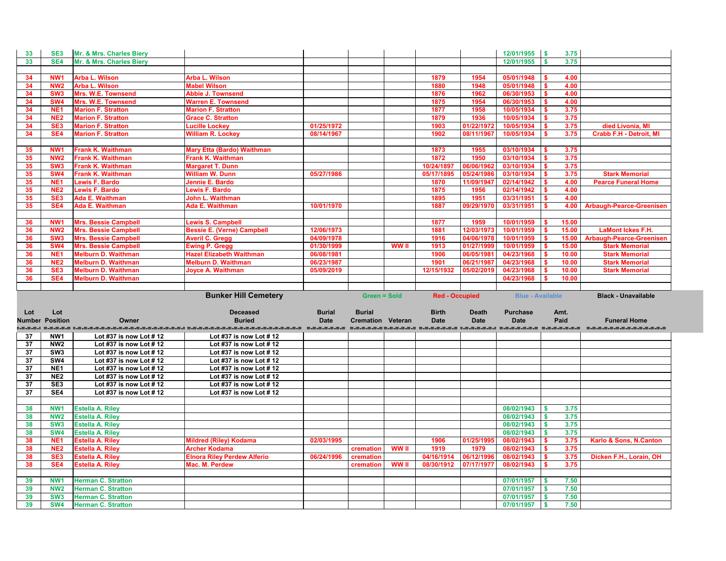| 3.75<br>SE4<br>Mr. & Mrs. Charles Biery<br>12/01/1955<br>33<br>$\mathbf{s}$<br><b>Arba L. Wilson</b><br><b>Arba L. Wilson</b><br>1879<br>34<br>NW <sub>1</sub><br>1954<br>05/01/1948<br>4.00<br>-S<br>34<br>4.00<br>NW <sub>2</sub><br>Arba L. Wilson<br><b>Mabel Wilson</b><br>1880<br>1948<br>05/01/1948<br>$\mathbf{\$}$<br>34<br>SW <sub>3</sub><br>1962<br>4.00<br>Mrs. W.E. Townsend<br>1876<br>06/30/1953<br>\$<br><b>Abbie J. Townsend</b><br>34<br>SW4<br>Mrs. W.E. Townsend<br>1954<br>4.00<br><b>Warren E. Townsend</b><br>1875<br>06/30/1953<br>\$<br>3.75<br>34<br>NE <sub>1</sub><br><b>Marion F. Stratton</b><br>1877<br>1958<br>10/05/1934<br><b>Marion F. Stratton</b><br>-S<br>34<br>NE <sub>2</sub><br>1879<br>1936<br>10/05/1934<br>3.75<br><b>Marion F. Stratton</b><br>\$<br><b>Grace C. Stratton</b><br>34<br>SE <sub>3</sub><br>01/25/1972<br>died Livonia, MI<br>1903<br>01/22/197<br>10/05/1934<br>\$<br>3.75<br><b>Marion F. Stratton</b><br><b>Lucille Lockey</b><br>$\mathbf{s}$<br>3.75<br><b>Crabb F.H - Detroit, MI</b><br>34<br>SE4<br><b>William R. Lockey</b><br>08/14/1967<br>1902<br>08/11/1967<br>10/05/1934<br><b>Marion F. Stratton</b><br><b>Frank K. Waithman</b><br>1873<br>35<br>NW <sub>1</sub><br><b>Mary Etta (Bardo) Waithman</b><br>1955<br>03/10/1934<br>3.75<br>$\boldsymbol{\mathsf{s}}$<br><b>Frank K. Waithman</b><br>1950<br>3.75<br>35<br>NW <sub>2</sub><br><b>Frank K. Waithman</b><br>1872<br>03/10/1934<br>\$<br>35<br>SW <sub>3</sub><br><b>Frank K. Waithman</b><br>10/24/1897<br>06/06/196<br>\$<br>3.75<br><b>Margaret T. Dunn</b><br>03/10/1934<br>SW <sub>4</sub><br>3.75<br>35<br><b>Frank K. Waithman</b><br><b>William W. Dunn</b><br>05/24/198<br>\$<br><b>Stark Memorial</b><br>05/27/1986<br>05/17/1895<br>03/10/1934<br>35<br>NE <sub>1</sub><br>4.00<br>11/09/1947<br>02/14/1942<br>\$<br><b>Pearce Funeral Home</b><br><b>Lewis F. Bardo</b><br>Jennie E. Bardo<br>1870<br>35<br>NE <sub>2</sub><br><b>Lewis F. Bardo</b><br>1875<br>1956<br>02/14/1942<br>4.00<br><b>Lewis F. Bardo</b><br>$\boldsymbol{\mathsf{s}}$<br>35<br>SE <sub>3</sub><br><b>Ada E. Waithman</b><br>1951<br>John L. Waithman<br>1895<br>03/31/1951<br>\$<br>4.00<br>35<br>SE4<br>10/01/1970<br>1887<br>09/29/197<br>03/31/1951<br><b>Ada E. Waithman</b><br><b>Ada E. Waithman</b><br>4.00<br><b>Arbaugh-Pearce-Greenisen</b><br>-S<br>1877<br>1959<br>10/01/1959<br>36<br>NW <sub>1</sub><br><b>Mrs. Bessie Campbell</b><br><b>Lewis S. Campbell</b><br>15.00<br>$\mathbf{\$}$<br>12/06/1973<br>12/03/197<br>36<br>NW <sub>2</sub><br><b>Bessie E. (Verne) Campbell</b><br>1881<br>10/01/1959<br>15.00<br><b>LaMont Ickes F.H.</b><br><b>Mrs. Bessie Campbell</b><br>\$<br>04/09/1978<br>04/06/1978<br>10/01/1959<br>36<br>SW <sub>3</sub><br><b>Mrs. Bessie Campbell</b><br><b>Averil C. Gregg</b><br>1916<br>\$<br>15.00<br><b>Arbaugh-Pearce-Greenisen</b><br>36<br>SW <sub>4</sub><br><b>Mrs. Bessie Campbell</b><br>01/30/1999<br><b>WW II</b><br>1913<br>01/27/1999<br>10/01/1959<br>15.00<br><b>Ewing P. Gregg</b><br>$\boldsymbol{\mathsf{s}}$<br><b>Stark Memorial</b><br>36<br><b>Melburn D. Waithman</b><br><b>Hazel Elizabeth Waithman</b><br>1906<br>10.00<br>NE <sub>1</sub><br>06/08/1981<br>06/05/1981<br>04/23/1968<br>\$<br><b>Stark Memorial</b><br>36<br>NE <sub>2</sub><br><b>Melburn D. Waithman</b><br><b>Melburn D. Waithman</b><br>06/23/1987<br>1901<br>06/21/1987<br>04/23/1968<br>$\sqrt{5}$<br>10.00<br><b>Stark Memorial</b><br>36<br>SE <sub>3</sub><br>10.00<br><b>Melburn D. Waithman</b><br>12/15/1932<br>05/02/2019<br>04/23/1968<br><b>Joyce A. Waithman</b><br>05/09/2019<br><b>Stark Memorial</b><br>36<br>SE4<br><b>Melburn D. Waithman</b><br>04/23/1968<br>10.00<br>-\$<br><b>Bunker Hill Cemetery</b><br><b>Green = Sold</b><br><b>Red - Occupied</b><br><b>Blue - Available</b><br><b>Black - Unavailable</b><br><b>Deceased</b><br><b>Burial</b><br><b>Burial</b><br><b>Birth</b><br><b>Purchase</b><br>Lot<br><b>Death</b><br>Amt.<br>Lot<br>Paid<br><b>Number Position</b><br><b>Buried</b><br><b>Date</b><br><b>Cremation Veteran</b><br><b>Date</b><br><b>Funeral Home</b><br><b>Date</b><br><b>Date</b><br>Owner<br>unda mada undahalahalahalahalah mahalahalahalahalaha mahalah mahalah mahalah mahalah mahalah mahalah mahalahalahalah<br>NW1<br>37<br>Lot #37 is now Lot #12<br>Lot #37 is now Lot #12<br>37<br>NW <sub>2</sub><br>Lot #37 is now Lot #12<br>Lot #37 is now Lot #12<br>37<br>SW <sub>3</sub><br>Lot #37 is now Lot # 12<br>Lot #37 is now Lot # 12<br>SW4<br>37<br>Lot #37 is now Lot #12<br>Lot #37 is now Lot #12<br>37<br>NE <sub>1</sub><br>Lot #37 is now Lot #12<br>Lot #37 is now Lot #12<br>NE <sub>2</sub><br>37<br>Lot #37 is now Lot #12<br>Lot #37 is now Lot # 12<br>37<br>SE <sub>3</sub><br>Lot #37 is now Lot #12<br>Lot #37 is now Lot #12<br>SE4<br>37<br>Lot #37 is now Lot #12<br>Lot #37 is now Lot #12<br><b>Estella A. Riley</b><br>08/02/1943<br>$\blacksquare$<br>3.75<br>38<br>NW <sub>1</sub><br>$\sqrt{S}$<br>38<br><b>NW2</b><br><b>Estella A. Riley</b><br>08/02/1943<br>3.75<br>38<br>$\sqrt{S}$<br>3.75<br>SW <sub>3</sub><br><b>Estella A. Riley</b><br>08/02/1943<br><b>SW4</b><br>08/02/1943<br>3.75<br>38<br><b>Estella A. Riley</b><br>$\blacksquare$<br>08/02/1943<br>NE <sub>1</sub><br><b>Estella A. Riley</b><br>02/03/1995<br>1906<br>01/25/199<br>Karlo & Sons, N.Canton<br>38<br><b>Mildred (Riley) Kodama</b><br>$\sqrt{S}$<br>3.75<br><b>Estella A. Riley</b><br><b>Archer Kodama</b><br><b>WW II</b><br>1919<br>08/02/1943<br>38<br>NE <sub>2</sub><br>cremation<br>1979<br>-\$<br>3.75<br><b>Elnora Riley Perdew Alferio</b><br>04/16/1914<br>06/24/1996<br>06/12/1996<br>08/02/1943<br>Dicken F.H., Lorain, OH<br>SE <sub>3</sub><br><b>Estella A. Riley</b><br>$\mathbf{\$}$<br>3.75<br>38<br>cremation<br>WW II<br>SE4<br><b>Estella A. Riley</b><br>Mac. M. Perdew<br>08/30/1912<br>08/02/1943<br>3.75<br>38<br>07/17/1977<br>cremation<br>-S.<br>39<br><b>Herman C. Stratton</b><br>07/01/1957<br>- \$<br>7.50<br>NW <sub>1</sub><br><b>NW2</b><br><b>Herman C. Stratton</b><br>07/01/1957<br>$\sqrt{S}$<br>7.50<br>39<br>7.50<br>39<br>SW <sub>3</sub><br><b>Herman C. Stratton</b><br>07/01/1957<br>$\sqrt{S}$<br>$\sqrt{S}$<br>7.50<br>39<br>SW4<br>07/01/1957<br><b>Herman C. Stratton</b> | 33 | SE <sub>3</sub> | Mr. & Mrs. Charles Biery |  |  |  | 12/01/1955 | $\vert$ s<br>3.75 |  |
|-----------------------------------------------------------------------------------------------------------------------------------------------------------------------------------------------------------------------------------------------------------------------------------------------------------------------------------------------------------------------------------------------------------------------------------------------------------------------------------------------------------------------------------------------------------------------------------------------------------------------------------------------------------------------------------------------------------------------------------------------------------------------------------------------------------------------------------------------------------------------------------------------------------------------------------------------------------------------------------------------------------------------------------------------------------------------------------------------------------------------------------------------------------------------------------------------------------------------------------------------------------------------------------------------------------------------------------------------------------------------------------------------------------------------------------------------------------------------------------------------------------------------------------------------------------------------------------------------------------------------------------------------------------------------------------------------------------------------------------------------------------------------------------------------------------------------------------------------------------------------------------------------------------------------------------------------------------------------------------------------------------------------------------------------------------------------------------------------------------------------------------------------------------------------------------------------------------------------------------------------------------------------------------------------------------------------------------------------------------------------------------------------------------------------------------------------------------------------------------------------------------------------------------------------------------------------------------------------------------------------------------------------------------------------------------------------------------------------------------------------------------------------------------------------------------------------------------------------------------------------------------------------------------------------------------------------------------------------------------------------------------------------------------------------------------------------------------------------------------------------------------------------------------------------------------------------------------------------------------------------------------------------------------------------------------------------------------------------------------------------------------------------------------------------------------------------------------------------------------------------------------------------------------------------------------------------------------------------------------------------------------------------------------------------------------------------------------------------------------------------------------------------------------------------------------------------------------------------------------------------------------------------------------------------------------------------------------------------------------------------------------------------------------------------------------------------------------------------------------------------------------------------------------------------------------------------------------------------------------------------------------------------------------------------------------------------------------------------------------------------------------------------------------------------------------------------------------------------------------------------------------------------------------------------------------------------------------------------------------------------------------------------------------------------------------------------------------------------------------------------------------------------------------------------------------------------------------------------------------------------------------------------------------------------------------------------------------------------------------------------------------------------------------------------------------------------------------------------------------------------------------------------------------------------------------------------------------------------------------------------------------------------------------------------------------------------------------------------------------------------------------------------------------------------------------------------------------------------------------------------------------------------------------------------------------------------------------------------------------------------------------------------------------------------------------------------------------------------------------------------------------------------------------------------------------------------------------------------------------------------------------------------------------------------------------------------------------------------------------------------------------------------------------------------------------------------------------------------------------------------------------------------------------------------------------------------------------------------------------------------------------------------------------------------------------------------------------------------------------------------------|----|-----------------|--------------------------|--|--|--|------------|-------------------|--|
|                                                                                                                                                                                                                                                                                                                                                                                                                                                                                                                                                                                                                                                                                                                                                                                                                                                                                                                                                                                                                                                                                                                                                                                                                                                                                                                                                                                                                                                                                                                                                                                                                                                                                                                                                                                                                                                                                                                                                                                                                                                                                                                                                                                                                                                                                                                                                                                                                                                                                                                                                                                                                                                                                                                                                                                                                                                                                                                                                                                                                                                                                                                                                                                                                                                                                                                                                                                                                                                                                                                                                                                                                                                                                                                                                                                                                                                                                                                                                                                                                                                                                                                                                                                                                                                                                                                                                                                                                                                                                                                                                                                                                                                                                                                                                                                                                                                                                                                                                                                                                                                                                                                                                                                                                                                                                                                                                                                                                                                                                                                                                                                                                                                                                                                                                                                                                                                                                                                                                                                                                                                                                                                                                                                                                                                                                                                                                                             |    |                 |                          |  |  |  |            |                   |  |
|                                                                                                                                                                                                                                                                                                                                                                                                                                                                                                                                                                                                                                                                                                                                                                                                                                                                                                                                                                                                                                                                                                                                                                                                                                                                                                                                                                                                                                                                                                                                                                                                                                                                                                                                                                                                                                                                                                                                                                                                                                                                                                                                                                                                                                                                                                                                                                                                                                                                                                                                                                                                                                                                                                                                                                                                                                                                                                                                                                                                                                                                                                                                                                                                                                                                                                                                                                                                                                                                                                                                                                                                                                                                                                                                                                                                                                                                                                                                                                                                                                                                                                                                                                                                                                                                                                                                                                                                                                                                                                                                                                                                                                                                                                                                                                                                                                                                                                                                                                                                                                                                                                                                                                                                                                                                                                                                                                                                                                                                                                                                                                                                                                                                                                                                                                                                                                                                                                                                                                                                                                                                                                                                                                                                                                                                                                                                                                             |    |                 |                          |  |  |  |            |                   |  |
|                                                                                                                                                                                                                                                                                                                                                                                                                                                                                                                                                                                                                                                                                                                                                                                                                                                                                                                                                                                                                                                                                                                                                                                                                                                                                                                                                                                                                                                                                                                                                                                                                                                                                                                                                                                                                                                                                                                                                                                                                                                                                                                                                                                                                                                                                                                                                                                                                                                                                                                                                                                                                                                                                                                                                                                                                                                                                                                                                                                                                                                                                                                                                                                                                                                                                                                                                                                                                                                                                                                                                                                                                                                                                                                                                                                                                                                                                                                                                                                                                                                                                                                                                                                                                                                                                                                                                                                                                                                                                                                                                                                                                                                                                                                                                                                                                                                                                                                                                                                                                                                                                                                                                                                                                                                                                                                                                                                                                                                                                                                                                                                                                                                                                                                                                                                                                                                                                                                                                                                                                                                                                                                                                                                                                                                                                                                                                                             |    |                 |                          |  |  |  |            |                   |  |
|                                                                                                                                                                                                                                                                                                                                                                                                                                                                                                                                                                                                                                                                                                                                                                                                                                                                                                                                                                                                                                                                                                                                                                                                                                                                                                                                                                                                                                                                                                                                                                                                                                                                                                                                                                                                                                                                                                                                                                                                                                                                                                                                                                                                                                                                                                                                                                                                                                                                                                                                                                                                                                                                                                                                                                                                                                                                                                                                                                                                                                                                                                                                                                                                                                                                                                                                                                                                                                                                                                                                                                                                                                                                                                                                                                                                                                                                                                                                                                                                                                                                                                                                                                                                                                                                                                                                                                                                                                                                                                                                                                                                                                                                                                                                                                                                                                                                                                                                                                                                                                                                                                                                                                                                                                                                                                                                                                                                                                                                                                                                                                                                                                                                                                                                                                                                                                                                                                                                                                                                                                                                                                                                                                                                                                                                                                                                                                             |    |                 |                          |  |  |  |            |                   |  |
|                                                                                                                                                                                                                                                                                                                                                                                                                                                                                                                                                                                                                                                                                                                                                                                                                                                                                                                                                                                                                                                                                                                                                                                                                                                                                                                                                                                                                                                                                                                                                                                                                                                                                                                                                                                                                                                                                                                                                                                                                                                                                                                                                                                                                                                                                                                                                                                                                                                                                                                                                                                                                                                                                                                                                                                                                                                                                                                                                                                                                                                                                                                                                                                                                                                                                                                                                                                                                                                                                                                                                                                                                                                                                                                                                                                                                                                                                                                                                                                                                                                                                                                                                                                                                                                                                                                                                                                                                                                                                                                                                                                                                                                                                                                                                                                                                                                                                                                                                                                                                                                                                                                                                                                                                                                                                                                                                                                                                                                                                                                                                                                                                                                                                                                                                                                                                                                                                                                                                                                                                                                                                                                                                                                                                                                                                                                                                                             |    |                 |                          |  |  |  |            |                   |  |
|                                                                                                                                                                                                                                                                                                                                                                                                                                                                                                                                                                                                                                                                                                                                                                                                                                                                                                                                                                                                                                                                                                                                                                                                                                                                                                                                                                                                                                                                                                                                                                                                                                                                                                                                                                                                                                                                                                                                                                                                                                                                                                                                                                                                                                                                                                                                                                                                                                                                                                                                                                                                                                                                                                                                                                                                                                                                                                                                                                                                                                                                                                                                                                                                                                                                                                                                                                                                                                                                                                                                                                                                                                                                                                                                                                                                                                                                                                                                                                                                                                                                                                                                                                                                                                                                                                                                                                                                                                                                                                                                                                                                                                                                                                                                                                                                                                                                                                                                                                                                                                                                                                                                                                                                                                                                                                                                                                                                                                                                                                                                                                                                                                                                                                                                                                                                                                                                                                                                                                                                                                                                                                                                                                                                                                                                                                                                                                             |    |                 |                          |  |  |  |            |                   |  |
|                                                                                                                                                                                                                                                                                                                                                                                                                                                                                                                                                                                                                                                                                                                                                                                                                                                                                                                                                                                                                                                                                                                                                                                                                                                                                                                                                                                                                                                                                                                                                                                                                                                                                                                                                                                                                                                                                                                                                                                                                                                                                                                                                                                                                                                                                                                                                                                                                                                                                                                                                                                                                                                                                                                                                                                                                                                                                                                                                                                                                                                                                                                                                                                                                                                                                                                                                                                                                                                                                                                                                                                                                                                                                                                                                                                                                                                                                                                                                                                                                                                                                                                                                                                                                                                                                                                                                                                                                                                                                                                                                                                                                                                                                                                                                                                                                                                                                                                                                                                                                                                                                                                                                                                                                                                                                                                                                                                                                                                                                                                                                                                                                                                                                                                                                                                                                                                                                                                                                                                                                                                                                                                                                                                                                                                                                                                                                                             |    |                 |                          |  |  |  |            |                   |  |
|                                                                                                                                                                                                                                                                                                                                                                                                                                                                                                                                                                                                                                                                                                                                                                                                                                                                                                                                                                                                                                                                                                                                                                                                                                                                                                                                                                                                                                                                                                                                                                                                                                                                                                                                                                                                                                                                                                                                                                                                                                                                                                                                                                                                                                                                                                                                                                                                                                                                                                                                                                                                                                                                                                                                                                                                                                                                                                                                                                                                                                                                                                                                                                                                                                                                                                                                                                                                                                                                                                                                                                                                                                                                                                                                                                                                                                                                                                                                                                                                                                                                                                                                                                                                                                                                                                                                                                                                                                                                                                                                                                                                                                                                                                                                                                                                                                                                                                                                                                                                                                                                                                                                                                                                                                                                                                                                                                                                                                                                                                                                                                                                                                                                                                                                                                                                                                                                                                                                                                                                                                                                                                                                                                                                                                                                                                                                                                             |    |                 |                          |  |  |  |            |                   |  |
|                                                                                                                                                                                                                                                                                                                                                                                                                                                                                                                                                                                                                                                                                                                                                                                                                                                                                                                                                                                                                                                                                                                                                                                                                                                                                                                                                                                                                                                                                                                                                                                                                                                                                                                                                                                                                                                                                                                                                                                                                                                                                                                                                                                                                                                                                                                                                                                                                                                                                                                                                                                                                                                                                                                                                                                                                                                                                                                                                                                                                                                                                                                                                                                                                                                                                                                                                                                                                                                                                                                                                                                                                                                                                                                                                                                                                                                                                                                                                                                                                                                                                                                                                                                                                                                                                                                                                                                                                                                                                                                                                                                                                                                                                                                                                                                                                                                                                                                                                                                                                                                                                                                                                                                                                                                                                                                                                                                                                                                                                                                                                                                                                                                                                                                                                                                                                                                                                                                                                                                                                                                                                                                                                                                                                                                                                                                                                                             |    |                 |                          |  |  |  |            |                   |  |
|                                                                                                                                                                                                                                                                                                                                                                                                                                                                                                                                                                                                                                                                                                                                                                                                                                                                                                                                                                                                                                                                                                                                                                                                                                                                                                                                                                                                                                                                                                                                                                                                                                                                                                                                                                                                                                                                                                                                                                                                                                                                                                                                                                                                                                                                                                                                                                                                                                                                                                                                                                                                                                                                                                                                                                                                                                                                                                                                                                                                                                                                                                                                                                                                                                                                                                                                                                                                                                                                                                                                                                                                                                                                                                                                                                                                                                                                                                                                                                                                                                                                                                                                                                                                                                                                                                                                                                                                                                                                                                                                                                                                                                                                                                                                                                                                                                                                                                                                                                                                                                                                                                                                                                                                                                                                                                                                                                                                                                                                                                                                                                                                                                                                                                                                                                                                                                                                                                                                                                                                                                                                                                                                                                                                                                                                                                                                                                             |    |                 |                          |  |  |  |            |                   |  |
|                                                                                                                                                                                                                                                                                                                                                                                                                                                                                                                                                                                                                                                                                                                                                                                                                                                                                                                                                                                                                                                                                                                                                                                                                                                                                                                                                                                                                                                                                                                                                                                                                                                                                                                                                                                                                                                                                                                                                                                                                                                                                                                                                                                                                                                                                                                                                                                                                                                                                                                                                                                                                                                                                                                                                                                                                                                                                                                                                                                                                                                                                                                                                                                                                                                                                                                                                                                                                                                                                                                                                                                                                                                                                                                                                                                                                                                                                                                                                                                                                                                                                                                                                                                                                                                                                                                                                                                                                                                                                                                                                                                                                                                                                                                                                                                                                                                                                                                                                                                                                                                                                                                                                                                                                                                                                                                                                                                                                                                                                                                                                                                                                                                                                                                                                                                                                                                                                                                                                                                                                                                                                                                                                                                                                                                                                                                                                                             |    |                 |                          |  |  |  |            |                   |  |
|                                                                                                                                                                                                                                                                                                                                                                                                                                                                                                                                                                                                                                                                                                                                                                                                                                                                                                                                                                                                                                                                                                                                                                                                                                                                                                                                                                                                                                                                                                                                                                                                                                                                                                                                                                                                                                                                                                                                                                                                                                                                                                                                                                                                                                                                                                                                                                                                                                                                                                                                                                                                                                                                                                                                                                                                                                                                                                                                                                                                                                                                                                                                                                                                                                                                                                                                                                                                                                                                                                                                                                                                                                                                                                                                                                                                                                                                                                                                                                                                                                                                                                                                                                                                                                                                                                                                                                                                                                                                                                                                                                                                                                                                                                                                                                                                                                                                                                                                                                                                                                                                                                                                                                                                                                                                                                                                                                                                                                                                                                                                                                                                                                                                                                                                                                                                                                                                                                                                                                                                                                                                                                                                                                                                                                                                                                                                                                             |    |                 |                          |  |  |  |            |                   |  |
|                                                                                                                                                                                                                                                                                                                                                                                                                                                                                                                                                                                                                                                                                                                                                                                                                                                                                                                                                                                                                                                                                                                                                                                                                                                                                                                                                                                                                                                                                                                                                                                                                                                                                                                                                                                                                                                                                                                                                                                                                                                                                                                                                                                                                                                                                                                                                                                                                                                                                                                                                                                                                                                                                                                                                                                                                                                                                                                                                                                                                                                                                                                                                                                                                                                                                                                                                                                                                                                                                                                                                                                                                                                                                                                                                                                                                                                                                                                                                                                                                                                                                                                                                                                                                                                                                                                                                                                                                                                                                                                                                                                                                                                                                                                                                                                                                                                                                                                                                                                                                                                                                                                                                                                                                                                                                                                                                                                                                                                                                                                                                                                                                                                                                                                                                                                                                                                                                                                                                                                                                                                                                                                                                                                                                                                                                                                                                                             |    |                 |                          |  |  |  |            |                   |  |
|                                                                                                                                                                                                                                                                                                                                                                                                                                                                                                                                                                                                                                                                                                                                                                                                                                                                                                                                                                                                                                                                                                                                                                                                                                                                                                                                                                                                                                                                                                                                                                                                                                                                                                                                                                                                                                                                                                                                                                                                                                                                                                                                                                                                                                                                                                                                                                                                                                                                                                                                                                                                                                                                                                                                                                                                                                                                                                                                                                                                                                                                                                                                                                                                                                                                                                                                                                                                                                                                                                                                                                                                                                                                                                                                                                                                                                                                                                                                                                                                                                                                                                                                                                                                                                                                                                                                                                                                                                                                                                                                                                                                                                                                                                                                                                                                                                                                                                                                                                                                                                                                                                                                                                                                                                                                                                                                                                                                                                                                                                                                                                                                                                                                                                                                                                                                                                                                                                                                                                                                                                                                                                                                                                                                                                                                                                                                                                             |    |                 |                          |  |  |  |            |                   |  |
|                                                                                                                                                                                                                                                                                                                                                                                                                                                                                                                                                                                                                                                                                                                                                                                                                                                                                                                                                                                                                                                                                                                                                                                                                                                                                                                                                                                                                                                                                                                                                                                                                                                                                                                                                                                                                                                                                                                                                                                                                                                                                                                                                                                                                                                                                                                                                                                                                                                                                                                                                                                                                                                                                                                                                                                                                                                                                                                                                                                                                                                                                                                                                                                                                                                                                                                                                                                                                                                                                                                                                                                                                                                                                                                                                                                                                                                                                                                                                                                                                                                                                                                                                                                                                                                                                                                                                                                                                                                                                                                                                                                                                                                                                                                                                                                                                                                                                                                                                                                                                                                                                                                                                                                                                                                                                                                                                                                                                                                                                                                                                                                                                                                                                                                                                                                                                                                                                                                                                                                                                                                                                                                                                                                                                                                                                                                                                                             |    |                 |                          |  |  |  |            |                   |  |
|                                                                                                                                                                                                                                                                                                                                                                                                                                                                                                                                                                                                                                                                                                                                                                                                                                                                                                                                                                                                                                                                                                                                                                                                                                                                                                                                                                                                                                                                                                                                                                                                                                                                                                                                                                                                                                                                                                                                                                                                                                                                                                                                                                                                                                                                                                                                                                                                                                                                                                                                                                                                                                                                                                                                                                                                                                                                                                                                                                                                                                                                                                                                                                                                                                                                                                                                                                                                                                                                                                                                                                                                                                                                                                                                                                                                                                                                                                                                                                                                                                                                                                                                                                                                                                                                                                                                                                                                                                                                                                                                                                                                                                                                                                                                                                                                                                                                                                                                                                                                                                                                                                                                                                                                                                                                                                                                                                                                                                                                                                                                                                                                                                                                                                                                                                                                                                                                                                                                                                                                                                                                                                                                                                                                                                                                                                                                                                             |    |                 |                          |  |  |  |            |                   |  |
|                                                                                                                                                                                                                                                                                                                                                                                                                                                                                                                                                                                                                                                                                                                                                                                                                                                                                                                                                                                                                                                                                                                                                                                                                                                                                                                                                                                                                                                                                                                                                                                                                                                                                                                                                                                                                                                                                                                                                                                                                                                                                                                                                                                                                                                                                                                                                                                                                                                                                                                                                                                                                                                                                                                                                                                                                                                                                                                                                                                                                                                                                                                                                                                                                                                                                                                                                                                                                                                                                                                                                                                                                                                                                                                                                                                                                                                                                                                                                                                                                                                                                                                                                                                                                                                                                                                                                                                                                                                                                                                                                                                                                                                                                                                                                                                                                                                                                                                                                                                                                                                                                                                                                                                                                                                                                                                                                                                                                                                                                                                                                                                                                                                                                                                                                                                                                                                                                                                                                                                                                                                                                                                                                                                                                                                                                                                                                                             |    |                 |                          |  |  |  |            |                   |  |
|                                                                                                                                                                                                                                                                                                                                                                                                                                                                                                                                                                                                                                                                                                                                                                                                                                                                                                                                                                                                                                                                                                                                                                                                                                                                                                                                                                                                                                                                                                                                                                                                                                                                                                                                                                                                                                                                                                                                                                                                                                                                                                                                                                                                                                                                                                                                                                                                                                                                                                                                                                                                                                                                                                                                                                                                                                                                                                                                                                                                                                                                                                                                                                                                                                                                                                                                                                                                                                                                                                                                                                                                                                                                                                                                                                                                                                                                                                                                                                                                                                                                                                                                                                                                                                                                                                                                                                                                                                                                                                                                                                                                                                                                                                                                                                                                                                                                                                                                                                                                                                                                                                                                                                                                                                                                                                                                                                                                                                                                                                                                                                                                                                                                                                                                                                                                                                                                                                                                                                                                                                                                                                                                                                                                                                                                                                                                                                             |    |                 |                          |  |  |  |            |                   |  |
|                                                                                                                                                                                                                                                                                                                                                                                                                                                                                                                                                                                                                                                                                                                                                                                                                                                                                                                                                                                                                                                                                                                                                                                                                                                                                                                                                                                                                                                                                                                                                                                                                                                                                                                                                                                                                                                                                                                                                                                                                                                                                                                                                                                                                                                                                                                                                                                                                                                                                                                                                                                                                                                                                                                                                                                                                                                                                                                                                                                                                                                                                                                                                                                                                                                                                                                                                                                                                                                                                                                                                                                                                                                                                                                                                                                                                                                                                                                                                                                                                                                                                                                                                                                                                                                                                                                                                                                                                                                                                                                                                                                                                                                                                                                                                                                                                                                                                                                                                                                                                                                                                                                                                                                                                                                                                                                                                                                                                                                                                                                                                                                                                                                                                                                                                                                                                                                                                                                                                                                                                                                                                                                                                                                                                                                                                                                                                                             |    |                 |                          |  |  |  |            |                   |  |
|                                                                                                                                                                                                                                                                                                                                                                                                                                                                                                                                                                                                                                                                                                                                                                                                                                                                                                                                                                                                                                                                                                                                                                                                                                                                                                                                                                                                                                                                                                                                                                                                                                                                                                                                                                                                                                                                                                                                                                                                                                                                                                                                                                                                                                                                                                                                                                                                                                                                                                                                                                                                                                                                                                                                                                                                                                                                                                                                                                                                                                                                                                                                                                                                                                                                                                                                                                                                                                                                                                                                                                                                                                                                                                                                                                                                                                                                                                                                                                                                                                                                                                                                                                                                                                                                                                                                                                                                                                                                                                                                                                                                                                                                                                                                                                                                                                                                                                                                                                                                                                                                                                                                                                                                                                                                                                                                                                                                                                                                                                                                                                                                                                                                                                                                                                                                                                                                                                                                                                                                                                                                                                                                                                                                                                                                                                                                                                             |    |                 |                          |  |  |  |            |                   |  |
|                                                                                                                                                                                                                                                                                                                                                                                                                                                                                                                                                                                                                                                                                                                                                                                                                                                                                                                                                                                                                                                                                                                                                                                                                                                                                                                                                                                                                                                                                                                                                                                                                                                                                                                                                                                                                                                                                                                                                                                                                                                                                                                                                                                                                                                                                                                                                                                                                                                                                                                                                                                                                                                                                                                                                                                                                                                                                                                                                                                                                                                                                                                                                                                                                                                                                                                                                                                                                                                                                                                                                                                                                                                                                                                                                                                                                                                                                                                                                                                                                                                                                                                                                                                                                                                                                                                                                                                                                                                                                                                                                                                                                                                                                                                                                                                                                                                                                                                                                                                                                                                                                                                                                                                                                                                                                                                                                                                                                                                                                                                                                                                                                                                                                                                                                                                                                                                                                                                                                                                                                                                                                                                                                                                                                                                                                                                                                                             |    |                 |                          |  |  |  |            |                   |  |
|                                                                                                                                                                                                                                                                                                                                                                                                                                                                                                                                                                                                                                                                                                                                                                                                                                                                                                                                                                                                                                                                                                                                                                                                                                                                                                                                                                                                                                                                                                                                                                                                                                                                                                                                                                                                                                                                                                                                                                                                                                                                                                                                                                                                                                                                                                                                                                                                                                                                                                                                                                                                                                                                                                                                                                                                                                                                                                                                                                                                                                                                                                                                                                                                                                                                                                                                                                                                                                                                                                                                                                                                                                                                                                                                                                                                                                                                                                                                                                                                                                                                                                                                                                                                                                                                                                                                                                                                                                                                                                                                                                                                                                                                                                                                                                                                                                                                                                                                                                                                                                                                                                                                                                                                                                                                                                                                                                                                                                                                                                                                                                                                                                                                                                                                                                                                                                                                                                                                                                                                                                                                                                                                                                                                                                                                                                                                                                             |    |                 |                          |  |  |  |            |                   |  |
|                                                                                                                                                                                                                                                                                                                                                                                                                                                                                                                                                                                                                                                                                                                                                                                                                                                                                                                                                                                                                                                                                                                                                                                                                                                                                                                                                                                                                                                                                                                                                                                                                                                                                                                                                                                                                                                                                                                                                                                                                                                                                                                                                                                                                                                                                                                                                                                                                                                                                                                                                                                                                                                                                                                                                                                                                                                                                                                                                                                                                                                                                                                                                                                                                                                                                                                                                                                                                                                                                                                                                                                                                                                                                                                                                                                                                                                                                                                                                                                                                                                                                                                                                                                                                                                                                                                                                                                                                                                                                                                                                                                                                                                                                                                                                                                                                                                                                                                                                                                                                                                                                                                                                                                                                                                                                                                                                                                                                                                                                                                                                                                                                                                                                                                                                                                                                                                                                                                                                                                                                                                                                                                                                                                                                                                                                                                                                                             |    |                 |                          |  |  |  |            |                   |  |
|                                                                                                                                                                                                                                                                                                                                                                                                                                                                                                                                                                                                                                                                                                                                                                                                                                                                                                                                                                                                                                                                                                                                                                                                                                                                                                                                                                                                                                                                                                                                                                                                                                                                                                                                                                                                                                                                                                                                                                                                                                                                                                                                                                                                                                                                                                                                                                                                                                                                                                                                                                                                                                                                                                                                                                                                                                                                                                                                                                                                                                                                                                                                                                                                                                                                                                                                                                                                                                                                                                                                                                                                                                                                                                                                                                                                                                                                                                                                                                                                                                                                                                                                                                                                                                                                                                                                                                                                                                                                                                                                                                                                                                                                                                                                                                                                                                                                                                                                                                                                                                                                                                                                                                                                                                                                                                                                                                                                                                                                                                                                                                                                                                                                                                                                                                                                                                                                                                                                                                                                                                                                                                                                                                                                                                                                                                                                                                             |    |                 |                          |  |  |  |            |                   |  |
|                                                                                                                                                                                                                                                                                                                                                                                                                                                                                                                                                                                                                                                                                                                                                                                                                                                                                                                                                                                                                                                                                                                                                                                                                                                                                                                                                                                                                                                                                                                                                                                                                                                                                                                                                                                                                                                                                                                                                                                                                                                                                                                                                                                                                                                                                                                                                                                                                                                                                                                                                                                                                                                                                                                                                                                                                                                                                                                                                                                                                                                                                                                                                                                                                                                                                                                                                                                                                                                                                                                                                                                                                                                                                                                                                                                                                                                                                                                                                                                                                                                                                                                                                                                                                                                                                                                                                                                                                                                                                                                                                                                                                                                                                                                                                                                                                                                                                                                                                                                                                                                                                                                                                                                                                                                                                                                                                                                                                                                                                                                                                                                                                                                                                                                                                                                                                                                                                                                                                                                                                                                                                                                                                                                                                                                                                                                                                                             |    |                 |                          |  |  |  |            |                   |  |
|                                                                                                                                                                                                                                                                                                                                                                                                                                                                                                                                                                                                                                                                                                                                                                                                                                                                                                                                                                                                                                                                                                                                                                                                                                                                                                                                                                                                                                                                                                                                                                                                                                                                                                                                                                                                                                                                                                                                                                                                                                                                                                                                                                                                                                                                                                                                                                                                                                                                                                                                                                                                                                                                                                                                                                                                                                                                                                                                                                                                                                                                                                                                                                                                                                                                                                                                                                                                                                                                                                                                                                                                                                                                                                                                                                                                                                                                                                                                                                                                                                                                                                                                                                                                                                                                                                                                                                                                                                                                                                                                                                                                                                                                                                                                                                                                                                                                                                                                                                                                                                                                                                                                                                                                                                                                                                                                                                                                                                                                                                                                                                                                                                                                                                                                                                                                                                                                                                                                                                                                                                                                                                                                                                                                                                                                                                                                                                             |    |                 |                          |  |  |  |            |                   |  |
|                                                                                                                                                                                                                                                                                                                                                                                                                                                                                                                                                                                                                                                                                                                                                                                                                                                                                                                                                                                                                                                                                                                                                                                                                                                                                                                                                                                                                                                                                                                                                                                                                                                                                                                                                                                                                                                                                                                                                                                                                                                                                                                                                                                                                                                                                                                                                                                                                                                                                                                                                                                                                                                                                                                                                                                                                                                                                                                                                                                                                                                                                                                                                                                                                                                                                                                                                                                                                                                                                                                                                                                                                                                                                                                                                                                                                                                                                                                                                                                                                                                                                                                                                                                                                                                                                                                                                                                                                                                                                                                                                                                                                                                                                                                                                                                                                                                                                                                                                                                                                                                                                                                                                                                                                                                                                                                                                                                                                                                                                                                                                                                                                                                                                                                                                                                                                                                                                                                                                                                                                                                                                                                                                                                                                                                                                                                                                                             |    |                 |                          |  |  |  |            |                   |  |
|                                                                                                                                                                                                                                                                                                                                                                                                                                                                                                                                                                                                                                                                                                                                                                                                                                                                                                                                                                                                                                                                                                                                                                                                                                                                                                                                                                                                                                                                                                                                                                                                                                                                                                                                                                                                                                                                                                                                                                                                                                                                                                                                                                                                                                                                                                                                                                                                                                                                                                                                                                                                                                                                                                                                                                                                                                                                                                                                                                                                                                                                                                                                                                                                                                                                                                                                                                                                                                                                                                                                                                                                                                                                                                                                                                                                                                                                                                                                                                                                                                                                                                                                                                                                                                                                                                                                                                                                                                                                                                                                                                                                                                                                                                                                                                                                                                                                                                                                                                                                                                                                                                                                                                                                                                                                                                                                                                                                                                                                                                                                                                                                                                                                                                                                                                                                                                                                                                                                                                                                                                                                                                                                                                                                                                                                                                                                                                             |    |                 |                          |  |  |  |            |                   |  |
|                                                                                                                                                                                                                                                                                                                                                                                                                                                                                                                                                                                                                                                                                                                                                                                                                                                                                                                                                                                                                                                                                                                                                                                                                                                                                                                                                                                                                                                                                                                                                                                                                                                                                                                                                                                                                                                                                                                                                                                                                                                                                                                                                                                                                                                                                                                                                                                                                                                                                                                                                                                                                                                                                                                                                                                                                                                                                                                                                                                                                                                                                                                                                                                                                                                                                                                                                                                                                                                                                                                                                                                                                                                                                                                                                                                                                                                                                                                                                                                                                                                                                                                                                                                                                                                                                                                                                                                                                                                                                                                                                                                                                                                                                                                                                                                                                                                                                                                                                                                                                                                                                                                                                                                                                                                                                                                                                                                                                                                                                                                                                                                                                                                                                                                                                                                                                                                                                                                                                                                                                                                                                                                                                                                                                                                                                                                                                                             |    |                 |                          |  |  |  |            |                   |  |
|                                                                                                                                                                                                                                                                                                                                                                                                                                                                                                                                                                                                                                                                                                                                                                                                                                                                                                                                                                                                                                                                                                                                                                                                                                                                                                                                                                                                                                                                                                                                                                                                                                                                                                                                                                                                                                                                                                                                                                                                                                                                                                                                                                                                                                                                                                                                                                                                                                                                                                                                                                                                                                                                                                                                                                                                                                                                                                                                                                                                                                                                                                                                                                                                                                                                                                                                                                                                                                                                                                                                                                                                                                                                                                                                                                                                                                                                                                                                                                                                                                                                                                                                                                                                                                                                                                                                                                                                                                                                                                                                                                                                                                                                                                                                                                                                                                                                                                                                                                                                                                                                                                                                                                                                                                                                                                                                                                                                                                                                                                                                                                                                                                                                                                                                                                                                                                                                                                                                                                                                                                                                                                                                                                                                                                                                                                                                                                             |    |                 |                          |  |  |  |            |                   |  |
|                                                                                                                                                                                                                                                                                                                                                                                                                                                                                                                                                                                                                                                                                                                                                                                                                                                                                                                                                                                                                                                                                                                                                                                                                                                                                                                                                                                                                                                                                                                                                                                                                                                                                                                                                                                                                                                                                                                                                                                                                                                                                                                                                                                                                                                                                                                                                                                                                                                                                                                                                                                                                                                                                                                                                                                                                                                                                                                                                                                                                                                                                                                                                                                                                                                                                                                                                                                                                                                                                                                                                                                                                                                                                                                                                                                                                                                                                                                                                                                                                                                                                                                                                                                                                                                                                                                                                                                                                                                                                                                                                                                                                                                                                                                                                                                                                                                                                                                                                                                                                                                                                                                                                                                                                                                                                                                                                                                                                                                                                                                                                                                                                                                                                                                                                                                                                                                                                                                                                                                                                                                                                                                                                                                                                                                                                                                                                                             |    |                 |                          |  |  |  |            |                   |  |
|                                                                                                                                                                                                                                                                                                                                                                                                                                                                                                                                                                                                                                                                                                                                                                                                                                                                                                                                                                                                                                                                                                                                                                                                                                                                                                                                                                                                                                                                                                                                                                                                                                                                                                                                                                                                                                                                                                                                                                                                                                                                                                                                                                                                                                                                                                                                                                                                                                                                                                                                                                                                                                                                                                                                                                                                                                                                                                                                                                                                                                                                                                                                                                                                                                                                                                                                                                                                                                                                                                                                                                                                                                                                                                                                                                                                                                                                                                                                                                                                                                                                                                                                                                                                                                                                                                                                                                                                                                                                                                                                                                                                                                                                                                                                                                                                                                                                                                                                                                                                                                                                                                                                                                                                                                                                                                                                                                                                                                                                                                                                                                                                                                                                                                                                                                                                                                                                                                                                                                                                                                                                                                                                                                                                                                                                                                                                                                             |    |                 |                          |  |  |  |            |                   |  |
|                                                                                                                                                                                                                                                                                                                                                                                                                                                                                                                                                                                                                                                                                                                                                                                                                                                                                                                                                                                                                                                                                                                                                                                                                                                                                                                                                                                                                                                                                                                                                                                                                                                                                                                                                                                                                                                                                                                                                                                                                                                                                                                                                                                                                                                                                                                                                                                                                                                                                                                                                                                                                                                                                                                                                                                                                                                                                                                                                                                                                                                                                                                                                                                                                                                                                                                                                                                                                                                                                                                                                                                                                                                                                                                                                                                                                                                                                                                                                                                                                                                                                                                                                                                                                                                                                                                                                                                                                                                                                                                                                                                                                                                                                                                                                                                                                                                                                                                                                                                                                                                                                                                                                                                                                                                                                                                                                                                                                                                                                                                                                                                                                                                                                                                                                                                                                                                                                                                                                                                                                                                                                                                                                                                                                                                                                                                                                                             |    |                 |                          |  |  |  |            |                   |  |
|                                                                                                                                                                                                                                                                                                                                                                                                                                                                                                                                                                                                                                                                                                                                                                                                                                                                                                                                                                                                                                                                                                                                                                                                                                                                                                                                                                                                                                                                                                                                                                                                                                                                                                                                                                                                                                                                                                                                                                                                                                                                                                                                                                                                                                                                                                                                                                                                                                                                                                                                                                                                                                                                                                                                                                                                                                                                                                                                                                                                                                                                                                                                                                                                                                                                                                                                                                                                                                                                                                                                                                                                                                                                                                                                                                                                                                                                                                                                                                                                                                                                                                                                                                                                                                                                                                                                                                                                                                                                                                                                                                                                                                                                                                                                                                                                                                                                                                                                                                                                                                                                                                                                                                                                                                                                                                                                                                                                                                                                                                                                                                                                                                                                                                                                                                                                                                                                                                                                                                                                                                                                                                                                                                                                                                                                                                                                                                             |    |                 |                          |  |  |  |            |                   |  |
|                                                                                                                                                                                                                                                                                                                                                                                                                                                                                                                                                                                                                                                                                                                                                                                                                                                                                                                                                                                                                                                                                                                                                                                                                                                                                                                                                                                                                                                                                                                                                                                                                                                                                                                                                                                                                                                                                                                                                                                                                                                                                                                                                                                                                                                                                                                                                                                                                                                                                                                                                                                                                                                                                                                                                                                                                                                                                                                                                                                                                                                                                                                                                                                                                                                                                                                                                                                                                                                                                                                                                                                                                                                                                                                                                                                                                                                                                                                                                                                                                                                                                                                                                                                                                                                                                                                                                                                                                                                                                                                                                                                                                                                                                                                                                                                                                                                                                                                                                                                                                                                                                                                                                                                                                                                                                                                                                                                                                                                                                                                                                                                                                                                                                                                                                                                                                                                                                                                                                                                                                                                                                                                                                                                                                                                                                                                                                                             |    |                 |                          |  |  |  |            |                   |  |
|                                                                                                                                                                                                                                                                                                                                                                                                                                                                                                                                                                                                                                                                                                                                                                                                                                                                                                                                                                                                                                                                                                                                                                                                                                                                                                                                                                                                                                                                                                                                                                                                                                                                                                                                                                                                                                                                                                                                                                                                                                                                                                                                                                                                                                                                                                                                                                                                                                                                                                                                                                                                                                                                                                                                                                                                                                                                                                                                                                                                                                                                                                                                                                                                                                                                                                                                                                                                                                                                                                                                                                                                                                                                                                                                                                                                                                                                                                                                                                                                                                                                                                                                                                                                                                                                                                                                                                                                                                                                                                                                                                                                                                                                                                                                                                                                                                                                                                                                                                                                                                                                                                                                                                                                                                                                                                                                                                                                                                                                                                                                                                                                                                                                                                                                                                                                                                                                                                                                                                                                                                                                                                                                                                                                                                                                                                                                                                             |    |                 |                          |  |  |  |            |                   |  |
|                                                                                                                                                                                                                                                                                                                                                                                                                                                                                                                                                                                                                                                                                                                                                                                                                                                                                                                                                                                                                                                                                                                                                                                                                                                                                                                                                                                                                                                                                                                                                                                                                                                                                                                                                                                                                                                                                                                                                                                                                                                                                                                                                                                                                                                                                                                                                                                                                                                                                                                                                                                                                                                                                                                                                                                                                                                                                                                                                                                                                                                                                                                                                                                                                                                                                                                                                                                                                                                                                                                                                                                                                                                                                                                                                                                                                                                                                                                                                                                                                                                                                                                                                                                                                                                                                                                                                                                                                                                                                                                                                                                                                                                                                                                                                                                                                                                                                                                                                                                                                                                                                                                                                                                                                                                                                                                                                                                                                                                                                                                                                                                                                                                                                                                                                                                                                                                                                                                                                                                                                                                                                                                                                                                                                                                                                                                                                                             |    |                 |                          |  |  |  |            |                   |  |
|                                                                                                                                                                                                                                                                                                                                                                                                                                                                                                                                                                                                                                                                                                                                                                                                                                                                                                                                                                                                                                                                                                                                                                                                                                                                                                                                                                                                                                                                                                                                                                                                                                                                                                                                                                                                                                                                                                                                                                                                                                                                                                                                                                                                                                                                                                                                                                                                                                                                                                                                                                                                                                                                                                                                                                                                                                                                                                                                                                                                                                                                                                                                                                                                                                                                                                                                                                                                                                                                                                                                                                                                                                                                                                                                                                                                                                                                                                                                                                                                                                                                                                                                                                                                                                                                                                                                                                                                                                                                                                                                                                                                                                                                                                                                                                                                                                                                                                                                                                                                                                                                                                                                                                                                                                                                                                                                                                                                                                                                                                                                                                                                                                                                                                                                                                                                                                                                                                                                                                                                                                                                                                                                                                                                                                                                                                                                                                             |    |                 |                          |  |  |  |            |                   |  |
|                                                                                                                                                                                                                                                                                                                                                                                                                                                                                                                                                                                                                                                                                                                                                                                                                                                                                                                                                                                                                                                                                                                                                                                                                                                                                                                                                                                                                                                                                                                                                                                                                                                                                                                                                                                                                                                                                                                                                                                                                                                                                                                                                                                                                                                                                                                                                                                                                                                                                                                                                                                                                                                                                                                                                                                                                                                                                                                                                                                                                                                                                                                                                                                                                                                                                                                                                                                                                                                                                                                                                                                                                                                                                                                                                                                                                                                                                                                                                                                                                                                                                                                                                                                                                                                                                                                                                                                                                                                                                                                                                                                                                                                                                                                                                                                                                                                                                                                                                                                                                                                                                                                                                                                                                                                                                                                                                                                                                                                                                                                                                                                                                                                                                                                                                                                                                                                                                                                                                                                                                                                                                                                                                                                                                                                                                                                                                                             |    |                 |                          |  |  |  |            |                   |  |
|                                                                                                                                                                                                                                                                                                                                                                                                                                                                                                                                                                                                                                                                                                                                                                                                                                                                                                                                                                                                                                                                                                                                                                                                                                                                                                                                                                                                                                                                                                                                                                                                                                                                                                                                                                                                                                                                                                                                                                                                                                                                                                                                                                                                                                                                                                                                                                                                                                                                                                                                                                                                                                                                                                                                                                                                                                                                                                                                                                                                                                                                                                                                                                                                                                                                                                                                                                                                                                                                                                                                                                                                                                                                                                                                                                                                                                                                                                                                                                                                                                                                                                                                                                                                                                                                                                                                                                                                                                                                                                                                                                                                                                                                                                                                                                                                                                                                                                                                                                                                                                                                                                                                                                                                                                                                                                                                                                                                                                                                                                                                                                                                                                                                                                                                                                                                                                                                                                                                                                                                                                                                                                                                                                                                                                                                                                                                                                             |    |                 |                          |  |  |  |            |                   |  |
|                                                                                                                                                                                                                                                                                                                                                                                                                                                                                                                                                                                                                                                                                                                                                                                                                                                                                                                                                                                                                                                                                                                                                                                                                                                                                                                                                                                                                                                                                                                                                                                                                                                                                                                                                                                                                                                                                                                                                                                                                                                                                                                                                                                                                                                                                                                                                                                                                                                                                                                                                                                                                                                                                                                                                                                                                                                                                                                                                                                                                                                                                                                                                                                                                                                                                                                                                                                                                                                                                                                                                                                                                                                                                                                                                                                                                                                                                                                                                                                                                                                                                                                                                                                                                                                                                                                                                                                                                                                                                                                                                                                                                                                                                                                                                                                                                                                                                                                                                                                                                                                                                                                                                                                                                                                                                                                                                                                                                                                                                                                                                                                                                                                                                                                                                                                                                                                                                                                                                                                                                                                                                                                                                                                                                                                                                                                                                                             |    |                 |                          |  |  |  |            |                   |  |
|                                                                                                                                                                                                                                                                                                                                                                                                                                                                                                                                                                                                                                                                                                                                                                                                                                                                                                                                                                                                                                                                                                                                                                                                                                                                                                                                                                                                                                                                                                                                                                                                                                                                                                                                                                                                                                                                                                                                                                                                                                                                                                                                                                                                                                                                                                                                                                                                                                                                                                                                                                                                                                                                                                                                                                                                                                                                                                                                                                                                                                                                                                                                                                                                                                                                                                                                                                                                                                                                                                                                                                                                                                                                                                                                                                                                                                                                                                                                                                                                                                                                                                                                                                                                                                                                                                                                                                                                                                                                                                                                                                                                                                                                                                                                                                                                                                                                                                                                                                                                                                                                                                                                                                                                                                                                                                                                                                                                                                                                                                                                                                                                                                                                                                                                                                                                                                                                                                                                                                                                                                                                                                                                                                                                                                                                                                                                                                             |    |                 |                          |  |  |  |            |                   |  |
|                                                                                                                                                                                                                                                                                                                                                                                                                                                                                                                                                                                                                                                                                                                                                                                                                                                                                                                                                                                                                                                                                                                                                                                                                                                                                                                                                                                                                                                                                                                                                                                                                                                                                                                                                                                                                                                                                                                                                                                                                                                                                                                                                                                                                                                                                                                                                                                                                                                                                                                                                                                                                                                                                                                                                                                                                                                                                                                                                                                                                                                                                                                                                                                                                                                                                                                                                                                                                                                                                                                                                                                                                                                                                                                                                                                                                                                                                                                                                                                                                                                                                                                                                                                                                                                                                                                                                                                                                                                                                                                                                                                                                                                                                                                                                                                                                                                                                                                                                                                                                                                                                                                                                                                                                                                                                                                                                                                                                                                                                                                                                                                                                                                                                                                                                                                                                                                                                                                                                                                                                                                                                                                                                                                                                                                                                                                                                                             |    |                 |                          |  |  |  |            |                   |  |
|                                                                                                                                                                                                                                                                                                                                                                                                                                                                                                                                                                                                                                                                                                                                                                                                                                                                                                                                                                                                                                                                                                                                                                                                                                                                                                                                                                                                                                                                                                                                                                                                                                                                                                                                                                                                                                                                                                                                                                                                                                                                                                                                                                                                                                                                                                                                                                                                                                                                                                                                                                                                                                                                                                                                                                                                                                                                                                                                                                                                                                                                                                                                                                                                                                                                                                                                                                                                                                                                                                                                                                                                                                                                                                                                                                                                                                                                                                                                                                                                                                                                                                                                                                                                                                                                                                                                                                                                                                                                                                                                                                                                                                                                                                                                                                                                                                                                                                                                                                                                                                                                                                                                                                                                                                                                                                                                                                                                                                                                                                                                                                                                                                                                                                                                                                                                                                                                                                                                                                                                                                                                                                                                                                                                                                                                                                                                                                             |    |                 |                          |  |  |  |            |                   |  |
|                                                                                                                                                                                                                                                                                                                                                                                                                                                                                                                                                                                                                                                                                                                                                                                                                                                                                                                                                                                                                                                                                                                                                                                                                                                                                                                                                                                                                                                                                                                                                                                                                                                                                                                                                                                                                                                                                                                                                                                                                                                                                                                                                                                                                                                                                                                                                                                                                                                                                                                                                                                                                                                                                                                                                                                                                                                                                                                                                                                                                                                                                                                                                                                                                                                                                                                                                                                                                                                                                                                                                                                                                                                                                                                                                                                                                                                                                                                                                                                                                                                                                                                                                                                                                                                                                                                                                                                                                                                                                                                                                                                                                                                                                                                                                                                                                                                                                                                                                                                                                                                                                                                                                                                                                                                                                                                                                                                                                                                                                                                                                                                                                                                                                                                                                                                                                                                                                                                                                                                                                                                                                                                                                                                                                                                                                                                                                                             |    |                 |                          |  |  |  |            |                   |  |
|                                                                                                                                                                                                                                                                                                                                                                                                                                                                                                                                                                                                                                                                                                                                                                                                                                                                                                                                                                                                                                                                                                                                                                                                                                                                                                                                                                                                                                                                                                                                                                                                                                                                                                                                                                                                                                                                                                                                                                                                                                                                                                                                                                                                                                                                                                                                                                                                                                                                                                                                                                                                                                                                                                                                                                                                                                                                                                                                                                                                                                                                                                                                                                                                                                                                                                                                                                                                                                                                                                                                                                                                                                                                                                                                                                                                                                                                                                                                                                                                                                                                                                                                                                                                                                                                                                                                                                                                                                                                                                                                                                                                                                                                                                                                                                                                                                                                                                                                                                                                                                                                                                                                                                                                                                                                                                                                                                                                                                                                                                                                                                                                                                                                                                                                                                                                                                                                                                                                                                                                                                                                                                                                                                                                                                                                                                                                                                             |    |                 |                          |  |  |  |            |                   |  |
|                                                                                                                                                                                                                                                                                                                                                                                                                                                                                                                                                                                                                                                                                                                                                                                                                                                                                                                                                                                                                                                                                                                                                                                                                                                                                                                                                                                                                                                                                                                                                                                                                                                                                                                                                                                                                                                                                                                                                                                                                                                                                                                                                                                                                                                                                                                                                                                                                                                                                                                                                                                                                                                                                                                                                                                                                                                                                                                                                                                                                                                                                                                                                                                                                                                                                                                                                                                                                                                                                                                                                                                                                                                                                                                                                                                                                                                                                                                                                                                                                                                                                                                                                                                                                                                                                                                                                                                                                                                                                                                                                                                                                                                                                                                                                                                                                                                                                                                                                                                                                                                                                                                                                                                                                                                                                                                                                                                                                                                                                                                                                                                                                                                                                                                                                                                                                                                                                                                                                                                                                                                                                                                                                                                                                                                                                                                                                                             |    |                 |                          |  |  |  |            |                   |  |
|                                                                                                                                                                                                                                                                                                                                                                                                                                                                                                                                                                                                                                                                                                                                                                                                                                                                                                                                                                                                                                                                                                                                                                                                                                                                                                                                                                                                                                                                                                                                                                                                                                                                                                                                                                                                                                                                                                                                                                                                                                                                                                                                                                                                                                                                                                                                                                                                                                                                                                                                                                                                                                                                                                                                                                                                                                                                                                                                                                                                                                                                                                                                                                                                                                                                                                                                                                                                                                                                                                                                                                                                                                                                                                                                                                                                                                                                                                                                                                                                                                                                                                                                                                                                                                                                                                                                                                                                                                                                                                                                                                                                                                                                                                                                                                                                                                                                                                                                                                                                                                                                                                                                                                                                                                                                                                                                                                                                                                                                                                                                                                                                                                                                                                                                                                                                                                                                                                                                                                                                                                                                                                                                                                                                                                                                                                                                                                             |    |                 |                          |  |  |  |            |                   |  |
|                                                                                                                                                                                                                                                                                                                                                                                                                                                                                                                                                                                                                                                                                                                                                                                                                                                                                                                                                                                                                                                                                                                                                                                                                                                                                                                                                                                                                                                                                                                                                                                                                                                                                                                                                                                                                                                                                                                                                                                                                                                                                                                                                                                                                                                                                                                                                                                                                                                                                                                                                                                                                                                                                                                                                                                                                                                                                                                                                                                                                                                                                                                                                                                                                                                                                                                                                                                                                                                                                                                                                                                                                                                                                                                                                                                                                                                                                                                                                                                                                                                                                                                                                                                                                                                                                                                                                                                                                                                                                                                                                                                                                                                                                                                                                                                                                                                                                                                                                                                                                                                                                                                                                                                                                                                                                                                                                                                                                                                                                                                                                                                                                                                                                                                                                                                                                                                                                                                                                                                                                                                                                                                                                                                                                                                                                                                                                                             |    |                 |                          |  |  |  |            |                   |  |
|                                                                                                                                                                                                                                                                                                                                                                                                                                                                                                                                                                                                                                                                                                                                                                                                                                                                                                                                                                                                                                                                                                                                                                                                                                                                                                                                                                                                                                                                                                                                                                                                                                                                                                                                                                                                                                                                                                                                                                                                                                                                                                                                                                                                                                                                                                                                                                                                                                                                                                                                                                                                                                                                                                                                                                                                                                                                                                                                                                                                                                                                                                                                                                                                                                                                                                                                                                                                                                                                                                                                                                                                                                                                                                                                                                                                                                                                                                                                                                                                                                                                                                                                                                                                                                                                                                                                                                                                                                                                                                                                                                                                                                                                                                                                                                                                                                                                                                                                                                                                                                                                                                                                                                                                                                                                                                                                                                                                                                                                                                                                                                                                                                                                                                                                                                                                                                                                                                                                                                                                                                                                                                                                                                                                                                                                                                                                                                             |    |                 |                          |  |  |  |            |                   |  |
|                                                                                                                                                                                                                                                                                                                                                                                                                                                                                                                                                                                                                                                                                                                                                                                                                                                                                                                                                                                                                                                                                                                                                                                                                                                                                                                                                                                                                                                                                                                                                                                                                                                                                                                                                                                                                                                                                                                                                                                                                                                                                                                                                                                                                                                                                                                                                                                                                                                                                                                                                                                                                                                                                                                                                                                                                                                                                                                                                                                                                                                                                                                                                                                                                                                                                                                                                                                                                                                                                                                                                                                                                                                                                                                                                                                                                                                                                                                                                                                                                                                                                                                                                                                                                                                                                                                                                                                                                                                                                                                                                                                                                                                                                                                                                                                                                                                                                                                                                                                                                                                                                                                                                                                                                                                                                                                                                                                                                                                                                                                                                                                                                                                                                                                                                                                                                                                                                                                                                                                                                                                                                                                                                                                                                                                                                                                                                                             |    |                 |                          |  |  |  |            |                   |  |
|                                                                                                                                                                                                                                                                                                                                                                                                                                                                                                                                                                                                                                                                                                                                                                                                                                                                                                                                                                                                                                                                                                                                                                                                                                                                                                                                                                                                                                                                                                                                                                                                                                                                                                                                                                                                                                                                                                                                                                                                                                                                                                                                                                                                                                                                                                                                                                                                                                                                                                                                                                                                                                                                                                                                                                                                                                                                                                                                                                                                                                                                                                                                                                                                                                                                                                                                                                                                                                                                                                                                                                                                                                                                                                                                                                                                                                                                                                                                                                                                                                                                                                                                                                                                                                                                                                                                                                                                                                                                                                                                                                                                                                                                                                                                                                                                                                                                                                                                                                                                                                                                                                                                                                                                                                                                                                                                                                                                                                                                                                                                                                                                                                                                                                                                                                                                                                                                                                                                                                                                                                                                                                                                                                                                                                                                                                                                                                             |    |                 |                          |  |  |  |            |                   |  |
|                                                                                                                                                                                                                                                                                                                                                                                                                                                                                                                                                                                                                                                                                                                                                                                                                                                                                                                                                                                                                                                                                                                                                                                                                                                                                                                                                                                                                                                                                                                                                                                                                                                                                                                                                                                                                                                                                                                                                                                                                                                                                                                                                                                                                                                                                                                                                                                                                                                                                                                                                                                                                                                                                                                                                                                                                                                                                                                                                                                                                                                                                                                                                                                                                                                                                                                                                                                                                                                                                                                                                                                                                                                                                                                                                                                                                                                                                                                                                                                                                                                                                                                                                                                                                                                                                                                                                                                                                                                                                                                                                                                                                                                                                                                                                                                                                                                                                                                                                                                                                                                                                                                                                                                                                                                                                                                                                                                                                                                                                                                                                                                                                                                                                                                                                                                                                                                                                                                                                                                                                                                                                                                                                                                                                                                                                                                                                                             |    |                 |                          |  |  |  |            |                   |  |
|                                                                                                                                                                                                                                                                                                                                                                                                                                                                                                                                                                                                                                                                                                                                                                                                                                                                                                                                                                                                                                                                                                                                                                                                                                                                                                                                                                                                                                                                                                                                                                                                                                                                                                                                                                                                                                                                                                                                                                                                                                                                                                                                                                                                                                                                                                                                                                                                                                                                                                                                                                                                                                                                                                                                                                                                                                                                                                                                                                                                                                                                                                                                                                                                                                                                                                                                                                                                                                                                                                                                                                                                                                                                                                                                                                                                                                                                                                                                                                                                                                                                                                                                                                                                                                                                                                                                                                                                                                                                                                                                                                                                                                                                                                                                                                                                                                                                                                                                                                                                                                                                                                                                                                                                                                                                                                                                                                                                                                                                                                                                                                                                                                                                                                                                                                                                                                                                                                                                                                                                                                                                                                                                                                                                                                                                                                                                                                             |    |                 |                          |  |  |  |            |                   |  |
|                                                                                                                                                                                                                                                                                                                                                                                                                                                                                                                                                                                                                                                                                                                                                                                                                                                                                                                                                                                                                                                                                                                                                                                                                                                                                                                                                                                                                                                                                                                                                                                                                                                                                                                                                                                                                                                                                                                                                                                                                                                                                                                                                                                                                                                                                                                                                                                                                                                                                                                                                                                                                                                                                                                                                                                                                                                                                                                                                                                                                                                                                                                                                                                                                                                                                                                                                                                                                                                                                                                                                                                                                                                                                                                                                                                                                                                                                                                                                                                                                                                                                                                                                                                                                                                                                                                                                                                                                                                                                                                                                                                                                                                                                                                                                                                                                                                                                                                                                                                                                                                                                                                                                                                                                                                                                                                                                                                                                                                                                                                                                                                                                                                                                                                                                                                                                                                                                                                                                                                                                                                                                                                                                                                                                                                                                                                                                                             |    |                 |                          |  |  |  |            |                   |  |
|                                                                                                                                                                                                                                                                                                                                                                                                                                                                                                                                                                                                                                                                                                                                                                                                                                                                                                                                                                                                                                                                                                                                                                                                                                                                                                                                                                                                                                                                                                                                                                                                                                                                                                                                                                                                                                                                                                                                                                                                                                                                                                                                                                                                                                                                                                                                                                                                                                                                                                                                                                                                                                                                                                                                                                                                                                                                                                                                                                                                                                                                                                                                                                                                                                                                                                                                                                                                                                                                                                                                                                                                                                                                                                                                                                                                                                                                                                                                                                                                                                                                                                                                                                                                                                                                                                                                                                                                                                                                                                                                                                                                                                                                                                                                                                                                                                                                                                                                                                                                                                                                                                                                                                                                                                                                                                                                                                                                                                                                                                                                                                                                                                                                                                                                                                                                                                                                                                                                                                                                                                                                                                                                                                                                                                                                                                                                                                             |    |                 |                          |  |  |  |            |                   |  |
|                                                                                                                                                                                                                                                                                                                                                                                                                                                                                                                                                                                                                                                                                                                                                                                                                                                                                                                                                                                                                                                                                                                                                                                                                                                                                                                                                                                                                                                                                                                                                                                                                                                                                                                                                                                                                                                                                                                                                                                                                                                                                                                                                                                                                                                                                                                                                                                                                                                                                                                                                                                                                                                                                                                                                                                                                                                                                                                                                                                                                                                                                                                                                                                                                                                                                                                                                                                                                                                                                                                                                                                                                                                                                                                                                                                                                                                                                                                                                                                                                                                                                                                                                                                                                                                                                                                                                                                                                                                                                                                                                                                                                                                                                                                                                                                                                                                                                                                                                                                                                                                                                                                                                                                                                                                                                                                                                                                                                                                                                                                                                                                                                                                                                                                                                                                                                                                                                                                                                                                                                                                                                                                                                                                                                                                                                                                                                                             |    |                 |                          |  |  |  |            |                   |  |
|                                                                                                                                                                                                                                                                                                                                                                                                                                                                                                                                                                                                                                                                                                                                                                                                                                                                                                                                                                                                                                                                                                                                                                                                                                                                                                                                                                                                                                                                                                                                                                                                                                                                                                                                                                                                                                                                                                                                                                                                                                                                                                                                                                                                                                                                                                                                                                                                                                                                                                                                                                                                                                                                                                                                                                                                                                                                                                                                                                                                                                                                                                                                                                                                                                                                                                                                                                                                                                                                                                                                                                                                                                                                                                                                                                                                                                                                                                                                                                                                                                                                                                                                                                                                                                                                                                                                                                                                                                                                                                                                                                                                                                                                                                                                                                                                                                                                                                                                                                                                                                                                                                                                                                                                                                                                                                                                                                                                                                                                                                                                                                                                                                                                                                                                                                                                                                                                                                                                                                                                                                                                                                                                                                                                                                                                                                                                                                             |    |                 |                          |  |  |  |            |                   |  |
|                                                                                                                                                                                                                                                                                                                                                                                                                                                                                                                                                                                                                                                                                                                                                                                                                                                                                                                                                                                                                                                                                                                                                                                                                                                                                                                                                                                                                                                                                                                                                                                                                                                                                                                                                                                                                                                                                                                                                                                                                                                                                                                                                                                                                                                                                                                                                                                                                                                                                                                                                                                                                                                                                                                                                                                                                                                                                                                                                                                                                                                                                                                                                                                                                                                                                                                                                                                                                                                                                                                                                                                                                                                                                                                                                                                                                                                                                                                                                                                                                                                                                                                                                                                                                                                                                                                                                                                                                                                                                                                                                                                                                                                                                                                                                                                                                                                                                                                                                                                                                                                                                                                                                                                                                                                                                                                                                                                                                                                                                                                                                                                                                                                                                                                                                                                                                                                                                                                                                                                                                                                                                                                                                                                                                                                                                                                                                                             |    |                 |                          |  |  |  |            |                   |  |
|                                                                                                                                                                                                                                                                                                                                                                                                                                                                                                                                                                                                                                                                                                                                                                                                                                                                                                                                                                                                                                                                                                                                                                                                                                                                                                                                                                                                                                                                                                                                                                                                                                                                                                                                                                                                                                                                                                                                                                                                                                                                                                                                                                                                                                                                                                                                                                                                                                                                                                                                                                                                                                                                                                                                                                                                                                                                                                                                                                                                                                                                                                                                                                                                                                                                                                                                                                                                                                                                                                                                                                                                                                                                                                                                                                                                                                                                                                                                                                                                                                                                                                                                                                                                                                                                                                                                                                                                                                                                                                                                                                                                                                                                                                                                                                                                                                                                                                                                                                                                                                                                                                                                                                                                                                                                                                                                                                                                                                                                                                                                                                                                                                                                                                                                                                                                                                                                                                                                                                                                                                                                                                                                                                                                                                                                                                                                                                             |    |                 |                          |  |  |  |            |                   |  |
|                                                                                                                                                                                                                                                                                                                                                                                                                                                                                                                                                                                                                                                                                                                                                                                                                                                                                                                                                                                                                                                                                                                                                                                                                                                                                                                                                                                                                                                                                                                                                                                                                                                                                                                                                                                                                                                                                                                                                                                                                                                                                                                                                                                                                                                                                                                                                                                                                                                                                                                                                                                                                                                                                                                                                                                                                                                                                                                                                                                                                                                                                                                                                                                                                                                                                                                                                                                                                                                                                                                                                                                                                                                                                                                                                                                                                                                                                                                                                                                                                                                                                                                                                                                                                                                                                                                                                                                                                                                                                                                                                                                                                                                                                                                                                                                                                                                                                                                                                                                                                                                                                                                                                                                                                                                                                                                                                                                                                                                                                                                                                                                                                                                                                                                                                                                                                                                                                                                                                                                                                                                                                                                                                                                                                                                                                                                                                                             |    |                 |                          |  |  |  |            |                   |  |
|                                                                                                                                                                                                                                                                                                                                                                                                                                                                                                                                                                                                                                                                                                                                                                                                                                                                                                                                                                                                                                                                                                                                                                                                                                                                                                                                                                                                                                                                                                                                                                                                                                                                                                                                                                                                                                                                                                                                                                                                                                                                                                                                                                                                                                                                                                                                                                                                                                                                                                                                                                                                                                                                                                                                                                                                                                                                                                                                                                                                                                                                                                                                                                                                                                                                                                                                                                                                                                                                                                                                                                                                                                                                                                                                                                                                                                                                                                                                                                                                                                                                                                                                                                                                                                                                                                                                                                                                                                                                                                                                                                                                                                                                                                                                                                                                                                                                                                                                                                                                                                                                                                                                                                                                                                                                                                                                                                                                                                                                                                                                                                                                                                                                                                                                                                                                                                                                                                                                                                                                                                                                                                                                                                                                                                                                                                                                                                             |    |                 |                          |  |  |  |            |                   |  |
|                                                                                                                                                                                                                                                                                                                                                                                                                                                                                                                                                                                                                                                                                                                                                                                                                                                                                                                                                                                                                                                                                                                                                                                                                                                                                                                                                                                                                                                                                                                                                                                                                                                                                                                                                                                                                                                                                                                                                                                                                                                                                                                                                                                                                                                                                                                                                                                                                                                                                                                                                                                                                                                                                                                                                                                                                                                                                                                                                                                                                                                                                                                                                                                                                                                                                                                                                                                                                                                                                                                                                                                                                                                                                                                                                                                                                                                                                                                                                                                                                                                                                                                                                                                                                                                                                                                                                                                                                                                                                                                                                                                                                                                                                                                                                                                                                                                                                                                                                                                                                                                                                                                                                                                                                                                                                                                                                                                                                                                                                                                                                                                                                                                                                                                                                                                                                                                                                                                                                                                                                                                                                                                                                                                                                                                                                                                                                                             |    |                 |                          |  |  |  |            |                   |  |
|                                                                                                                                                                                                                                                                                                                                                                                                                                                                                                                                                                                                                                                                                                                                                                                                                                                                                                                                                                                                                                                                                                                                                                                                                                                                                                                                                                                                                                                                                                                                                                                                                                                                                                                                                                                                                                                                                                                                                                                                                                                                                                                                                                                                                                                                                                                                                                                                                                                                                                                                                                                                                                                                                                                                                                                                                                                                                                                                                                                                                                                                                                                                                                                                                                                                                                                                                                                                                                                                                                                                                                                                                                                                                                                                                                                                                                                                                                                                                                                                                                                                                                                                                                                                                                                                                                                                                                                                                                                                                                                                                                                                                                                                                                                                                                                                                                                                                                                                                                                                                                                                                                                                                                                                                                                                                                                                                                                                                                                                                                                                                                                                                                                                                                                                                                                                                                                                                                                                                                                                                                                                                                                                                                                                                                                                                                                                                                             |    |                 |                          |  |  |  |            |                   |  |
|                                                                                                                                                                                                                                                                                                                                                                                                                                                                                                                                                                                                                                                                                                                                                                                                                                                                                                                                                                                                                                                                                                                                                                                                                                                                                                                                                                                                                                                                                                                                                                                                                                                                                                                                                                                                                                                                                                                                                                                                                                                                                                                                                                                                                                                                                                                                                                                                                                                                                                                                                                                                                                                                                                                                                                                                                                                                                                                                                                                                                                                                                                                                                                                                                                                                                                                                                                                                                                                                                                                                                                                                                                                                                                                                                                                                                                                                                                                                                                                                                                                                                                                                                                                                                                                                                                                                                                                                                                                                                                                                                                                                                                                                                                                                                                                                                                                                                                                                                                                                                                                                                                                                                                                                                                                                                                                                                                                                                                                                                                                                                                                                                                                                                                                                                                                                                                                                                                                                                                                                                                                                                                                                                                                                                                                                                                                                                                             |    |                 |                          |  |  |  |            |                   |  |
|                                                                                                                                                                                                                                                                                                                                                                                                                                                                                                                                                                                                                                                                                                                                                                                                                                                                                                                                                                                                                                                                                                                                                                                                                                                                                                                                                                                                                                                                                                                                                                                                                                                                                                                                                                                                                                                                                                                                                                                                                                                                                                                                                                                                                                                                                                                                                                                                                                                                                                                                                                                                                                                                                                                                                                                                                                                                                                                                                                                                                                                                                                                                                                                                                                                                                                                                                                                                                                                                                                                                                                                                                                                                                                                                                                                                                                                                                                                                                                                                                                                                                                                                                                                                                                                                                                                                                                                                                                                                                                                                                                                                                                                                                                                                                                                                                                                                                                                                                                                                                                                                                                                                                                                                                                                                                                                                                                                                                                                                                                                                                                                                                                                                                                                                                                                                                                                                                                                                                                                                                                                                                                                                                                                                                                                                                                                                                                             |    |                 |                          |  |  |  |            |                   |  |
|                                                                                                                                                                                                                                                                                                                                                                                                                                                                                                                                                                                                                                                                                                                                                                                                                                                                                                                                                                                                                                                                                                                                                                                                                                                                                                                                                                                                                                                                                                                                                                                                                                                                                                                                                                                                                                                                                                                                                                                                                                                                                                                                                                                                                                                                                                                                                                                                                                                                                                                                                                                                                                                                                                                                                                                                                                                                                                                                                                                                                                                                                                                                                                                                                                                                                                                                                                                                                                                                                                                                                                                                                                                                                                                                                                                                                                                                                                                                                                                                                                                                                                                                                                                                                                                                                                                                                                                                                                                                                                                                                                                                                                                                                                                                                                                                                                                                                                                                                                                                                                                                                                                                                                                                                                                                                                                                                                                                                                                                                                                                                                                                                                                                                                                                                                                                                                                                                                                                                                                                                                                                                                                                                                                                                                                                                                                                                                             |    |                 |                          |  |  |  |            |                   |  |
|                                                                                                                                                                                                                                                                                                                                                                                                                                                                                                                                                                                                                                                                                                                                                                                                                                                                                                                                                                                                                                                                                                                                                                                                                                                                                                                                                                                                                                                                                                                                                                                                                                                                                                                                                                                                                                                                                                                                                                                                                                                                                                                                                                                                                                                                                                                                                                                                                                                                                                                                                                                                                                                                                                                                                                                                                                                                                                                                                                                                                                                                                                                                                                                                                                                                                                                                                                                                                                                                                                                                                                                                                                                                                                                                                                                                                                                                                                                                                                                                                                                                                                                                                                                                                                                                                                                                                                                                                                                                                                                                                                                                                                                                                                                                                                                                                                                                                                                                                                                                                                                                                                                                                                                                                                                                                                                                                                                                                                                                                                                                                                                                                                                                                                                                                                                                                                                                                                                                                                                                                                                                                                                                                                                                                                                                                                                                                                             |    |                 |                          |  |  |  |            |                   |  |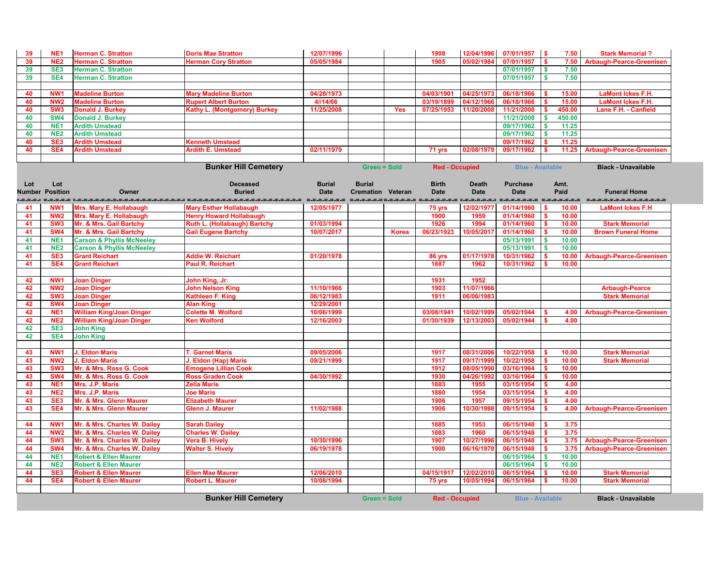| 39            | NE <sub>1</sub> | <b>Herman C. Stratton</b>            | <b>Doris Mae Stratton</b>           | 12/07/1996                |                          |              | 1908                  | 12/04/1996                 | 07/01/1957 \$               | 7.50                   | <b>Stark Memorial?</b>                          |
|---------------|-----------------|--------------------------------------|-------------------------------------|---------------------------|--------------------------|--------------|-----------------------|----------------------------|-----------------------------|------------------------|-------------------------------------------------|
| 39            | NE <sub>2</sub> | <b>Herman C. Stratton</b>            | <b>Herman Cory Stratton</b>         | 05/05/1984                |                          |              | 1905                  | 05/02/1984                 | 07/01/1957                  | 7.50                   | <b>Arbaugh-Pearce-Greenisen</b>                 |
| 39            | SE <sub>3</sub> | <b>Herman C. Stratton</b>            |                                     |                           |                          |              |                       |                            | 07/01/1957                  | \$<br>7.50             |                                                 |
| 39            | SE4             | <b>Herman C. Stratton</b>            |                                     |                           |                          |              |                       |                            | 07/01/1957                  | 7.50                   |                                                 |
|               |                 |                                      |                                     |                           |                          |              |                       |                            |                             |                        |                                                 |
| 40            | NW <sub>1</sub> | <b>Madeline Burton</b>               | <b>Mary Madeline Burton</b>         | 04/28/1973                |                          |              | 04/03/1901            | 04/25/1973                 | 06/18/1966                  | 15.00                  | <b>LaMont Ickes F.H.</b>                        |
| 40            | NW <sub>2</sub> | <b>Madeline Burton</b>               | <b>Rupert Albert Burton</b>         | 4//14/66                  |                          |              | 03/19/1899            | 04/12/1966                 | 06/18/1966                  | 15.00                  | <b>LaMont Ickes F.H.</b>                        |
| 40            | SW <sub>3</sub> | <b>Donald J. Burkey</b>              | Kathy L. (Montgomery) Burkey        | 11/25/2008                |                          | <b>Yes</b>   | 07/25/1953            | 11/20/2008                 | 11/21/2008                  | 450.00                 | Lane F.H. - Canfield                            |
| 40            | SW <sub>4</sub> | <b>Donald J. Burkey</b>              |                                     |                           |                          |              |                       |                            | 11/21/2008                  | 450.00                 |                                                 |
| 40            | NE <sup>1</sup> | <b>Ardith Umstead</b>                |                                     |                           |                          |              |                       |                            | 09/17/1962                  | 11.25                  |                                                 |
| 40            | <b>NE2</b>      | <b>Ardith Umstead</b>                |                                     |                           |                          |              |                       |                            | 09/17/1962                  | 11.25                  |                                                 |
| 40            | SE <sub>3</sub> | <b>Ardith Umstead</b>                | <b>Kenneth Umstead</b>              |                           |                          |              |                       |                            | 09/17/1962                  | 11.25                  |                                                 |
| 40            | SE <sub>4</sub> | <b>Ardith Umstead</b>                | <b>Ardith E. Umstead</b>            | 02/11/1979                |                          |              | 71 yrs                | 02/08/1979                 | 09/17/1962                  | 11.25                  | <b>Arbaugh-Pearce-Greenisen</b>                 |
|               |                 |                                      |                                     |                           |                          |              |                       |                            |                             |                        |                                                 |
|               |                 |                                      | <b>Bunker Hill Cemetery</b>         |                           | <b>Green = Sold</b>      |              | <b>Red - Occupied</b> |                            | <b>Blue - Available</b>     |                        | <b>Black - Unavailable</b>                      |
|               |                 |                                      |                                     |                           |                          |              |                       |                            |                             |                        |                                                 |
| Lot           | Lot             |                                      | <b>Deceased</b>                     | <b>Burial</b>             | <b>Burial</b>            |              | <b>Birth</b>          | <b>Death</b>               | <b>Purchase</b>             | Amt.                   |                                                 |
| <b>Number</b> | <b>Position</b> | Owner                                | <b>Buried</b>                       | <b>Date</b>               | <b>Cremation Veteran</b> |              | <b>Date</b>           | <b>Date</b>                | <b>Date</b>                 | Paid                   | <b>Funeral Home</b>                             |
|               | NW <sub>1</sub> | Mrs. Mary E. Hollabaugh              | <b>Mary Esther Hollabaugh</b>       | -----------<br>12/05/1977 |                          |              | .<br>75 yrs           | ------------<br>12/02/1977 | =_=_=_=_=_=_=<br>01/14/1960 | =-=-=-=-=-=-=<br>10.00 | ====================<br><b>LaMont Ickes F.H</b> |
| 41<br>41      | NW <sub>2</sub> | <b>Mrs. Mary E. Hollabaugh</b>       | <b>Henry Howard Hollabaugh</b>      |                           |                          |              | 1900                  | 1959                       | 01/14/1960                  | 10.00                  |                                                 |
| 41            | SW <sub>3</sub> | Mr. & Mrs. Gail Bartchy              | <b>Ruth L. (Hollabaugh) Bartchy</b> | 01/03/1994                |                          |              | 1926                  | 1994                       | 01/14/1960                  | 10.00                  | <b>Stark Memorial</b>                           |
| 41            | SW <sub>4</sub> | Mr. & Mrs. Gail Bartchy              | <b>Gail Eugene Bartchy</b>          | 10/07/2017                |                          | <b>Korea</b> | 06/23/1923            | 10/05/2017                 | 01/14/1960                  | 10.00                  | <b>Brown Funeral Home</b>                       |
| 41            | NE <sub>1</sub> | <b>Carson &amp; Phyllis McNeeley</b> |                                     |                           |                          |              |                       |                            | 05/13/1991                  | 10.00<br><b>S</b>      |                                                 |
| 41            | NE <sub>2</sub> | <b>Carson &amp; Phyllis McNeeley</b> |                                     |                           |                          |              |                       |                            | 05/13/1991                  | 10.00                  |                                                 |
| 41            | SE <sub>3</sub> | <b>Grant Reichart</b>                | <b>Addie W. Reichart</b>            | 01/20/1978                |                          |              | 86 yrs                | 01/17/1978                 | 10/31/1962                  | 10.00                  | <b>Arbaugh-Pearce-Greenisen</b>                 |
| 41            | SE <sub>4</sub> | <b>Grant Reichart</b>                | <b>Paul R. Reichart</b>             |                           |                          |              | 1887                  | 1962                       | 10/31/1962                  | 10.00                  |                                                 |
|               |                 |                                      |                                     |                           |                          |              |                       |                            |                             |                        |                                                 |
| 42            | NW <sub>1</sub> | <b>Joan Dinger</b>                   | John King, Jr.                      |                           |                          |              | 1931                  | 1952                       |                             |                        |                                                 |
| 42            | NW <sub>2</sub> | <b>Joan Dinger</b>                   | <b>John Nelson King</b>             | 11/10/1966                |                          |              | 1903                  | 11/07/1966                 |                             |                        | <b>Arbaugh-Pearce</b>                           |
| 42            | SW <sub>3</sub> | <b>Joan Dinger</b>                   | Kathleen F. King                    | 06/12/1983                |                          |              | 1911                  | 06/06/1983                 |                             |                        | <b>Stark Memorial</b>                           |
| 42            | <b>SW4</b>      | <b>Joan Dinger</b>                   | <b>Alan King</b>                    | 12/29/2001                |                          |              |                       |                            |                             |                        |                                                 |
| 42            | NE <sub>1</sub> | <b>William King/Joan Dinger</b>      | <b>Colette M. Wolford</b>           | 10/06/1999                |                          |              | 03/08/1941            | 10/02/1999                 | 05/02/1944                  | 4.00                   | <b>Arbaugh-Pearce-Greenisen</b>                 |
| 42            | NE <sub>2</sub> | <b>William King/Joan Dinger</b>      | <b>Ken Wolford</b>                  | 12/16/2003                |                          |              | 01/30/1939            | 12/13/2003                 | 05/02/1944                  | 4.00                   |                                                 |
| 42            | SE <sub>3</sub> | <b>John King</b>                     |                                     |                           |                          |              |                       |                            |                             |                        |                                                 |
| 42            | SE4             | <b>John King</b>                     |                                     |                           |                          |              |                       |                            |                             |                        |                                                 |
|               |                 |                                      |                                     |                           |                          |              |                       |                            |                             |                        |                                                 |
| 43            | NW <sub>1</sub> | <b>J. Eldon Maris</b>                | <b>T. Garnet Maris</b>              | 09/05/2006                |                          |              | 1917                  | 08/31/2006                 | 10/22/1958                  | 10.00                  | <b>Stark Memorial</b>                           |
| 43            | NW <sub>2</sub> | <b>J. Eldon Maris</b>                | J. Eldon (Hap) Maris                | 09/21/1999                |                          |              | 1917                  | 09/17/1999                 | 10/22/1958                  | 10.00                  | <b>Stark Memorial</b>                           |
| 43            | SW <sub>3</sub> | Mr. & Mrs. Ross G. Cook              | <b>Emogene Lillian Cook</b>         |                           |                          |              | 1912                  | 08/05/1990                 | 03/16/1964                  | 10.00                  |                                                 |
| 43            | <b>SW4</b>      | Mr. & Mrs. Ross G. Cook              | <b>Ross Graden Cook</b>             | 04/30/1992                |                          |              | 1930                  | 04/26/1992                 | 03/16/1964                  | 10.00                  |                                                 |
| 43            | NE <sub>1</sub> | Mrs. J.P. Maris                      | <b>Zella Maris</b>                  |                           |                          |              | 1883                  | 1955                       | 03/15/1954                  | 4.00                   |                                                 |
| 43            | NE <sub>2</sub> | Mrs. J.P. Maris                      | <b>Joe Maris</b>                    |                           |                          |              | 1880                  | 1954                       | 03/15/1954                  | 4.00                   |                                                 |
| 43            | SE <sub>3</sub> | Mr. & Mrs. Glenn Maurer              | <b>Elizabeth Maurer</b>             |                           |                          |              | 1906                  | 1957                       | 09/15/1954                  | 4.00<br>S.             |                                                 |
| 43            | SE4             | Mr. & Mrs. Glenn Maurer              | <b>Glenn J. Maurer</b>              | 11/02/1988                |                          |              | 1906                  | 10/30/1988                 | 09/15/1954                  | 4.00                   | <b>Arbaugh-Pearce-Greenisen</b>                 |
|               |                 |                                      |                                     |                           |                          |              |                       |                            |                             |                        |                                                 |
| 44            | NW <sub>1</sub> | Mr. & Mrs. Charles W. Dailey         | <b>Sarah Dailey</b>                 |                           |                          |              | 1885                  | 1953                       | 06/15/1948                  | 3.75                   |                                                 |
| 44            | NW <sub>2</sub> | Mr. & Mrs. Charles W. Dailey         | <b>Charles W. Dailey</b>            |                           |                          |              | 1883                  | 1960                       | 06/15/1948                  | 3.75<br>S.             |                                                 |
| 44            | SW <sub>3</sub> | Mr. & Mrs. Charles W. Dailey         | <b>Vera B. Hively</b>               | 10/30/1996                |                          |              | 1907                  | 10/27/1996                 | 06/15/1948                  | 3.75                   | <b>Arbaugh-Pearce-Greenisen</b>                 |
| 44            | SW <sub>4</sub> | Mr. & Mrs. Charles W. Dailey         | <b>Walter S. Hively</b>             | 06/19/1978                |                          |              | 1900                  | 06/16/1978                 | 06/15/1948                  | 3.75<br>S.             | <b>Arbaugh-Pearce-Greenisen</b>                 |
| 44            | NE <sub>1</sub> | <b>Robert &amp; Ellen Maurer</b>     |                                     |                           |                          |              |                       |                            | 06/15/1964                  | $\mathbf{s}$<br>10.00  |                                                 |
| 44            | <b>NE2</b>      | <b>Robert &amp; Ellen Maurer</b>     |                                     | 12/06/2010                |                          |              | 04/15/1917            |                            | 06/15/1964                  | 10.00<br><b>S</b>      |                                                 |
| 44            | SE <sub>3</sub> | <b>Robert &amp; Ellen Maurer</b>     | <b>Ellen Mae Maurer</b>             |                           |                          |              |                       | 12/02/2010                 | 06/15/1964                  | 10.00                  | <b>Stark Memorial</b>                           |
| 44            | SE <sub>4</sub> | <b>Robert &amp; Ellen Maurer</b>     | <b>Robert L. Maurer</b>             | 10/08/1994                |                          |              | 75 yrs                | 10/05/1994                 | 06/15/1964                  | 10.00                  | <b>Stark Memorial</b>                           |
|               |                 |                                      |                                     |                           |                          |              |                       |                            |                             |                        |                                                 |
|               |                 |                                      | <b>Bunker Hill Cemetery</b>         |                           | <b>Green = Sold</b>      |              | <b>Red - Occupied</b> |                            | <b>Blue - Available</b>     |                        | <b>Black - Unavailable</b>                      |

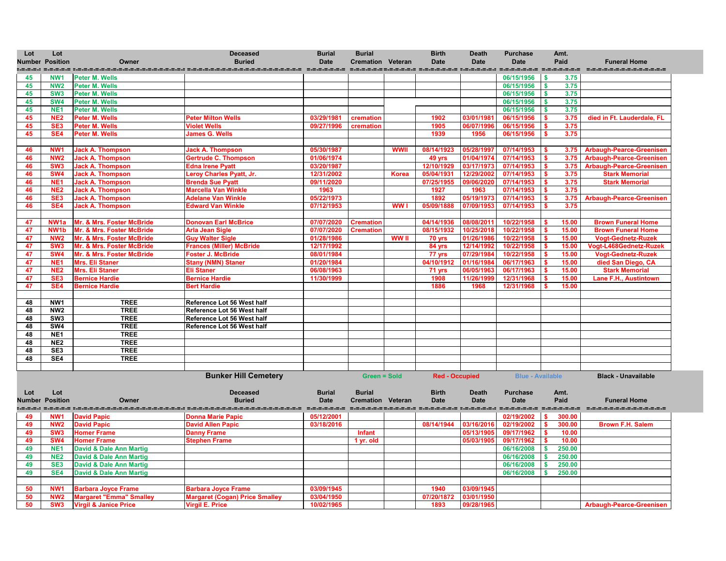

**Black - Unavailable** 

a aaaaaaaaaaaaaaa **SW3 Virgil & Janice Price Virgil E. Price 10/02/1965 1893 09/28/1965 Arbaugh-Pearce-Greenisen**

| Lot      | Lot<br><b>Number Position</b> | Owner                              | <b>Deceased</b><br><b>Buried</b>           | <b>Burial</b><br><b>Date</b> | <b>Burial</b><br><b>Cremation Veteran</b> |              | <b>Birth</b><br><b>Date</b> | <b>Death</b><br><b>Date</b> | <b>Purchase</b><br><b>Date</b> | Amt.<br>Paid                     | <b>Funeral Home</b>                         |
|----------|-------------------------------|------------------------------------|--------------------------------------------|------------------------------|-------------------------------------------|--------------|-----------------------------|-----------------------------|--------------------------------|----------------------------------|---------------------------------------------|
|          |                               |                                    |                                            |                              |                                           |              |                             |                             | =====================          |                                  | ==================                          |
| 45       | NW <sub>1</sub>               | <b>Peter M. Wells</b>              |                                            |                              |                                           |              |                             |                             | 06/15/1956                     | $\overline{\phantom{a}}$<br>3.75 |                                             |
| 45       | NW <sub>2</sub>               | Peter M. Wells                     |                                            |                              |                                           |              |                             |                             | 06/15/1956                     | 3.75<br>- \$                     |                                             |
| 45       | SW <sub>3</sub>               | Peter M. Wells                     |                                            |                              |                                           |              |                             |                             | 06/15/1956                     | 3.75<br>- \$                     |                                             |
| 45       | SW4                           | <b>Peter M. Wells</b>              |                                            |                              |                                           |              |                             |                             | 06/15/1956                     | 3.75                             |                                             |
| 45       | NE <sub>1</sub>               | <b>Peter M. Wells</b>              |                                            |                              |                                           |              |                             |                             | 06/15/1956                     | 3.75                             |                                             |
| 45       | NE <sub>2</sub>               | <b>Peter M. Wells</b>              | <b>Peter Milton Wells</b>                  | 03/29/1981                   | cremation                                 |              | 1902                        | 03/01/1981                  | 06/15/1956                     | 3.75                             | died in Ft. Lauderdale, F                   |
| 45       | SE <sub>3</sub>               | <b>Peter M. Wells</b>              | <b>Violet Wells</b>                        | 09/27/1996                   | cremation                                 |              | 1905                        | 06/07/1996                  | 06/15/1956                     | 3.75                             |                                             |
| 45       | SE4                           | <b>Peter M. Wells</b>              | <b>James G. Wells</b>                      |                              |                                           |              | 1939                        | 1956                        | 06/15/1956                     | 3.75                             |                                             |
|          |                               |                                    |                                            |                              |                                           |              |                             |                             |                                |                                  |                                             |
| 46       | NW <sub>1</sub>               | <b>Jack A. Thompson</b>            | <b>Jack A. Thompson</b>                    | 05/30/1987                   |                                           | <b>WWII</b>  | 08/14/1923                  | 05/28/1997                  | 07/14/1953                     | 3.75                             | <b>Arbaugh-Pearce-Greenis</b>               |
| 46       | NW <sub>2</sub>               | <b>Jack A. Thompson</b>            | Gertrude C. Thompson                       | 01/06/1974                   |                                           |              | 49 yrs                      | 01/04/1974                  | 07/14/1953                     | 3.75                             | <b>Arbaugh-Pearce-Greenis</b>               |
| 46       | SW <sub>3</sub>               | <b>Jack A. Thompson</b>            | <b>Edna Irene Pyatt</b>                    | 03/20/1987                   |                                           |              | 12/10/1929                  | 03/17/1973                  | 07/14/1953                     |                                  | 3.75 Arbaugh-Pearce-Greenis                 |
| 46       | <b>SW4</b>                    | <b>Jack A. Thompson</b>            | Leroy Charles Pyatt, Jr.                   | 12/31/2002                   |                                           | <b>Korea</b> | 05/04/1931                  | 12/29/2002                  | 07/14/1953                     | 3.75                             | <b>Stark Memorial</b>                       |
| 46       | NE <sub>1</sub>               | <b>Jack A. Thompson</b>            | <b>Brenda Sue Pyatt</b>                    | 09/11/2020                   |                                           |              | 07/25/1955                  | 09/06/2020                  | 07/14/1953                     | 3.75                             | <b>Stark Memorial</b>                       |
| 46       | NE <sub>2</sub>               | <b>Jack A. Thompson</b>            | <b>Marcella Van Winkle</b>                 | 1963                         |                                           |              | 1927                        | 1963                        | 07/14/1953                     | 3.75                             |                                             |
| 46       | SE <sub>3</sub>               | <b>Jack A. Thompson</b>            | <b>Adelane Van Winkle</b>                  | 05/22/1973                   |                                           |              | 1892                        | 05/19/1973                  | 07/14/1953                     |                                  | 3.75 Arbaugh-Pearce-Greenis                 |
| 46       | SE4                           | <b>Jack A. Thompson</b>            | <b>Edward Van Winkle</b>                   | 07/12/1953                   |                                           | WW I         | 05/09/1888                  | 07/09/1953                  | 07/14/1953                     | 3.75                             |                                             |
|          |                               |                                    |                                            |                              |                                           |              |                             |                             |                                |                                  |                                             |
| 47       | NW <sub>1a</sub>              | Mr. & Mrs. Foster McBride          | <b>Donovan Earl McBrice</b>                | 07/07/2020                   | <b>Cremation</b>                          |              | 04/14/1936                  | 08/08/201                   | 10/22/1958                     | 15.00                            | <b>Brown Funeral Home</b>                   |
| 47       | NW <sub>1</sub> b             | Mr. & Mrs. Foster McBride          | <b>Arla Jean Sigle</b>                     | 07/07/2020                   | <b>Cremation</b>                          |              | 08/15/1932                  | 10/25/2018                  | 10/22/1958                     | 15.00                            | <b>Brown Funeral Home</b>                   |
| 47       | NW <sub>2</sub>               | Mr. & Mrs. Foster McBride          | <b>Guy Walter Sigle</b>                    | 01/28/1986                   |                                           | <b>WW II</b> | 70 yrs                      | 01/26/1986                  | 10/22/1958                     | 15.00                            | <b>Vogt-Gednetz-Ruzek</b>                   |
| 47       | SW <sub>3</sub>               | Mr. & Mrs. Foster McBride          | <b>Frances (Miller) McBride</b>            | 12/17/1992                   |                                           |              | 84 yrs                      | 12/14/1992                  | 10/22/1958                     | 15.00                            | Vogt-L468Gednetz-Ruz                        |
| 47       | <b>SW4</b>                    | Mr. & Mrs. Foster McBride          | <b>Foster J. McBride</b>                   | 08/01/1984                   |                                           |              | 77 yrs                      | 07/29/1984                  | 10/22/1958                     | 15.00                            | <b>Vogt-Gednetz-Ruzek</b>                   |
| 47       | NE <sub>1</sub>               | Mrs. Eli Staner                    | <b>Stany (NMN) Staner</b>                  | 01/20/1984                   |                                           |              | 04/10/1912                  | 01/16/1984                  | 06/17/1963                     | 15.00                            | died San Diego, CA<br><b>Stark Memorial</b> |
| 47       | NE <sub>2</sub>               | Mrs. Eli Staner                    | <b>Eli Staner</b><br><b>Bernice Hardie</b> | 06/08/1963<br>11/30/1999     |                                           |              | 71 yrs<br>1908              | 06/05/1963<br>11/26/1999    | 06/17/1963<br>12/31/1968       | 15.00                            |                                             |
| 47       | SE <sub>3</sub><br>SE4        | <b>Bernice Hardie</b>              |                                            |                              |                                           |              | 1886                        | 1968                        |                                | 15.00                            | <b>Lane F.H., Austintown</b>                |
| 47       |                               | <b>Bernice Hardie</b>              | <b>Bert Hardie</b>                         |                              |                                           |              |                             |                             | 12/31/1968                     | 15.00                            |                                             |
|          | NW1                           | <b>TREE</b>                        | Reference Lot 56 West half                 |                              |                                           |              |                             |                             |                                |                                  |                                             |
| 48<br>48 | NW <sub>2</sub>               | <b>TREE</b>                        | Reference Lot 56 West half                 |                              |                                           |              |                             |                             |                                |                                  |                                             |
| 48       | SW <sub>3</sub>               | <b>TREE</b>                        | Reference Lot 56 West half                 |                              |                                           |              |                             |                             |                                |                                  |                                             |
| 48       | SW4                           | <b>TREE</b>                        | Reference Lot 56 West half                 |                              |                                           |              |                             |                             |                                |                                  |                                             |
| 48       | NE <sub>1</sub>               | <b>TREE</b>                        |                                            |                              |                                           |              |                             |                             |                                |                                  |                                             |
|          | NE <sub>2</sub>               | <b>TREE</b>                        |                                            |                              |                                           |              |                             |                             |                                |                                  |                                             |
| 48<br>48 | SE <sub>3</sub>               | <b>TREE</b>                        |                                            |                              |                                           |              |                             |                             |                                |                                  |                                             |
| 48       | SE4                           | <b>TREE</b>                        |                                            |                              |                                           |              |                             |                             |                                |                                  |                                             |
|          |                               |                                    |                                            |                              |                                           |              |                             |                             |                                |                                  |                                             |
|          |                               |                                    | <b>Bunker Hill Cemetery</b>                |                              | <b>Green = Sold</b>                       |              | <b>Red - Occupied</b>       |                             | <b>Blue - Available</b>        |                                  | <b>Black - Unavailable</b>                  |
|          |                               |                                    |                                            |                              |                                           |              |                             |                             |                                |                                  |                                             |
| Lot      | Lot                           |                                    | <b>Deceased</b>                            | <b>Burial</b>                | <b>Burial</b>                             |              | <b>Birth</b>                | <b>Death</b>                | <b>Purchase</b>                | Amt.                             |                                             |
|          | <b>Number Position</b>        | Owner                              | <b>Buried</b>                              | <b>Date</b>                  | <b>Cremation Veteran</b>                  |              | <b>Date</b>                 | <b>Date</b>                 | <b>Date</b>                    | Paid                             | <b>Funeral Home</b>                         |
|          |                               | .=.=.=.= :.=.=.=.=.=.=.=.=.=.=.=.  | ===============                            |                              |                                           |              |                             |                             |                                |                                  |                                             |
| 49       | NW <sub>1</sub>               | <b>David Papic</b>                 | <b>Donna Marie Papic</b>                   | 05/12/2001                   |                                           |              |                             |                             | 02/19/2002                     | 300.00<br>-S                     |                                             |
| 49       | NW <sub>2</sub>               | <b>David Papic</b>                 | <b>David Allen Papic</b>                   | 03/18/2016                   |                                           |              | 08/14/1944                  | 03/16/2016                  | 02/19/2002                     | 300.00                           | <b>Brown F.H. Salem</b>                     |
| 49       | SW <sub>3</sub>               | <b>Homer Frame</b>                 | <b>Danny Frame</b>                         |                              | <b>Infant</b>                             |              |                             | 05/13/1905                  | 09/17/1962                     | 10.00                            |                                             |
| 49       | <b>SW4</b>                    | <b>Homer Frame</b>                 | <b>Stephen Frame</b>                       |                              | 1 yr. old                                 |              |                             | 05/03/1905                  | 09/17/1962                     | 10.00                            |                                             |
| 49       | NE <sub>1</sub>               | <b>David &amp; Dale Ann Martig</b> |                                            |                              |                                           |              |                             |                             | 06/16/2008                     | 250.00                           |                                             |
| 49       | <b>NE2</b>                    | <b>David &amp; Dale Ann Martig</b> |                                            |                              |                                           |              |                             |                             | 06/16/2008                     | 250.00                           |                                             |
| 49       | SE <sub>3</sub>               | <b>David &amp; Dale Ann Martig</b> |                                            |                              |                                           |              |                             |                             | 06/16/2008                     | 250.00                           |                                             |
| 49       | SE4                           | <b>David &amp; Dale Ann Martig</b> |                                            |                              |                                           |              |                             |                             | 06/16/2008                     | 250.00                           |                                             |
|          |                               |                                    |                                            |                              |                                           |              |                             |                             |                                |                                  |                                             |
| 50       | NW <sub>1</sub>               | <b>Barbara Joyce Frame</b>         | <b>Barbara Joyce Frame</b>                 | 03/09/1945                   |                                           |              | 1940                        | 03/09/1945                  |                                |                                  |                                             |
| 50       | NW <sub>2</sub>               | <b>Margaret "Emma" Smalley</b>     | <b>Margaret (Cogan) Price Smalley</b>      | 03/04/1950                   |                                           |              | 07/20/1872                  | 03/01/1950                  |                                |                                  |                                             |
| 50       | SW <sub>3</sub>               | <b>Virgil &amp; Janice Price</b>   | <b>Virgil E. Price</b>                     | 10/02/1965                   |                                           |              | 1893                        | 09/28/1965                  |                                |                                  | <b>Arbaugh-Pearce-Greenis</b>               |
|          |                               |                                    |                                            |                              |                                           |              |                             |                             |                                |                                  |                                             |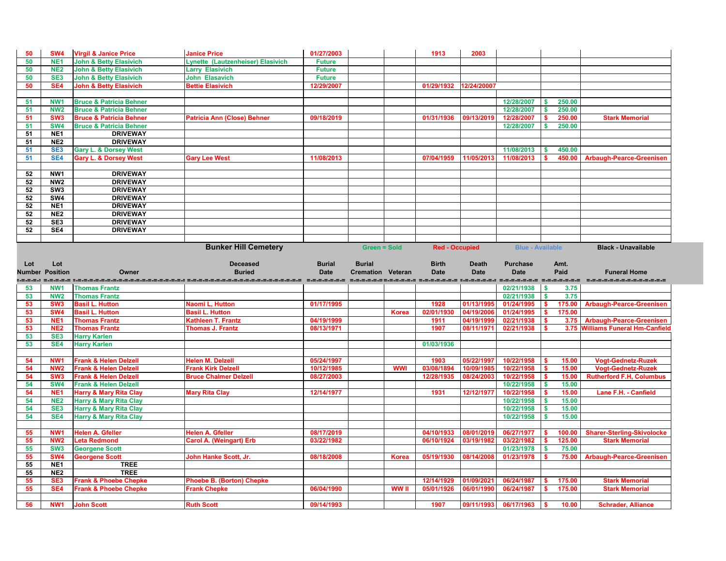| 50                                                                                                                                                        | SW <sub>4</sub>        | <b>Virgil &amp; Janice Price</b>                | <b>Janice Price</b>                | 01/27/2003    |                          |              | 1913                  | 2003         |                         |              |        |                                   |
|-----------------------------------------------------------------------------------------------------------------------------------------------------------|------------------------|-------------------------------------------------|------------------------------------|---------------|--------------------------|--------------|-----------------------|--------------|-------------------------|--------------|--------|-----------------------------------|
| 50                                                                                                                                                        | NE <sub>1</sub>        | <b>John &amp; Betty Elasivich</b>               | Lynette (Lautzenheiser) Elasivich  | <b>Future</b> |                          |              |                       |              |                         |              |        |                                   |
| 50                                                                                                                                                        | NE <sub>2</sub>        | <b>John &amp; Betty Elasivich</b>               | <b>Larry Elasivich</b>             | <b>Future</b> |                          |              |                       |              |                         |              |        |                                   |
| 50                                                                                                                                                        | SE <sub>3</sub>        | <b>John &amp; Betty Elasivich</b>               | <b>John Elasavich</b>              | <b>Future</b> |                          |              |                       |              |                         |              |        |                                   |
| 50                                                                                                                                                        | SE <sub>4</sub>        | <b>John &amp; Betty Elasivich</b>               | <b>Bettie Elasivich</b>            | 12/29/2007    |                          |              | 01/29/1932            | 12/24/20007  |                         |              |        |                                   |
|                                                                                                                                                           |                        |                                                 |                                    |               |                          |              |                       |              |                         |              |        |                                   |
| 51                                                                                                                                                        | <b>NW</b>              | <b>Bruce &amp; Patricia Behner</b>              |                                    |               |                          |              |                       |              | 12/28/2007              |              | 250.00 |                                   |
| 51                                                                                                                                                        | NW <sub>2</sub>        | <b>Bruce &amp; Patricia Behner</b>              |                                    |               |                          |              |                       |              | 12/28/2007              |              | 250.00 |                                   |
| 51                                                                                                                                                        | SW <sub>3</sub>        | <b>Bruce &amp; Patricia Behner</b>              | <b>Patricia Ann (Close) Behner</b> | 09/18/2019    |                          |              | 01/31/1936            | 09/13/2019   | 12/28/2007              |              | 250.00 | <b>Stark Memorial</b>             |
| 51                                                                                                                                                        | SW <sub>4</sub>        | <b>Bruce &amp; Patricia Behner</b>              |                                    |               |                          |              |                       |              | 12/28/2007              |              | 250.00 |                                   |
| 51                                                                                                                                                        | NE <sub>1</sub>        | <b>DRIVEWAY</b>                                 |                                    |               |                          |              |                       |              |                         |              |        |                                   |
| 51                                                                                                                                                        | NE <sub>2</sub>        | <b>DRIVEWAY</b>                                 |                                    |               |                          |              |                       |              |                         |              |        |                                   |
| 51                                                                                                                                                        | SE <sub>3</sub>        | <b>Gary L. &amp; Dorsey West</b>                |                                    |               |                          |              |                       |              | 11/08/2013              |              | 450.00 |                                   |
| 51                                                                                                                                                        | SE4                    | <b>Gary L. &amp; Dorsey West</b>                | <b>Gary Lee West</b>               | 11/08/2013    |                          |              | 07/04/1959            | 11/05/2013   | 11/08/2013              |              | 450.00 | <b>Arbaugh-Pearce-Greenisen</b>   |
|                                                                                                                                                           |                        |                                                 |                                    |               |                          |              |                       |              |                         |              |        |                                   |
|                                                                                                                                                           |                        |                                                 |                                    |               |                          |              |                       |              |                         |              |        |                                   |
| 52                                                                                                                                                        | NW1                    | <b>DRIVEWAY</b>                                 |                                    |               |                          |              |                       |              |                         |              |        |                                   |
| 52                                                                                                                                                        | NW <sub>2</sub>        | <b>DRIVEWAY</b>                                 |                                    |               |                          |              |                       |              |                         |              |        |                                   |
| 52                                                                                                                                                        | SW <sub>3</sub>        | <b>DRIVEWAY</b>                                 |                                    |               |                          |              |                       |              |                         |              |        |                                   |
| 52                                                                                                                                                        | SW4                    | <b>DRIVEWAY</b>                                 |                                    |               |                          |              |                       |              |                         |              |        |                                   |
| 52                                                                                                                                                        | NE <sub>1</sub>        | <b>DRIVEWAY</b>                                 |                                    |               |                          |              |                       |              |                         |              |        |                                   |
| 52                                                                                                                                                        | NE <sub>2</sub>        | <b>DRIVEWAY</b>                                 |                                    |               |                          |              |                       |              |                         |              |        |                                   |
| 52                                                                                                                                                        | SE <sub>3</sub>        | <b>DRIVEWAY</b>                                 |                                    |               |                          |              |                       |              |                         |              |        |                                   |
| 52                                                                                                                                                        | SE4                    | <b>DRIVEWAY</b>                                 |                                    |               |                          |              |                       |              |                         |              |        |                                   |
|                                                                                                                                                           |                        |                                                 |                                    |               |                          |              |                       |              |                         |              |        |                                   |
|                                                                                                                                                           |                        |                                                 | <b>Bunker Hill Cemetery</b>        |               | <b>Green = Sold</b>      |              | <b>Red - Occupied</b> |              | <b>Blue - Available</b> |              |        | <b>Black - Unavailable</b>        |
|                                                                                                                                                           |                        |                                                 |                                    |               |                          |              |                       |              |                         |              |        |                                   |
|                                                                                                                                                           |                        |                                                 |                                    | <b>Burial</b> | <b>Burial</b>            |              | <b>Birth</b>          | <b>Death</b> | <b>Purchase</b>         |              |        |                                   |
|                                                                                                                                                           | Lot                    |                                                 | <b>Deceased</b>                    |               |                          |              |                       |              |                         |              | Amt.   |                                   |
|                                                                                                                                                           | <b>Number Position</b> | Owner                                           | <b>Buried</b>                      | <b>Date</b>   | <b>Cremation Veteran</b> |              | <b>Date</b>           | <b>Date</b>  | <b>Date</b>             |              | Paid   | <b>Funeral Home</b>               |
|                                                                                                                                                           |                        | <u>:.s.s.s.; s.s.s.s.; :.s.s.s.s.s.s.s.s.s.</u> |                                    |               |                          |              |                       |              | ========== =========    |              |        |                                   |
|                                                                                                                                                           | NW <sub>1</sub>        | <b>Thomas Frantz</b>                            |                                    |               |                          |              |                       |              | 02/21/1938              | \$           | 3.75   |                                   |
|                                                                                                                                                           | NW <sub>2</sub>        | <b>Thomas Frantz</b>                            |                                    |               |                          |              |                       |              | 02/21/1938              | <b>S</b>     | 3.75   |                                   |
|                                                                                                                                                           | SW <sub>3</sub>        | <b>Basil L. Hutton</b>                          | Naomi L, Hutton                    | 01/17/1995    |                          |              | 1928                  | 01/13/1995   | 01/24/1995              |              | 175.00 | <b>Arbaugh-Pearce-Greenisen</b>   |
|                                                                                                                                                           | SW <sub>4</sub>        | <b>Basil L. Hutton</b>                          | <b>Basil L. Hutton</b>             |               |                          | <b>Korea</b> | 02/01/1930            | 04/19/2006   | 01/24/1995              |              | 175.00 |                                   |
|                                                                                                                                                           | NE <sub>1</sub>        | <b>Thomas Frantz</b>                            | <b>Kathleen T. Frantz</b>          | 04/19/1999    |                          |              | 1911                  | 04/19/1999   | 02/21/1938              |              | 3.75   | <b>Arbaugh-Pearce-Greenisen</b>   |
|                                                                                                                                                           | NE <sub>2</sub>        | <b>Thomas Frantz</b>                            | <b>Thomas J. Frantz</b>            | 08/13/1971    |                          |              | 1907                  | 08/11/1971   | 02/21/1938              |              |        | 3.75 Williams Funeral Hm-Canfield |
|                                                                                                                                                           |                        |                                                 |                                    |               |                          |              |                       |              |                         |              |        |                                   |
|                                                                                                                                                           | SE <sub>3</sub>        | <b>Harry Karlen</b>                             |                                    |               |                          |              |                       |              |                         |              |        |                                   |
|                                                                                                                                                           | SE4                    | <b>Harry Karlen</b>                             |                                    |               |                          |              | 01/03/1936            |              |                         |              |        |                                   |
|                                                                                                                                                           |                        |                                                 |                                    |               |                          |              |                       |              |                         |              |        |                                   |
|                                                                                                                                                           | NW <sub>1</sub>        | <b>Frank &amp; Helen Delzell</b>                | <b>Helen M. Delzell</b>            | 05/24/1997    |                          |              | 1903                  | 05/22/1997   | 10/22/1958              |              | 15.00  | <b>Vogt-Gednetz-Ruzek</b>         |
|                                                                                                                                                           | NW <sub>2</sub>        | <b>Frank &amp; Helen Delzell</b>                | <b>Frank Kirk Delzell</b>          | 10/12/1985    |                          | <b>WWI</b>   | 03/08/1894            | 10/09/1985   | 10/22/1958              |              | 15.00  | <b>Vogt-Gednetz-Ruzek</b>         |
|                                                                                                                                                           | SW <sub>3</sub>        | <b>Frank &amp; Helen Delzell</b>                | <b>Bruce Chalmer Delzell</b>       | 08/27/2003    |                          |              | 12/28/1935            | 08/24/2003   | 10/22/1958              |              | 15.00  | <b>Rutherford F.H, Columbus</b>   |
|                                                                                                                                                           | SW <sub>4</sub>        | <b>Frank &amp; Helen Delzell</b>                |                                    |               |                          |              |                       |              | 10/22/1958              | $\mathbf{s}$ | 15.00  |                                   |
|                                                                                                                                                           | NE <sub>1</sub>        | <b>Harry &amp; Mary Rita Clay</b>               | <b>Mary Rita Clay</b>              | 12/14/1977    |                          |              | 1931                  | 12/12/1977   | 10/22/1958              |              | 15.00  | Lane F.H. - Canfield              |
|                                                                                                                                                           | <b>NE2</b>             | <b>Harry &amp; Mary Rita Clay</b>               |                                    |               |                          |              |                       |              | 10/22/1958              | $\mathbf{s}$ | 15.00  |                                   |
|                                                                                                                                                           | SE <sub>3</sub>        | <b>Harry &amp; Mary Rita Clay</b>               |                                    |               |                          |              |                       |              | 10/22/1958              | S.           | 15.00  |                                   |
|                                                                                                                                                           | SE4                    | <b>Harry &amp; Mary Rita Clay</b>               |                                    |               |                          |              |                       |              | 10/22/1958              |              | 15.00  |                                   |
|                                                                                                                                                           |                        |                                                 |                                    |               |                          |              |                       |              |                         |              |        |                                   |
|                                                                                                                                                           | NW <sub>1</sub>        | <b>Helen A. Gfeller</b>                         | Helen A. Gfeller                   | 08/17/2019    |                          |              | 04/10/1933            | 08/01/2019   | 06/27/1977              |              | 100.00 | <b>Sharer-Sterling-Skivolocke</b> |
|                                                                                                                                                           | NW <sub>2</sub>        | <b>Leta Redmond</b>                             | <b>Carol A. (Weingart) Erb</b>     | 03/22/1982    |                          |              | 06/10/1924            | 03/19/1982   | 03/22/1982              |              | 125.00 | <b>Stark Memorial</b>             |
|                                                                                                                                                           | SW <sub>3</sub>        | <b>Georgene Scott</b>                           |                                    |               |                          |              |                       |              | 01/23/1978              | - \$         | 75.00  |                                   |
|                                                                                                                                                           | SW <sub>4</sub>        | <b>Georgene Scott</b>                           | <b>John Hanke Scott, Jr.</b>       | 08/18/2008    |                          | <b>Korea</b> | 05/19/1930            | 08/14/2008   | 01/23/1978              |              | 75.00  | <b>Arbaugh-Pearce-Greenisen</b>   |
|                                                                                                                                                           | NE <sub>1</sub>        | <b>TREE</b>                                     |                                    |               |                          |              |                       |              |                         |              |        |                                   |
|                                                                                                                                                           | NE <sub>2</sub>        | <b>TREE</b>                                     |                                    |               |                          |              |                       |              |                         |              |        |                                   |
|                                                                                                                                                           | SE <sub>3</sub>        | <b>Frank &amp; Phoebe Chepke</b>                | <b>Phoebe B. (Borton) Chepke</b>   |               |                          |              | 12/14/1929            | 01/09/2021   | 06/24/1987              |              | 175.00 | <b>Stark Memorial</b>             |
|                                                                                                                                                           | SE4                    | <b>Frank &amp; Phoebe Chepke</b>                | <b>Frank Chepke</b>                | 06/04/1990    |                          | WW II        | 05/01/1926            | 06/01/1990   | 06/24/1987              |              | 175.00 | <b>Stark Memorial</b>             |
|                                                                                                                                                           |                        |                                                 |                                    |               |                          |              |                       |              |                         |              |        |                                   |
| Lot<br>53<br>53<br>53<br>53<br>53<br>53<br>53<br>53<br>54<br>54<br>54<br>54<br>54<br>54<br>54<br>54<br>55<br>55<br>55<br>55<br>55<br>55<br>55<br>55<br>56 | NW <sub>1</sub>        | <b>John Scott</b>                               | <b>Ruth Scott</b>                  | 09/14/1993    |                          |              | 1907                  | 09/11/1993   | 06/17/1963              |              | 10.00  | <b>Schrader, Alliance</b>         |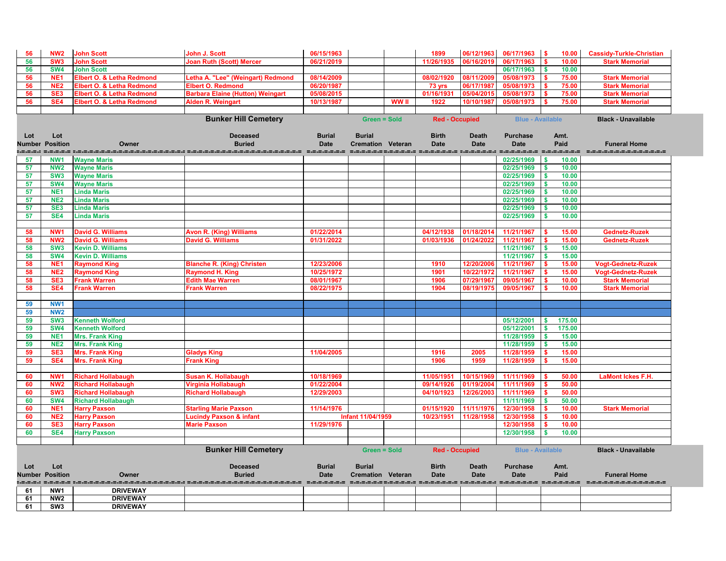| 56            | NW <sub>2</sub>               | <b>John Scott</b>                                | <b>John J. Scott</b>                                                                                                 | 06/15/1963    |                          |              | 1899                  | 06/12/1963   | 06/17/1963               | 10.00<br>-S                         | <b>Cassidy-Turkle-Christian</b> |
|---------------|-------------------------------|--------------------------------------------------|----------------------------------------------------------------------------------------------------------------------|---------------|--------------------------|--------------|-----------------------|--------------|--------------------------|-------------------------------------|---------------------------------|
| 56            | SW <sub>3</sub>               | <b>John Scott</b>                                | <b>Joan Ruth (Scott) Mercer</b>                                                                                      | 06/21/2019    |                          |              | 11/26/1935            | 06/16/2019   | 06/17/1963               | 10.00                               | <b>Stark Memorial</b>           |
| 56            | <b>SW4</b>                    | <b>John Scott</b>                                |                                                                                                                      |               |                          |              |                       |              | 06/17/1963               | \$<br>10.00                         |                                 |
| 56            | NE <sub>1</sub>               | Elbert O. & Letha Redmond                        | Letha A. "Lee" (Weingart) Redmond                                                                                    | 08/14/2009    |                          |              | 08/02/1920            | 08/11/2009   | 05/08/1973               | 75.00                               | <b>Stark Memorial</b>           |
| 56            | NE <sub>2</sub>               | Elbert O. & Letha Redmond                        | <b>Elbert O. Redmond</b>                                                                                             | 06/20/1987    |                          |              | 73 yrs                | 06/17/1987   | 05/08/1973               | 75.00                               | <b>Stark Memorial</b>           |
| 56            | SE <sub>3</sub>               | <b>Elbert O. &amp; Letha Redmond</b>             | <b>Barbara Elaine (Hutton) Weingart</b>                                                                              | 05/08/2015    |                          |              | 01/16/1931            | 05/04/2015   | 05/08/1973               | 75.00                               | <b>Stark Memorial</b>           |
| 56            | SE4                           | <b>Elbert O. &amp; Letha Redmond</b>             | <b>Alden R. Weingart</b>                                                                                             | 10/13/1987    |                          | <b>WW</b> II | 1922                  | 10/10/1987   | 05/08/1973               | 75.00                               | <b>Stark Memorial</b>           |
|               |                               |                                                  |                                                                                                                      |               |                          |              |                       |              |                          |                                     |                                 |
|               |                               |                                                  | <b>Bunker Hill Cemetery</b>                                                                                          |               | <b>Green = Sold</b>      |              | <b>Red - Occupied</b> |              | <b>Blue - Available</b>  |                                     | <b>Black - Unavailable</b>      |
|               |                               |                                                  |                                                                                                                      |               |                          |              |                       |              |                          |                                     |                                 |
| Lot           | Lot                           |                                                  | <b>Deceased</b>                                                                                                      | <b>Burial</b> | <b>Burial</b>            |              | <b>Birth</b>          | <b>Death</b> | <b>Purchase</b>          | Amt.                                |                                 |
| <b>Number</b> | <b>Position</b>               | Owner                                            | <b>Buried</b>                                                                                                        | <b>Date</b>   | <b>Cremation Veteran</b> |              | <b>Date</b>           | <b>Date</b>  | <b>Date</b>              | Paid                                | <b>Funeral Home</b>             |
|               |                               |                                                  | <u>taanse varandarandarandaran taandarandarandarandaran taandara taanda taanda taandar wandara taandara taandara</u> |               |                          |              |                       |              |                          |                                     | ---------------------           |
| 57            | NW <sub>1</sub>               | <b>Wayne Maris</b>                               |                                                                                                                      |               |                          |              |                       |              | 02/25/1969               | 10.00<br><b>S</b>                   |                                 |
| 57            | <b>NW2</b>                    | <b>Wayne Maris</b>                               |                                                                                                                      |               |                          |              |                       |              | 02/25/1969               | 10.00<br>$\boldsymbol{\mathsf{s}}$  |                                 |
| 57            | SW <sub>3</sub>               | <b>Wayne Maris</b>                               |                                                                                                                      |               |                          |              |                       |              | 02/25/1969               | 10.00<br>$\boldsymbol{\mathsf{s}}$  |                                 |
| 57<br>57      | <b>SW4</b><br>NE <sub>1</sub> | <b>Wayne Maris</b><br><b>Linda Maris</b>         |                                                                                                                      |               |                          |              |                       |              | 02/25/1969<br>02/25/1969 | 10.00<br>\$<br>10.00                |                                 |
| 57            | <b>NE2</b>                    | <b>Linda Maris</b>                               |                                                                                                                      |               |                          |              |                       |              | 02/25/1969               | 10.00                               |                                 |
| 57            | SE <sub>3</sub>               | <b>Linda Maris</b>                               |                                                                                                                      |               |                          |              |                       |              | 02/25/1969               | 10.00                               |                                 |
| 57            | SE4                           | <b>Linda Maris</b>                               |                                                                                                                      |               |                          |              |                       |              | 02/25/1969               | 10.00                               |                                 |
|               |                               |                                                  |                                                                                                                      |               |                          |              |                       |              |                          |                                     |                                 |
| 58            | NW <sub>1</sub>               | <b>David G. Williams</b>                         | <b>Avon R. (King) Williams</b>                                                                                       | 01/22/2014    |                          |              | 04/12/1938            | 01/18/2014   | 11/21/1967               | 15.00                               | <b>Gednetz-Ruzek</b>            |
| 58            | NW <sub>2</sub>               | <b>David G. Williams</b>                         | <b>David G. Williams</b>                                                                                             | 01/31/2022    |                          |              | 01/03/1936            | 01/24/2022   | 11/21/1967               | 15.00                               | <b>Gednetz-Ruzek</b>            |
| 58            | SW <sub>3</sub>               | <b>Kevin D. Williams</b>                         |                                                                                                                      |               |                          |              |                       |              | 11/21/1967               | 15.00<br>$\boldsymbol{\mathsf{s}}$  |                                 |
| 58            | <b>SW4</b>                    | <b>Kevin D. Williams</b>                         |                                                                                                                      |               |                          |              |                       |              | 11/21/1967               | 15.00<br>-S                         |                                 |
| 58            | NE <sub>1</sub>               | <b>Raymond King</b>                              | <b>Blanche R. (King) Christen</b>                                                                                    | 12/23/2006    |                          |              | 1910                  | 12/20/2006   | 11/21/1967               | 15.00<br>-S                         | <b>Vogt-Gednetz-Ruzek</b>       |
| 58            | NE <sub>2</sub>               | <b>Raymond King</b>                              | <b>Raymond H. King</b>                                                                                               | 10/25/1972    |                          |              | 1901                  | 10/22/197    | 11/21/1967               | 15.00<br>-\$                        | <b>Vogt-Gednetz-Ruzek</b>       |
| 58            | SE <sub>3</sub>               | <b>Frank Warren</b>                              | <b>Edith Mae Warren</b>                                                                                              | 08/01/1967    |                          |              | 1906                  | 07/29/1967   | 09/05/1967               | 10.00                               | <b>Stark Memorial</b>           |
| 58            | SE4                           | <b>Frank Warren</b>                              | <b>Frank Warren</b>                                                                                                  | 08/22/1975    |                          |              | 1904                  | 08/19/1975   | 09/05/1967               | 10.00                               | <b>Stark Memorial</b>           |
|               |                               |                                                  |                                                                                                                      |               |                          |              |                       |              |                          |                                     |                                 |
| 59            | NW <sub>1</sub>               |                                                  |                                                                                                                      |               |                          |              |                       |              |                          |                                     |                                 |
| 59            | <b>NW2</b>                    |                                                  |                                                                                                                      |               |                          |              |                       |              |                          |                                     |                                 |
| 59            | SW <sub>3</sub>               | <b>Kenneth Wolford</b>                           |                                                                                                                      |               |                          |              |                       |              | 05/12/2001               | 175.00                              |                                 |
| 59            | <b>SW4</b>                    | <b>Kenneth Wolford</b>                           |                                                                                                                      |               |                          |              |                       |              | 05/12/2001               | 175.00<br>$\boldsymbol{\mathsf{s}}$ |                                 |
| 59            | NE <sub>1</sub>               | <b>Mrs. Frank King</b>                           |                                                                                                                      |               |                          |              |                       |              | 11/28/1959               | $\sqrt{5}$<br>15.00                 |                                 |
| 59            | <b>NE2</b>                    | <b>Mrs. Frank King</b>                           |                                                                                                                      |               |                          |              |                       |              | 11/28/1959               | 15.00<br><b>S</b>                   |                                 |
| 59            | SE <sub>3</sub><br>SE4        | <b>Mrs. Frank King</b><br><b>Mrs. Frank King</b> | <b>Gladys King</b><br><b>Frank King</b>                                                                              | 11/04/2005    |                          |              | 1916<br>1906          | 2005<br>1959 | 11/28/1959<br>11/28/1959 | 15.00<br>15.00                      |                                 |
| 59            |                               |                                                  |                                                                                                                      |               |                          |              |                       |              |                          |                                     |                                 |
| 60            | NW <sub>1</sub>               | <b>Richard Hollabaugh</b>                        | <b>Susan K. Hollabaugh</b>                                                                                           | 10/18/1969    |                          |              | 11/05/1951            | 10/15/1969   | 11/11/1969               | 50.00                               | <b>LaMont Ickes F.H.</b>        |
| 60            | NW <sub>2</sub>               | <b>Richard Hollabaugh</b>                        | <b>Virginia Hollabaugh</b>                                                                                           | 01/22/2004    |                          |              | 09/14/1926            | 01/19/2004   | 11/11/1969               | 50.00                               |                                 |
| 60            | SW <sub>3</sub>               | <b>Richard Hollabaugh</b>                        | <b>Richard Hollabaugh</b>                                                                                            | 12/29/2003    |                          |              | 04/10/1923            | 12/26/2003   | 11/11/1969               | 50.00                               |                                 |
| 60            | SW <sub>4</sub>               | <b>Richard Hollabaugh</b>                        |                                                                                                                      |               |                          |              |                       |              | 11/11/1969               | 50.00                               |                                 |
| 60            | NE <sub>1</sub>               | <b>Harry Paxson</b>                              | <b>Starling Marie Paxson</b>                                                                                         | 11/14/1976    |                          |              | 01/15/1920            | 11/11/1976   | 12/30/1958               | 10.00                               | <b>Stark Memorial</b>           |
| 60            | NE <sub>2</sub>               | <b>Harry Paxson</b>                              | <b>Lucindy Paxson &amp; infant</b>                                                                                   |               | <b>Infant 11/04/1959</b> |              | 10/23/1951            | 11/28/1958   | 12/30/1958               | 10.00                               |                                 |
| 60            | SE <sub>3</sub>               | <b>Harry Paxson</b>                              | <b>Marie Paxson</b>                                                                                                  | 11/29/1976    |                          |              |                       |              | 12/30/1958               | 10.00                               |                                 |
| 60            | SE4                           | <b>Harry Paxson</b>                              |                                                                                                                      |               |                          |              |                       |              | 12/30/1958               | 10.00                               |                                 |
|               |                               |                                                  |                                                                                                                      |               |                          |              |                       |              |                          |                                     |                                 |
|               |                               |                                                  | <b>Bunker Hill Cemetery</b>                                                                                          |               | <b>Green = Sold</b>      |              | <b>Red - Occupied</b> |              | <b>Blue - Available</b>  |                                     | <b>Black - Unavailable</b>      |
|               |                               |                                                  |                                                                                                                      |               |                          |              |                       |              |                          |                                     |                                 |
| Lot           | Lot                           |                                                  | <b>Deceased</b>                                                                                                      | <b>Burial</b> | <b>Burial</b>            |              | <b>Birth</b>          | <b>Death</b> | <b>Purchase</b>          | Amt.                                |                                 |
|               | <b>Number Position</b>        | Owner                                            | <b>Buried</b>                                                                                                        | <b>Date</b>   | <b>Cremation Veteran</b> |              | <b>Date</b>           | <b>Date</b>  | <b>Date</b>              | Paid                                | <b>Funeral Home</b>             |
|               |                               |                                                  | aadaadaada sadadaan sadadaadaada sadadaan waxaada sadadaa aada                                                       |               |                          |              |                       |              |                          |                                     |                                 |
| 61            | NW1                           | <b>DRIVEWAY</b>                                  |                                                                                                                      |               |                          |              |                       |              |                          |                                     |                                 |
| 61            | NW <sub>2</sub>               | <b>DRIVEWAY</b>                                  |                                                                                                                      |               |                          |              |                       |              |                          |                                     |                                 |
| 61            | SW <sub>3</sub>               | <b>DRIVEWAY</b>                                  |                                                                                                                      |               |                          |              |                       |              |                          |                                     |                                 |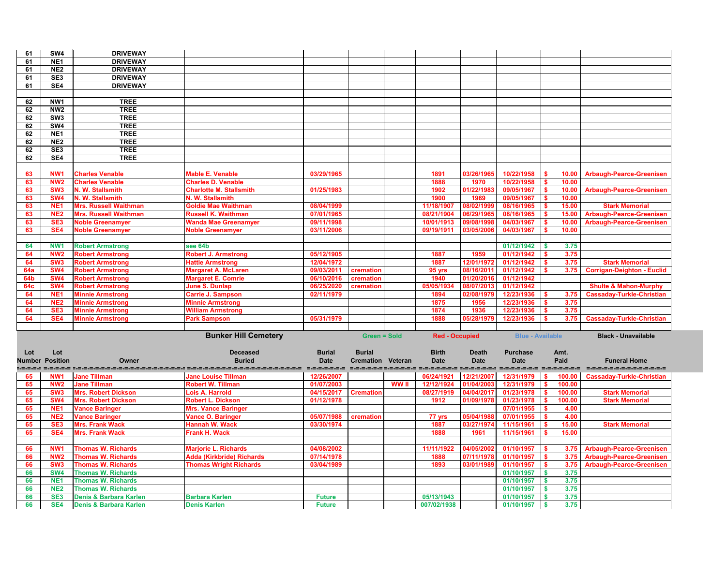| 61         | SW4                                | <b>DRIVEWAY</b>                                             |                                                                                                               |                                |                          |              |                           |              |                          |                                            |                                   |
|------------|------------------------------------|-------------------------------------------------------------|---------------------------------------------------------------------------------------------------------------|--------------------------------|--------------------------|--------------|---------------------------|--------------|--------------------------|--------------------------------------------|-----------------------------------|
| 61         | NE <sub>1</sub>                    | <b>DRIVEWAY</b>                                             |                                                                                                               |                                |                          |              |                           |              |                          |                                            |                                   |
| 61         | NE <sub>2</sub>                    | <b>DRIVEWAY</b>                                             |                                                                                                               |                                |                          |              |                           |              |                          |                                            |                                   |
| 61         | SE <sub>3</sub>                    | <b>DRIVEWAY</b>                                             |                                                                                                               |                                |                          |              |                           |              |                          |                                            |                                   |
| 61         | SE4                                | <b>DRIVEWAY</b>                                             |                                                                                                               |                                |                          |              |                           |              |                          |                                            |                                   |
|            |                                    |                                                             |                                                                                                               |                                |                          |              |                           |              |                          |                                            |                                   |
| 62         | NW1                                | <b>TREE</b>                                                 |                                                                                                               |                                |                          |              |                           |              |                          |                                            |                                   |
| 62         | NW <sub>2</sub>                    | <b>TREE</b>                                                 |                                                                                                               |                                |                          |              |                           |              |                          |                                            |                                   |
| 62         | SW3                                | <b>TREE</b>                                                 |                                                                                                               |                                |                          |              |                           |              |                          |                                            |                                   |
| 62         | SW4                                | <b>TREE</b>                                                 |                                                                                                               |                                |                          |              |                           |              |                          |                                            |                                   |
| 62         | NE <sub>1</sub>                    | <b>TREE</b>                                                 |                                                                                                               |                                |                          |              |                           |              |                          |                                            |                                   |
| 62         | NE <sub>2</sub>                    | <b>TREE</b>                                                 |                                                                                                               |                                |                          |              |                           |              |                          |                                            |                                   |
| 62         | SE3                                | <b>TREE</b>                                                 |                                                                                                               |                                |                          |              |                           |              |                          |                                            |                                   |
| 62         | SE4                                | <b>TREE</b>                                                 |                                                                                                               |                                |                          |              |                           |              |                          |                                            |                                   |
|            |                                    |                                                             |                                                                                                               |                                |                          |              |                           |              |                          |                                            |                                   |
| 63         | NW <sub>1</sub>                    | <b>Charles Venable</b>                                      | <b>Mable E. Venable</b>                                                                                       | 03/29/1965                     |                          |              | 1891                      | 03/26/1965   | 10/22/1958               | 10.00                                      | <b>Arbaugh-Pearce-Greenisen</b>   |
| 63         | NW <sub>2</sub>                    | <b>Charles Venable</b>                                      | <b>Charles D. Venable</b>                                                                                     |                                |                          |              | 1888                      | 1970         | 10/22/1958               | 10.00<br>$\mathbf{s}$                      |                                   |
| 63         | SW <sub>3</sub>                    | N. W. Stallsmith                                            | <b>Charlotte M. Stallsmith</b>                                                                                | 01/25/1983                     |                          |              | 1902                      | 01/22/198    | 09/05/1967               | - \$<br>10.00                              | <b>Arbaugh-Pearce-Greenisen</b>   |
| 63         | SW <sub>4</sub>                    | N. W. Stallsmith                                            | N. W. Stallsmith                                                                                              |                                |                          |              | 1900                      | 1969         | 09/05/1967               | 10.00<br>S.                                |                                   |
| 63         | NE <sub>1</sub>                    | <b>Mrs. Russell Waithman</b>                                | <b>Goldie Mae Waithman</b>                                                                                    | 08/04/1999                     |                          |              | 11/18/1907                | 08/02/1999   | 08/16/1965               | 15.00                                      | <b>Stark Memorial</b>             |
| 63         | NE <sub>2</sub>                    | <b>Mrs. Russell Waithman</b>                                | <b>Russell K. Waithman</b>                                                                                    | 07/01/1965                     |                          |              | 08/21/1904                | 06/29/1965   | 08/16/1965               | 15.00                                      | <b>Arbaugh-Pearce-Greenisen</b>   |
| 63         | SE <sub>3</sub>                    | <b>Noble Greenamyer</b>                                     | <b>Wanda Mae Greenamyer</b>                                                                                   | 09/11/1998                     |                          |              | 10/01/1913                | 09/08/1998   | 04/03/1967               | 10.00                                      | <b>Arbaugh-Pearce-Greenisen</b>   |
| 63         | SE4                                | <b>Noble Greenamyer</b>                                     | <b>Noble Greenamyer</b>                                                                                       | 03/11/2006                     |                          |              | 09/19/1911                | 03/05/2006   | 04/03/1967               | 10.00                                      |                                   |
|            |                                    |                                                             |                                                                                                               |                                |                          |              |                           |              |                          |                                            |                                   |
| 64         | NW <sub>1</sub>                    | <b>Robert Armstrong</b>                                     | see 64b                                                                                                       |                                |                          |              |                           |              | 01/12/1942               | 3.75                                       |                                   |
| 64         | NW <sub>2</sub>                    | <b>Robert Armstrong</b>                                     | <b>Robert J. Armstrong</b>                                                                                    | 05/12/1905                     |                          |              | 1887                      | 1959         | 01/12/1942               | 3.75                                       |                                   |
| 64         | SW <sub>3</sub>                    | <b>Robert Armstrong</b>                                     | <b>Hattie Armstrong</b>                                                                                       | 12/04/1972                     |                          |              | 1887                      | 12/01/1972   | 01/12/1942               | 3.75                                       | <b>Stark Memorial</b>             |
| <b>64a</b> | <b>SW4</b>                         | <b>Robert Armstrong</b>                                     | <b>Margaret A. McLaren</b>                                                                                    | 09/03/2011                     | cremation                |              | 95 yrs                    | 08/16/2011   | 01/12/1942               | 3.75                                       | <b>Corrigan-Deighton - Euclid</b> |
| 64b        | <b>SW4</b>                         | <b>Robert Armstrong</b>                                     | <b>Margaret E. Comrie</b>                                                                                     | 06/10/2016                     | cremation                |              | 1940                      | 01/20/2016   | 01/12/1942               |                                            |                                   |
| <b>64c</b> | SW <sub>4</sub>                    | <b>Robert Armstrong</b>                                     | <b>June S. Dunlap</b>                                                                                         | 06/25/2020                     | cremation                |              | 05/05/1934                | 08/07/2013   | 01/12/1942               |                                            | <b>Shulte &amp; Mahon-Murphy</b>  |
| 64         | NE <sub>1</sub>                    | <b>Minnie Armstrong</b>                                     | <b>Carrie J. Sampson</b>                                                                                      | 02/11/1979                     |                          |              | 1894                      | 02/08/1979   | 12/23/1936               | 3.75                                       | <b>Cassaday-Turkle-Christian</b>  |
| 64         | NE <sub>2</sub>                    | <b>Minnie Armstrong</b>                                     | <b>Minnie Armstrong</b>                                                                                       |                                |                          |              | 1875                      | 1956         | 12/23/1936               | 3.75                                       |                                   |
| 64         | SE <sub>3</sub>                    | <b>Minnie Armstrong</b>                                     | <b>William Armstrong</b>                                                                                      |                                |                          |              | 1874                      | 1936         | 12/23/1936               | 3.75                                       |                                   |
| 64         | SE4                                | <b>Minnie Armstrong</b>                                     | <b>Park Sampson</b>                                                                                           | 05/31/1979                     |                          |              | 1888                      | 05/28/1979   | 12/23/1936               | 3.75                                       | <b>Cassaday-Turkle-Christian</b>  |
|            |                                    |                                                             |                                                                                                               |                                |                          |              |                           |              |                          |                                            |                                   |
|            |                                    |                                                             | <b>Bunker Hill Cemetery</b>                                                                                   |                                | <b>Green = Sold</b>      |              | <b>Red - Occupied</b>     |              | <b>Blue - Available</b>  |                                            | <b>Black - Unavailable</b>        |
|            |                                    |                                                             |                                                                                                               |                                |                          |              |                           |              |                          |                                            |                                   |
| Lot        | Lot                                |                                                             | <b>Deceased</b>                                                                                               | <b>Burial</b>                  | <b>Burial</b>            |              | <b>Birth</b>              | <b>Death</b> | <b>Purchase</b>          | Amt.                                       |                                   |
|            | <b>Number Position</b>             | Owner                                                       | <b>Buried</b>                                                                                                 | <b>Date</b>                    | <b>Cremation Veteran</b> |              | <b>Date</b>               | <b>Date</b>  | <b>Date</b>              | Paid                                       | <b>Funeral Home</b>               |
|            |                                    |                                                             | aadi seedi meedadadadadadadada seedadadadadadadadada seedada seedad meedad seedada meedad seedada seedada see |                                |                          |              |                           |              |                          |                                            | ---------------------             |
| 65         | NW <sub>1</sub>                    | <b>Jane Tillman</b>                                         | <b>Jane Louise Tillman</b>                                                                                    | 12/26/2007                     |                          |              | 06/24/1921                | 12/21/2007   | 12/31/1979               | 100.00                                     | <b>Cassaday-Turkle-Christian</b>  |
| 65         | NW <sub>2</sub>                    | <b>Jane Tillman</b>                                         | <b>Robert W. Tillman</b>                                                                                      | 01/07/2003                     |                          | <b>WW II</b> | 12/12/1924                | 01/04/2003   | 12/31/1979               | 100.00                                     |                                   |
| 65         | SW <sub>3</sub>                    | <b>Mrs. Robert Dickson</b>                                  | Lois A. Harrold                                                                                               | 04/15/2017                     | <b>Cremation</b>         |              | 08/27/1919                | 04/04/2017   | 01/23/1978               | 100.00                                     | <b>Stark Memorial</b>             |
| 65         | <b>SW4</b>                         | <b>Mrs. Robert Dickson</b>                                  | <b>Robert L. Dickson</b>                                                                                      | 01/12/1978                     |                          |              | 1912                      | 01/09/1978   | 01/23/1978               | 100.00                                     | <b>Stark Memorial</b>             |
| 65         | NE <sub>1</sub>                    | <b>Vance Baringer</b>                                       | <b>Mrs. Vance Baringer</b>                                                                                    |                                |                          |              |                           |              | 07/01/1955               | ∣\$<br>4.00                                |                                   |
| 65         | NE <sub>2</sub>                    | <b>Vance Baringer</b>                                       | <b>Vance O. Baringer</b>                                                                                      | 05/07/1988                     | cremation                |              | 77 yrs                    | 05/04/1988   | 07/01/1955               | 4.00<br>∣\$                                |                                   |
| 65         | SE <sub>3</sub>                    | <b>Mrs. Frank Wack</b>                                      | <b>Hannah W. Wack</b>                                                                                         | 03/30/1974                     |                          |              | 1887                      | 03/27/1974   | 11/15/1961               | 15.00                                      | <b>Stark Memorial</b>             |
| 65         | SE4                                | <b>Mrs. Frank Wack</b>                                      | <b>Frank H. Wack</b>                                                                                          |                                |                          |              | 1888                      | 1961         | 11/15/1961               | 15.00                                      |                                   |
|            |                                    |                                                             |                                                                                                               |                                |                          |              |                           |              |                          |                                            |                                   |
| 66         | NW <sub>1</sub>                    | <b>Thomas W. Richards</b>                                   | <b>Marjorie L. Richards</b>                                                                                   | 04/08/2002                     |                          |              | 11/11/1922                | 04/05/2002   | 01/10/1957               | <b>S</b><br>3.75                           | <b>Arbaugh-Pearce-Greenisen</b>   |
| 66         | NW <sub>2</sub><br>SW <sub>3</sub> | <b>Thomas W. Richards</b>                                   | <b>Adda (Kirkbride) Richards</b>                                                                              | 07/14/1978                     |                          |              | 1888                      | 07/11/1978   | 01/10/1957               | $\sqrt[6]{3}$<br>3.75                      | <b>Arbaugh-Pearce-Greenisen</b>   |
| 66         |                                    | <b>Thomas W. Richards</b>                                   | <b>Thomas Wright Richards</b>                                                                                 | 03/04/1989                     |                          |              | 1893                      | 03/01/1989   | 01/10/1957               | $\mathbf s$<br>3.75                        | <b>Arbaugh-Pearce-Greenisen</b>   |
| 66         |                                    |                                                             |                                                                                                               |                                |                          |              |                           |              |                          |                                            |                                   |
|            | <b>SW4</b>                         | <b>Thomas W. Richards</b>                                   |                                                                                                               |                                |                          |              |                           |              | 01/10/1957               | 3.75<br>l \$                               |                                   |
| 66         | NE <sub>1</sub>                    | <b>Thomas W. Richards</b>                                   |                                                                                                               |                                |                          |              |                           |              | 01/10/1957               | 3.75<br>$\mathbf{s}$                       |                                   |
| 66         | NE <sub>2</sub>                    | <b>Thomas W. Richards</b>                                   |                                                                                                               |                                |                          |              |                           |              | 01/10/1957               | 3.75<br>$\mathbf s$                        |                                   |
| 66<br>66   | SE <sub>3</sub><br>SE4             | Denis & Barbara Karlen<br><b>Denis &amp; Barbara Karlen</b> | <b>Barbara Karlen</b><br><b>Denis Karlen</b>                                                                  | <b>Future</b><br><b>Future</b> |                          |              | 05/13/1943<br>007/02/1938 |              | 01/10/1957<br>01/10/1957 | $\sqrt{5}$<br>3.75<br>$\mathbf{s}$<br>3.75 |                                   |

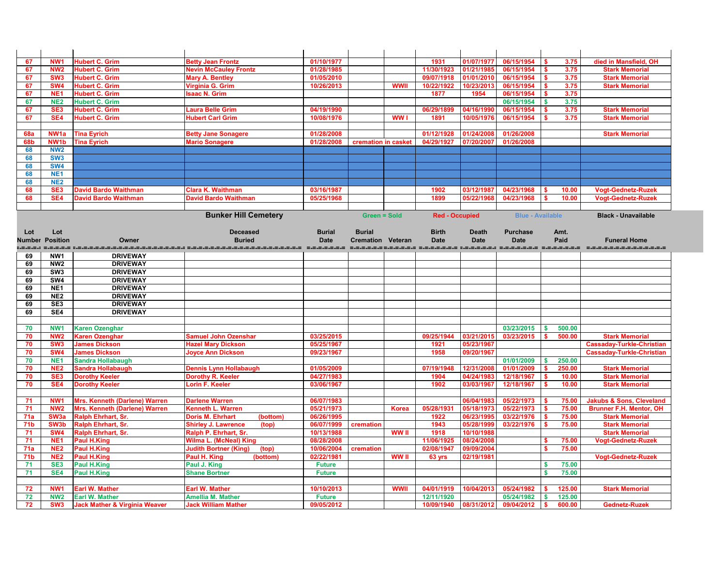| 67              | NW <sub>1</sub>        | <b>Hubert C. Grim</b>                                            | <b>Betty Jean Frontz</b>                    | 01/10/1977    |                          |              | 1931                  | 01/07/1977              | 06/15/1954               | 3.75               | died in Mansfield, OH               |
|-----------------|------------------------|------------------------------------------------------------------|---------------------------------------------|---------------|--------------------------|--------------|-----------------------|-------------------------|--------------------------|--------------------|-------------------------------------|
| 67              | NW <sub>2</sub>        | <b>Hubert C. Grim</b>                                            | <b>Nevin McCauley Frontz</b>                | 01/28/1985    |                          |              | 11/30/1923            | 01/21/1985              | 06/15/1954               | 3.75               | <b>Stark Memorial</b>               |
| 67              | SW <sub>3</sub>        | <b>Hubert C. Grim</b>                                            | <b>Mary A. Bentley</b>                      | 01/05/2010    |                          |              | 09/07/1918            | 01/01/2010              | 06/15/1954               | 3.75               | <b>Stark Memorial</b>               |
| 67              | SW <sub>4</sub>        | <b>Hubert C. Grim</b>                                            | Virginia G. Grim                            | 10/26/2013    |                          | <b>WWI</b>   | 10/22/1922            | 10/23/201               | 06/15/1954               | 3.75               | <b>Stark Memorial</b>               |
| 67              | NE <sub>1</sub>        | <b>Hubert C. Grim</b>                                            | <b>Isaac N. Grim</b>                        |               |                          |              | 1877                  | 1954                    | 06/15/1954               | 3.75               |                                     |
| 67              | <b>NE2</b>             | <b>Hubert C. Grim</b>                                            |                                             |               |                          |              |                       |                         | 06/15/1954               | 3.75               |                                     |
| 67              | SE <sub>3</sub>        | <b>Hubert C. Grim</b>                                            | <b>Laura Belle Grim</b>                     | 04/19/1990    |                          |              | 06/29/1899            | 04/16/1990              | 06/15/1954               | 3.75               | <b>Stark Memorial</b>               |
| 67              | SE4                    | <b>Hubert C. Grim</b>                                            | <b>Hubert Carl Grim</b>                     | 10/08/1976    |                          | <b>WW</b>    | 1891                  | 10/05/1976              | 06/15/1954               | 3.75               | <b>Stark Memorial</b>               |
|                 |                        |                                                                  |                                             |               |                          |              |                       |                         |                          |                    |                                     |
| <b>68a</b>      | NW <sub>1</sub> a      | <b>Tina Eyrich</b>                                               | <b>Betty Jane Sonagere</b>                  | 01/28/2008    |                          |              | 01/12/1928            | 01/24/200               | 01/26/2008               |                    | <b>Stark Memorial</b>               |
| <b>68b</b>      | NW <sub>1</sub> b      | <b>Tina Eyrich</b>                                               | <b>Mario Sonagere</b>                       | 01/28/2008    | cremation in casket      |              | 04/29/1927            | 07/20/2007              | 01/26/2008               |                    |                                     |
| 68              | <b>NW2</b>             |                                                                  |                                             |               |                          |              |                       |                         |                          |                    |                                     |
| 68              | SW <sub>3</sub>        |                                                                  |                                             |               |                          |              |                       |                         |                          |                    |                                     |
| 68              | <b>SW4</b>             |                                                                  |                                             |               |                          |              |                       |                         |                          |                    |                                     |
| 68              | NE <sub>1</sub>        |                                                                  |                                             |               |                          |              |                       |                         |                          |                    |                                     |
| 68              | NE <sub>2</sub>        |                                                                  |                                             |               |                          |              |                       |                         |                          |                    |                                     |
| 68              | SE <sub>3</sub>        | <b>David Bardo Waithman</b>                                      | <b>Clara K. Waithman</b>                    | 03/16/1987    |                          |              | 1902                  | 03/12/1987              | 04/23/1968               | 10.00              | <b>Vogt-Gednetz-Ruzek</b>           |
| 68              | SE4                    | <b>David Bardo Waithman</b>                                      | <b>David Bardo Waithman</b>                 | 05/25/1968    |                          |              | 1899                  | 05/22/1968              | 04/23/1968               | 10.00              | <b>Vogt-Gednetz-Ruzek</b>           |
|                 |                        |                                                                  |                                             |               |                          |              |                       |                         |                          |                    |                                     |
|                 |                        |                                                                  | <b>Bunker Hill Cemetery</b>                 |               | <b>Green = Sold</b>      |              | <b>Red - Occupied</b> |                         | <b>Blue - Available</b>  |                    | <b>Black - Unavailable</b>          |
|                 |                        |                                                                  |                                             |               |                          |              |                       |                         |                          |                    |                                     |
| Lot             | Lot                    |                                                                  | <b>Deceased</b>                             | <b>Burial</b> | <b>Burial</b>            |              | <b>Birth</b>          | <b>Death</b>            | <b>Purchase</b>          | Amt.               |                                     |
|                 | <b>Number Position</b> | Owner                                                            | <b>Buried</b>                               | <b>Date</b>   | <b>Cremation Veteran</b> |              | <b>Date</b>           | <b>Date</b>             | <b>Date</b>              | Paid               | <b>Funeral Home</b>                 |
|                 |                        | .=.=.=.= :.=.=.=.=.=.=.=.<br>.=.=.=.=.=.=.=.=.=.: =.=.=.=.=.=.=. |                                             |               |                          |              |                       |                         |                          |                    |                                     |
| 69              | NW <sub>1</sub>        | <b>DRIVEWAY</b>                                                  |                                             |               |                          |              |                       |                         |                          |                    |                                     |
| 69              | NW <sub>2</sub>        | <b>DRIVEWAY</b>                                                  |                                             |               |                          |              |                       |                         |                          |                    |                                     |
| 69              | SW <sub>3</sub>        | <b>DRIVEWAY</b>                                                  |                                             |               |                          |              |                       |                         |                          |                    |                                     |
| 69              | SW4                    | <b>DRIVEWAY</b>                                                  |                                             |               |                          |              |                       |                         |                          |                    |                                     |
| 69              | NE <sub>1</sub>        | <b>DRIVEWAY</b>                                                  |                                             |               |                          |              |                       |                         |                          |                    |                                     |
| 69              | NE <sub>2</sub>        | <b>DRIVEWAY</b>                                                  |                                             |               |                          |              |                       |                         |                          |                    |                                     |
| 69              | SE <sub>3</sub>        | <b>DRIVEWAY</b>                                                  |                                             |               |                          |              |                       |                         |                          |                    |                                     |
| 69              | SE4                    | <b>DRIVEWAY</b>                                                  |                                             |               |                          |              |                       |                         |                          |                    |                                     |
|                 |                        |                                                                  |                                             |               |                          |              |                       |                         |                          |                    |                                     |
| 70              | NW <sub>1</sub>        | <b>Karen Ozenghar</b>                                            |                                             |               |                          |              |                       |                         | 03/23/2015               | 500.00             |                                     |
| 70              | <b>NW2</b>             | <b>Karen Ozenghar</b>                                            | <b>Samuel John Ozenshar</b>                 | 03/25/2015    |                          |              | 09/25/1944            |                         | 03/21/2015 03/23/2015    | 500.00             | <b>Stark Memorial</b>               |
| 70              | SW <sub>3</sub>        | <b>James Dickson</b>                                             | <b>Hazel Mary Dickson</b>                   | 05/25/1967    |                          |              | 1921                  | 05/23/1967              |                          |                    | <b>Cassaday-Turkle-Christian</b>    |
| 70              | <b>SW4</b>             | <b>James Dickson</b>                                             | <b>Joyce Ann Dickson</b>                    | 09/23/1967    |                          |              | 1958                  | 09/20/1967              |                          |                    | <b>Cassaday-Turkle-Christian</b>    |
| 70              | NE <sub>1</sub>        | <b>Sandra Hollabaugh</b>                                         |                                             | 01/05/2009    |                          |              |                       |                         | 01/01/2009               | 250.00<br>-S       | <b>Stark Memorial</b>               |
| 70              | NE <sub>2</sub>        | <b>Sandra Hollabaugh</b>                                         | <b>Dennis Lynn Hollabaugh</b>               | 04/27/1983    |                          |              | 07/19/1948<br>1904    | 12/31/200<br>04/24/1983 | 01/01/2009<br>12/18/1967 | 250.00             | <b>Stark Memorial</b>               |
| 70<br>70        | SE <sub>3</sub><br>SE4 | <b>Dorothy Keeler</b><br><b>Dorothy Keeler</b>                   | <b>Dorothy R. Keeler</b><br>Lorin F. Keeler | 03/06/1967    |                          |              | 1902                  | 03/03/1967              | 12/18/1967               | 10.00<br>10.00     | <b>Stark Memorial</b>               |
|                 |                        |                                                                  |                                             |               |                          |              |                       |                         |                          |                    |                                     |
| 71              | NW <sub>1</sub>        | Mrs. Kenneth (Darlene) Warren                                    | <b>Darlene Warren</b>                       | 06/07/1983    |                          |              |                       | 06/04/1983              | 05/22/1973               | 75.00<br>S         | <b>Jakubs &amp; Sons, Cleveland</b> |
| 71              | NW <sub>2</sub>        | Mrs. Kenneth (Darlene) Warren                                    | <b>Kenneth L. Warren</b>                    | 05/21/1973    |                          | <b>Korea</b> | 05/28/1931            | 05/18/1973              | 05/22/1973               | 75.00<br>\$        | <b>Brunner F.H. Mentor, OH</b>      |
| <b>71a</b>      | SW <sub>3a</sub>       | <b>Ralph Ehrhart, Sr.</b>                                        | <b>Doris M. Ehrhart</b><br>(bottom)         | 06/26/1995    |                          |              | 1922                  | 06/23/1995              | 03/22/1976               | 75.00              | <b>Stark Memorial</b>               |
| 71b             | SW <sub>3</sub> b      | <b>Ralph Ehrhart, Sr.</b>                                        | <b>Shirley J. Lawrence</b><br>(top)         | 06/07/1999    | cremation                |              | 1943                  | 05/28/1999              | 03/22/1976               | 75.00              | <b>Stark Memorial</b>               |
| 71              | SW4                    | <b>Ralph Ehrhart, Sr.</b>                                        | Ralph P. Ehrhart, Sr.                       | 10/13/1988    |                          | <b>WW</b> II | 1918                  | 10/10/1988              |                          |                    | <b>Stark Memorial</b>               |
| 71              | NE <sub>1</sub>        | <b>Paul H.King</b>                                               | <b>Wilma L. (McNeal) King</b>               | 08/28/2008    |                          |              | 11/06/1925            | 08/24/2008              |                          | 75.00              | <b>Vogt-Gednetz-Ruzek</b>           |
| 71a             | <b>NE2</b>             | <b>Paul H.King</b>                                               | <b>Judith Bortner (King)</b><br>(top)       | 10/06/2004    | cremation                |              | 02/08/1947            | 09/09/2004              |                          | 75.00              |                                     |
| 71 <sub>b</sub> | NE <sub>2</sub>        | <b>Paul H.King</b>                                               | Paul H. King<br>(bottom)                    | 02/22/1981    |                          | <b>WW</b> II | 63 yrs                | 02/19/1981              |                          |                    | <b>Vogt-Gednetz-Ruzek</b>           |
| 71              | SE <sub>3</sub>        | <b>Paul H.King</b>                                               | Paul J. King                                | <b>Future</b> |                          |              |                       |                         |                          | 75.00<br>S.        |                                     |
| 71              | SE4                    | <b>Paul H.King</b>                                               | <b>Shane Bortner</b>                        | <b>Future</b> |                          |              |                       |                         |                          | \$<br>75.00        |                                     |
|                 |                        |                                                                  |                                             |               |                          |              |                       |                         |                          |                    |                                     |
| 72              | NW <sub>1</sub>        | <b>Earl W. Mather</b>                                            | Earl W. Mather                              | 10/10/2013    |                          | <b>WWII</b>  | 04/01/1919            | 10/04/2013              | 05/24/1982               | 125.00             | <b>Stark Memorial</b>               |
| 72              | <b>NW2</b>             | <b>Earl W. Mather</b>                                            | <b>Amellia M. Mather</b>                    | <b>Future</b> |                          |              | 12/11/1920            |                         | 05/24/1982               | 125.00<br><b>S</b> |                                     |
| 72              | SW <sub>3</sub>        | <b>Jack Mather &amp; Virginia Weaver</b>                         | <b>Jack William Mather</b>                  | 09/05/2012    |                          |              | 10/09/1940            | 08/31/2012              | 09/04/2012               | 600.00             | <b>Gednetz-Ruzek</b>                |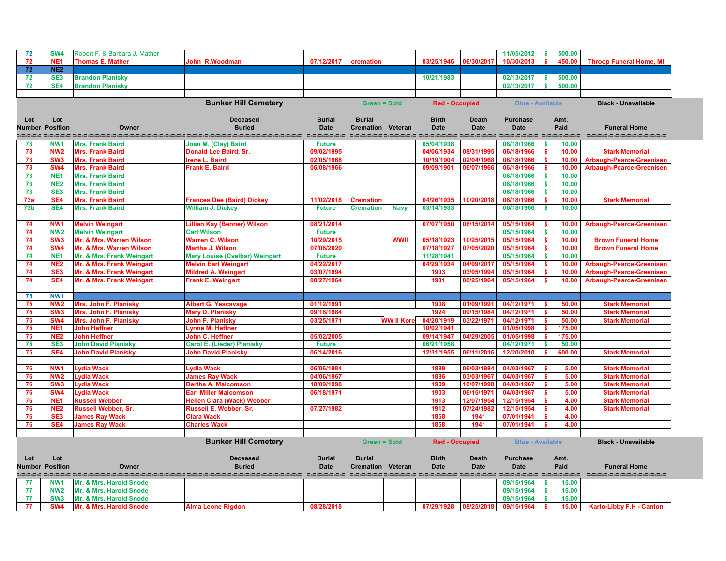| 72                            | SW <sub>4</sub> | Robert F. & Barbara J. Mather                      |                                                          |               |                          |                   |                                                                |                             | 11/05/2012              | 500.00<br>$\mathbf{s}$             |                                 |
|-------------------------------|-----------------|----------------------------------------------------|----------------------------------------------------------|---------------|--------------------------|-------------------|----------------------------------------------------------------|-----------------------------|-------------------------|------------------------------------|---------------------------------|
| 72                            | NE <sub>1</sub> | <b>Thomas E. Mather</b>                            | John R.Woodman                                           | 07/12/2017    | cremation                |                   | 03/25/1946                                                     | 06/30/2017                  | 10/30/2013              | 450.00                             | <b>Throop Funeral Home, MI</b>  |
| 72                            | NE <sub>2</sub> |                                                    |                                                          |               |                          |                   |                                                                |                             |                         |                                    |                                 |
| 72                            | SE <sub>3</sub> | <b>Brandon Planisky</b>                            |                                                          |               |                          |                   | 10/21/1983                                                     |                             | 02/13/2017              | 500.00                             |                                 |
| 72                            | SE4             | <b>Brandon Planisky</b>                            |                                                          |               |                          |                   |                                                                |                             | 02/13/2017              | 500.00                             |                                 |
|                               |                 |                                                    |                                                          |               |                          |                   |                                                                |                             |                         |                                    |                                 |
|                               |                 |                                                    | <b>Bunker Hill Cemetery</b>                              |               | <b>Green = Sold</b>      |                   | <b>Red - Occupied</b>                                          |                             | <b>Blue - Available</b> |                                    | <b>Black - Unavailable</b>      |
|                               |                 |                                                    |                                                          |               |                          |                   |                                                                |                             |                         |                                    |                                 |
| Lot                           | Lot             |                                                    | <b>Deceased</b>                                          | <b>Burial</b> | <b>Burial</b>            |                   | <b>Birth</b>                                                   | <b>Death</b>                | <b>Purchase</b>         | Amt.                               |                                 |
| Number                        | <b>Position</b> | Owner                                              | <b>Buried</b>                                            | <b>Date</b>   | <b>Cremation Veteran</b> |                   | <b>Date</b>                                                    | <b>Date</b>                 | <b>Date</b>             | Paid                               | <b>Funeral Home</b>             |
|                               |                 |                                                    |                                                          |               |                          |                   | character sistemate cistamicum character cistamicum cistamicum |                             |                         |                                    | ==================              |
| 73                            | NW <sub>1</sub> | <b>Mrs. Frank Baird</b>                            | Joan M. (Clay) Baird                                     | <b>Future</b> |                          |                   | 05/04/1938                                                     |                             | 06/18/1966              | 10.00                              |                                 |
| 73                            | NW <sub>2</sub> | <b>Mrs. Frank Baird</b>                            | <b>Donald Lee Baird, Sr.</b>                             | 09/02/1995    |                          |                   | 04/06/1934                                                     | 08/31/1995                  | 06/18/1966              | 10.00<br>- \$                      | <b>Stark Memorial</b>           |
| 73                            | SW <sub>3</sub> | <b>Mrs. Frank Baird</b>                            | <b>Irene L. Baird</b>                                    | 02/05/1968    |                          |                   | 10/19/1904                                                     | 02/04/1968                  | 06/18/1966              | 10.00<br>$\boldsymbol{\mathsf{s}}$ | <b>Arbaugh-Pearce-Greenisen</b> |
| 73                            | SW <sub>4</sub> | <b>Mrs. Frank Baird</b>                            | <b>Frank E. Baird</b>                                    | 06/08/1966    |                          |                   | 09/09/1901                                                     | 06/07/1966                  | 06/18/1966              | 10.00                              | <b>Arbaugh-Pearce-Greenisen</b> |
| 73                            | NE <sub>1</sub> | <b>Mrs. Frank Baird</b>                            |                                                          |               |                          |                   |                                                                |                             | 06/18/1966              | 10.00<br>-S                        |                                 |
| 73                            | <b>NE2</b>      | <b>Mrs. Frank Baird</b>                            |                                                          |               |                          |                   |                                                                |                             | 06/18/1966              | 10.00<br>$\boldsymbol{\mathsf{s}}$ |                                 |
| 73                            | SE <sub>3</sub> | <b>Mrs. Frank Baird</b><br><b>Mrs. Frank Baird</b> |                                                          |               |                          |                   | 04/26/1935                                                     |                             | 06/18/1966              | 10.00<br><b>S</b>                  |                                 |
| 73a                           | SE4             |                                                    | <b>Frances Dee (Baird) Dickey</b>                        | 11/02/2018    | <b>Cremation</b>         |                   |                                                                | 10/20/2018                  | 06/18/1966              | 10.00<br>\$.                       | <b>Stark Memorial</b>           |
| 73 <sub>b</sub>               | SE4             | <b>Mrs. Frank Baird</b>                            | <b>William J. Dickey</b>                                 | <b>Future</b> | <b>Cremation</b>         | <b>Navy</b>       | 03/14/1933                                                     |                             | 06/18/1966              | 10.00                              |                                 |
|                               | NW <sub>1</sub> |                                                    |                                                          | 08/21/2014    |                          |                   | 07/07/1950                                                     | 08/15/2014                  | 05/15/1964              |                                    |                                 |
| 74<br>74                      | NW <sub>2</sub> | <b>Melvin Weingart</b><br><b>Melvin Weingart</b>   | <b>Lillian Kay (Benner) Wilson</b><br><b>Carl Wilson</b> | <b>Future</b> |                          |                   |                                                                |                             | 05/15/1964              | 10.00<br>10.00                     | <b>Arbaugh-Pearce-Greenisen</b> |
| 74                            | SW <sub>3</sub> | Mr. & Mrs. Warren Wilson                           | <b>Warren C. Wilson</b>                                  | 10/29/2015    |                          | <b>WWII</b>       | 05/18/1923                                                     | 10/25/2015                  | 05/15/1964              | 10.00                              | <b>Brown Funeral Home</b>       |
| 74                            | SW <sub>4</sub> | Mr. & Mrs. Warren Wilson                           | <b>Martha J. Wilson</b>                                  | 07/08/2020    |                          |                   | 07/18/1927                                                     | 07/05/2020                  | 05/15/1964              | 10.00                              | <b>Brown Funeral Home</b>       |
| 74                            | NE <sub>1</sub> | Mr. & Mrs. Frank Weingart                          | <b>Mary Louise (Cvelbar) Weingart</b>                    | <b>Future</b> |                          |                   | 11/28/1941                                                     |                             | 05/15/1964              | 10.00<br><b>S</b>                  |                                 |
| 74                            | NE <sub>2</sub> | Mr. & Mrs. Frank Weingart                          | <b>Melvin Earl Weingart</b>                              | 04/22/2017    |                          |                   | 04/29/1934                                                     | 04/09/2011                  | 05/15/1964              | 10.00                              | <b>Arbaugh-Pearce-Greenisen</b> |
| 74                            | SE <sub>3</sub> | Mr. & Mrs. Frank Weingart                          | <b>Mildred A. Weingart</b>                               | 03/07/1994    |                          |                   | 1903                                                           | 03/05/1994                  | 05/15/1964              | 10.00                              | <b>Arbaugh-Pearce-Greenisen</b> |
| 74                            | SE4             | Mr. & Mrs. Frank Weingart                          | <b>Frank E. Weingart</b>                                 | 08/27/1964    |                          |                   | 1901                                                           | 08/25/1964                  | 05/15/1964              | 10.00                              | <b>Arbaugh-Pearce-Greenisen</b> |
|                               |                 |                                                    |                                                          |               |                          |                   |                                                                |                             |                         |                                    |                                 |
| 75                            | NW1             |                                                    |                                                          |               |                          |                   |                                                                |                             |                         |                                    |                                 |
| 75                            | <b>NW2</b>      | Mrs. John F. Planisky                              | <b>Albert G. Yescavage</b>                               | 01/12/1991    |                          |                   | 1908                                                           | 01/09/1991                  | 04/12/1971              | 50.00<br>- \$                      | <b>Stark Memorial</b>           |
| 75                            | SW <sub>3</sub> | <b>Mrs. John F. Planisky</b>                       | <b>Mary D. Planisky</b>                                  | 09/18/1984    |                          |                   | 1924                                                           | 09/15/1984                  | 04/12/1971              | 50.00                              | <b>Stark Memorial</b>           |
| 75                            | SW <sub>4</sub> | <b>Mrs. John F. Planisky</b>                       | John F. Planisky                                         | 03/25/1971    |                          | <b>WW II Kore</b> | 04/20/1919                                                     | 03/22/1971                  | 04/12/1971              | 50.00                              | <b>Stark Memorial</b>           |
| 75                            | NE <sub>1</sub> | <b>John Heffner</b>                                | <b>Lynne M. Heffner</b>                                  |               |                          |                   | 10/02/1941                                                     |                             | 01/05/1998              | 175.00                             |                                 |
| 75                            | NE <sub>2</sub> | <b>John Heffner</b>                                | John C. Heffner                                          | 05/02/2005    |                          |                   | 09/14/1947                                                     | 04/29/2005                  | 01/05/1998              | 175.00                             |                                 |
| 75                            | SE <sub>3</sub> | <b>John David Planisky</b>                         | <b>Carol E. (Lieder) Planisky</b>                        | <b>Future</b> |                          |                   | 06/21/1958                                                     |                             | 04/12/1971              | 50.00                              |                                 |
| 75                            | SE4             | <b>John David Planisky</b>                         | <b>John David Planisky</b>                               | 06/14/2016    |                          |                   | 12/31/1955                                                     | 06/11/2016                  | 12/20/2010              | 600.00                             | <b>Stark Memorial</b>           |
|                               |                 |                                                    |                                                          |               |                          |                   |                                                                |                             |                         |                                    |                                 |
| 76                            | <b>NW1</b>      | <b>Lydia Wack</b>                                  | Lydia Wack                                               | 06/06/1984    |                          |                   | 1889                                                           | 06/03/1984                  | 04/03/1967              | 5.00<br>-S                         | <b>Stark Memorial</b>           |
| 76                            | <b>NW2</b>      | <b>Lydia Wack</b>                                  | <b>James Ray Wack</b>                                    | 04/06/1967    |                          |                   | 1886                                                           | 03/03/1967                  | 04/03/1967              | \$<br>5.00                         | <b>Stark Memorial</b>           |
| 76                            | SW <sub>3</sub> | <b>Lydia Wack</b>                                  | <b>Bertha A. Malcomson</b>                               | 10/09/1998    |                          |                   | 1909                                                           | 10/07/1998                  | 04/03/1967              | 5.00<br>-S                         | <b>Stark Memorial</b>           |
| 76                            | SW <sub>4</sub> | <b>Lydia Wack</b>                                  | <b>Earl Miller Malcomson</b>                             | 06/18/1971    |                          |                   | 1903                                                           | 06/15/1971                  | 04/03/1967              | 5.00<br>-S                         | <b>Stark Memorial</b>           |
| 76                            | NE <sub>1</sub> | <b>Russell Webber</b>                              | <b>Hellen Clara (Wack) Webber</b>                        |               |                          |                   | 1913                                                           | 12/07/1954                  | 12/15/1954              | 4.00                               | <b>Stark Memorial</b>           |
| 76                            | NE <sub>2</sub> | <b>Russell Webber, Sr.</b>                         | Russell E. Webber, Sr.                                   | 07/27/1982    |                          |                   | 1912                                                           | 07/24/1982                  | 12/15/1954              | 4.00                               | <b>Stark Memorial</b>           |
| 76                            | SE <sub>3</sub> | <b>James Ray Wack</b>                              | <b>Clara Wack</b>                                        |               |                          |                   | 1858                                                           | 1941                        | 07/01/1941              | 4.00                               |                                 |
| 76                            | SE4             | <b>James Ray Wack</b>                              | <b>Charles Wack</b>                                      |               |                          |                   | 1858                                                           | 1941                        | 07/01/1941              | 4.00                               |                                 |
|                               |                 |                                                    |                                                          |               |                          |                   |                                                                |                             |                         |                                    |                                 |
|                               |                 |                                                    | <b>Bunker Hill Cemetery</b>                              |               | <b>Green = Sold</b>      |                   | <b>Red - Occupied</b>                                          |                             | <b>Blue - Available</b> |                                    | <b>Black - Unavailable</b>      |
|                               |                 |                                                    | <b>Deceased</b>                                          | <b>Burial</b> | <b>Burial</b>            |                   | <b>Birth</b>                                                   |                             | <b>Purchase</b>         |                                    |                                 |
| Lot<br><b>Number Position</b> | Lot             | Owner                                              | <b>Buried</b>                                            | <b>Date</b>   | <b>Cremation Veteran</b> |                   | <b>Date</b>                                                    | <b>Death</b><br><b>Date</b> | <b>Date</b>             | Amt.<br>Paid                       | <b>Funeral Home</b>             |
|                               |                 |                                                    |                                                          |               |                          |                   |                                                                |                             |                         | =-=-=-=-=                          |                                 |
| 77                            | NW <sub>1</sub> | Mr. & Mrs. Harold Snode                            |                                                          |               |                          |                   |                                                                |                             | 09/15/1964              | - \$<br>15.00                      |                                 |
| 77                            | <b>NW2</b>      | Mr. & Mrs. Harold Snode                            |                                                          |               |                          |                   |                                                                |                             | 09/15/1964              | 15.00<br><b>S</b>                  |                                 |
| 77                            | SW <sub>3</sub> | Mr. & Mrs. Harold Snode                            |                                                          |               |                          |                   |                                                                |                             | 09/15/1964              | 15.00<br>∣\$                       |                                 |
| 77                            | <b>SW4</b>      | Mr. & Mrs. Harold Snode                            | <b>Alma Leone Rigdon</b>                                 | 08/28/2018    |                          |                   | 07/29/1928                                                     | 08/25/2018                  | 09/15/1964              | S.<br>15.00                        | <b>Karlo-Libby F.H - Canton</b> |

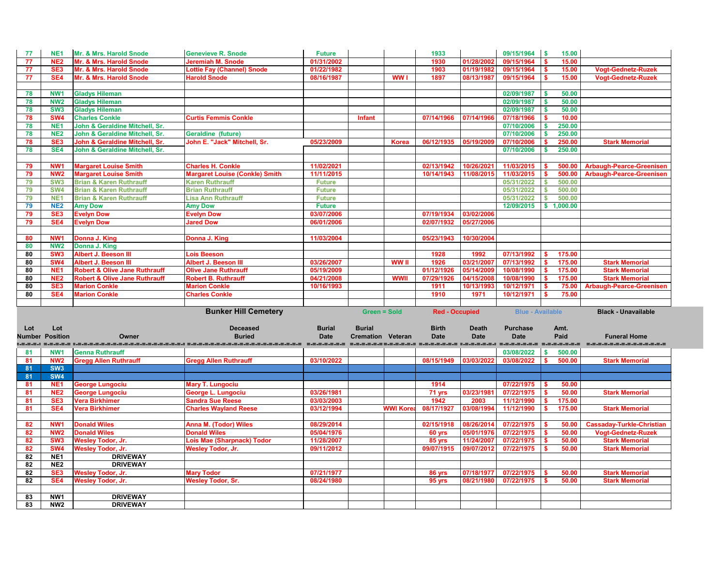| 77  | NE <sub>1</sub>        | Mr. & Mrs. Harold Snode                  | <b>Genevieve R. Snode</b>                                                                                        | <b>Future</b> |                          |                 | 1933                  |              | 09/15/1964              | l S          | 15.00         |                                  |
|-----|------------------------|------------------------------------------|------------------------------------------------------------------------------------------------------------------|---------------|--------------------------|-----------------|-----------------------|--------------|-------------------------|--------------|---------------|----------------------------------|
| 77  | NE <sub>2</sub>        | Mr. & Mrs. Harold Snode                  | <b>Jeremiah M. Snode</b>                                                                                         | 01/31/2002    |                          |                 | 1930                  | 01/28/2002   | 09/15/1964              |              | 15.00         |                                  |
| 77  | SE <sub>3</sub>        | Mr. & Mrs. Harold Snode                  | <b>Lottie Fay (Channel) Snode</b>                                                                                | 01/22/1982    |                          |                 | 1903                  | 01/19/1982   | 09/15/1964              |              | 15.00         | <b>Vogt-Gednetz-Ruzek</b>        |
| 77  | SE4                    | Mr. & Mrs. Harold Snode                  | <b>Harold Snode</b>                                                                                              | 08/16/1987    |                          | WW I            | 1897                  | 08/13/1987   | 09/15/1964              |              | 15.00         | <b>Vogt-Gednetz-Ruzek</b>        |
|     |                        |                                          |                                                                                                                  |               |                          |                 |                       |              |                         |              |               |                                  |
| 78  | NW <sub>1</sub>        | <b>Gladys Hileman</b>                    |                                                                                                                  |               |                          |                 |                       |              | 02/09/1987              |              | 50.00         |                                  |
| 78  | NW <sub>2</sub>        | <b>Gladys Hileman</b>                    |                                                                                                                  |               |                          |                 |                       |              | 02/09/1987              |              | 50.00         |                                  |
| 78  | SW <sub>3</sub>        | <b>Gladys Hileman</b>                    |                                                                                                                  |               |                          |                 |                       |              | 02/09/1987              | - \$         | 50.00         |                                  |
| 78  | <b>SW4</b>             | <b>Charles Conkle</b>                    | <b>Curtis Femmis Conkle</b>                                                                                      |               | Infant                   |                 | 07/14/1966            | 07/14/1966   | 07/18/1966              |              | 10.00         |                                  |
| 78  | NE <sub>1</sub>        | John & Geraldine Mitchell, Sr.           |                                                                                                                  |               |                          |                 |                       |              | 07/10/2006              |              | 250.00        |                                  |
| 78  | <b>NE2</b>             | John & Geraldine Mitchell, Sr.           | <b>Geraldine (future)</b>                                                                                        |               |                          |                 |                       |              | 07/10/2006              |              | 250.00        |                                  |
| 78  | SE <sub>3</sub>        | John & Geraldine Mitchell, Sr.           | John E. "Jack" Mitchell, Sr.                                                                                     | 05/23/2009    |                          | <b>Korea</b>    | 06/12/1935            | 05/19/2009   | 07/10/2006              |              | 250.00        | <b>Stark Memorial</b>            |
| 78  | SE4                    | John & Geraldine Mitchell, Sr.           |                                                                                                                  |               |                          |                 |                       |              | 07/10/2006              |              | 250.00        |                                  |
|     |                        |                                          |                                                                                                                  |               |                          |                 |                       |              |                         |              |               |                                  |
| 79  | NW <sub>1</sub>        | <b>Margaret Louise Smith</b>             | <b>Charles H. Conkle</b>                                                                                         | 11/02/2021    |                          |                 | 02/13/1942            | 10/26/202    | 11/03/2015              |              | 500.00        | <b>Arbaugh-Pearce-Greenisen</b>  |
| 79  | NW <sub>2</sub>        | <b>Margaret Louise Smith</b>             | <b>Margaret Louise (Conkle) Smith</b>                                                                            | 11/11/2015    |                          |                 | 10/14/1943            | 11/08/2015   | 11/03/2015              |              | 500.00        | <b>Arbaugh-Pearce-Greenisen</b>  |
| 79  | SW <sub>3</sub>        | <b>Brian &amp; Karen Ruthrauff</b>       | <b>Karen Ruthrauff</b>                                                                                           | <b>Future</b> |                          |                 |                       |              | 05/31/2022              |              | 500.00        |                                  |
| 79  | <b>SW4</b>             | <b>Brian &amp; Karen Ruthrauff</b>       | <b>Brian Ruthrauff</b>                                                                                           | <b>Future</b> |                          |                 |                       |              | 05/31/2022              |              | 500.00        |                                  |
| 79  | NE <sub>1</sub>        | <b>Brian &amp; Karen Ruthrauff</b>       | <b>Lisa Ann Ruthrauff</b>                                                                                        | <b>Future</b> |                          |                 |                       |              | 05/31/2022              |              | 500.00        |                                  |
| 79  | <b>NE2</b>             | <b>Amy Dow</b>                           | <b>Amy Dow</b>                                                                                                   | <b>Future</b> |                          |                 |                       |              | 12/09/2015              | $\mathbf{s}$ | 1,000.00      |                                  |
| 79  | SE <sub>3</sub>        | <b>Evelyn Dow</b>                        | <b>Evelyn Dow</b>                                                                                                | 03/07/2006    |                          |                 | 07/19/1934            | 03/02/2006   |                         |              |               |                                  |
| 79  | SE4                    | <b>Evelyn Dow</b>                        | <b>Jared Dow</b>                                                                                                 | 06/01/2006    |                          |                 | 02/07/1932            | 05/27/2006   |                         |              |               |                                  |
|     |                        |                                          |                                                                                                                  |               |                          |                 |                       |              |                         |              |               |                                  |
| 80  | NW <sub>1</sub>        | Donna J. King                            | Donna J. King                                                                                                    | 11/03/2004    |                          |                 | 05/23/1943            | 10/30/2004   |                         |              |               |                                  |
| 80  | NW <sub>2</sub>        | Donna J. King                            |                                                                                                                  |               |                          |                 |                       |              |                         |              |               |                                  |
| 80  | SW <sub>3</sub>        | Albert J. Beeson III                     | <b>Lois Beeson</b>                                                                                               |               |                          |                 | 1928                  | 1992         | 07/13/1992              |              | 175.00        |                                  |
| 80  | <b>SW4</b>             | <b>Albert J. Beeson III</b>              | <b>Albert J. Beeson III</b>                                                                                      | 03/26/2007    |                          | WW II           | 1926                  | 03/21/200    | 07/13/1992              |              | 175.00        | <b>Stark Memorial</b>            |
| 80  | NE <sub>1</sub>        | <b>Robert &amp; Olive Jane Ruthrauff</b> | <b>Olive Jane Ruthrauff</b>                                                                                      | 05/19/2009    |                          |                 | 01/12/1926            | 05/14/2009   | 10/08/1990              |              | 175.00        | <b>Stark Memorial</b>            |
|     |                        |                                          |                                                                                                                  |               |                          |                 |                       |              |                         |              |               |                                  |
|     |                        |                                          |                                                                                                                  |               |                          |                 |                       |              |                         |              |               |                                  |
| 80  | NE <sub>2</sub>        | <b>Robert &amp; Olive Jane Ruthrauff</b> | <b>Robert B. Ruthrauff</b>                                                                                       | 04/21/2008    |                          | <b>WWII</b>     | 07/29/1926            | 04/15/2008   | 10/08/1990              |              | 175.00        | <b>Stark Memorial</b>            |
| 80  | SE <sub>3</sub>        | <b>Marion Conkle</b>                     | <b>Marion Conkle</b>                                                                                             | 10/16/1993    |                          |                 | 1911                  | 10/13/1993   | 10/12/1971              |              | 75.00         | <b>Arbaugh-Pearce-Greenisen</b>  |
| 80  | SE4                    | <b>Marion Conkle</b>                     | <b>Charles Conkle</b>                                                                                            |               |                          |                 | 1910                  | 1971         | 10/12/1971              |              | 75.00         |                                  |
|     |                        |                                          |                                                                                                                  |               | <b>Green = Sold</b>      |                 |                       |              |                         |              |               |                                  |
|     |                        |                                          | <b>Bunker Hill Cemetery</b>                                                                                      |               |                          |                 | <b>Red - Occupied</b> |              | <b>Blue - Available</b> |              |               | <b>Black - Unavailable</b>       |
| Lot | Lot                    |                                          | <b>Deceased</b>                                                                                                  | <b>Burial</b> | <b>Burial</b>            |                 | <b>Birth</b>          | <b>Death</b> | <b>Purchase</b>         | Amt.         |               |                                  |
|     | <b>Number Position</b> | Owner                                    | <b>Buried</b>                                                                                                    | <b>Date</b>   | <b>Cremation Veteran</b> |                 | <b>Date</b>           | <b>Date</b>  | <b>Date</b>             |              | Paid          | <b>Funeral Home</b>              |
|     |                        |                                          | usalalalalalalalalalalalala sisasialalalalalalalalalalala sisasiala sisisialalalalala sisasialala melelelalalala |               |                          |                 |                       |              |                         |              | =_=_=_=_=_=_= |                                  |
| 81  | NW <sub>1</sub>        | <b>Genna Ruthrauff</b>                   |                                                                                                                  |               |                          |                 |                       |              | 03/08/2022              | \$           | 500.00        |                                  |
| 81  | <b>NW2</b>             | <b>Gregg Allen Ruthrauff</b>             | <b>Gregg Allen Ruthrauff</b>                                                                                     | 03/10/2022    |                          |                 | 08/15/1949            | 03/03/2022   | 03/08/2022              |              | 500.00        | <b>Stark Memorial</b>            |
| 81  | SW <sub>3</sub>        |                                          |                                                                                                                  |               |                          |                 |                       |              |                         |              |               |                                  |
| 81  | <b>SW4</b>             |                                          |                                                                                                                  |               |                          |                 |                       |              |                         |              |               |                                  |
| 81  | NE <sub>1</sub>        | <b>George Lungociu</b>                   | <b>Mary T. Lungociu</b>                                                                                          |               |                          |                 | 1914                  |              | 07/22/1975              |              | 50.00         |                                  |
| 81  | NE <sub>2</sub>        | <b>George Lungociu</b>                   | George L. Lungociu                                                                                               | 03/26/1981    |                          |                 | 71 yrs                | 03/23/1981   | 07/22/1975              |              | 50.00         | <b>Stark Memorial</b>            |
| 81  | SE <sub>3</sub>        | <b>Vera Birkhimer</b>                    | <b>Sandra Sue Reese</b>                                                                                          | 03/03/2003    |                          |                 | 1942                  | 2003         | 11/12/1990              |              | 175.00        |                                  |
| 81  | SE4                    | <b>Vera Birkhimer</b>                    | <b>Charles Wayland Reese</b>                                                                                     | 03/12/1994    |                          | <b>WWI Kore</b> | 08/17/1927            | 03/08/1994   | 11/12/1990              |              | 175.00        | <b>Stark Memorial</b>            |
|     |                        |                                          |                                                                                                                  |               |                          |                 |                       |              |                         |              |               |                                  |
| 82  | NW <sub>1</sub>        | <b>Donald Wiles</b>                      | <b>Anna M. (Todor) Wiles</b>                                                                                     | 08/29/2014    |                          |                 | 02/15/1918            | 08/26/2014   | 07/22/1975              |              | 50.00         | <b>Cassaday-Turkle-Christian</b> |
| 82  | <b>NW2</b>             | <b>Donald Wiles</b>                      | <b>Donald Wiles</b>                                                                                              | 05/04/1976    |                          |                 | 60 yrs                | 05/01/1976   | 07/22/1975              |              | 50.00         | <b>Vogt-Gednetz-Ruzek</b>        |
| 82  | SW <sub>3</sub>        | <b>Wesley Todor, Jr.</b>                 | <b>Lois Mae (Sharpnack) Todor</b>                                                                                | 11/28/2007    |                          |                 | 85 yrs                | 11/24/2007   | 07/22/1975              |              | 50.00         | <b>Stark Memorial</b>            |
| 82  | <b>SW4</b>             | <b>Wesley Todor, Jr.</b>                 | <b>Wesley Todor, Jr.</b>                                                                                         | 09/11/2012    |                          |                 | 09/07/1915            | 09/07/2012   | 07/22/1975              |              | 50.00         | <b>Stark Memorial</b>            |
| 82  | NE <sub>1</sub>        | <b>DRIVEWAY</b>                          |                                                                                                                  |               |                          |                 |                       |              |                         |              |               |                                  |
| 82  | NE2                    | <b>DRIVEWAY</b>                          |                                                                                                                  |               |                          |                 |                       |              |                         |              |               |                                  |
| 82  | SE <sub>3</sub>        | <b>Wesley Todor, Jr.</b>                 | <b>Mary Todor</b>                                                                                                | 07/21/1977    |                          |                 | 86 yrs                | 07/18/1977   | 07/22/1975              |              | 50.00         | <b>Stark Memorial</b>            |
| 82  | SE4                    | <b>Wesley Todor, Jr.</b>                 | <b>Wesley Todor, Sr.</b>                                                                                         | 08/24/1980    |                          |                 | 95 yrs                | 08/21/1980   | 07/22/1975              |              | 50.00         | <b>Stark Memorial</b>            |
|     |                        |                                          |                                                                                                                  |               |                          |                 |                       |              |                         |              |               |                                  |
| 83  | NW1                    | <b>DRIVEWAY</b>                          |                                                                                                                  |               |                          |                 |                       |              |                         |              |               |                                  |

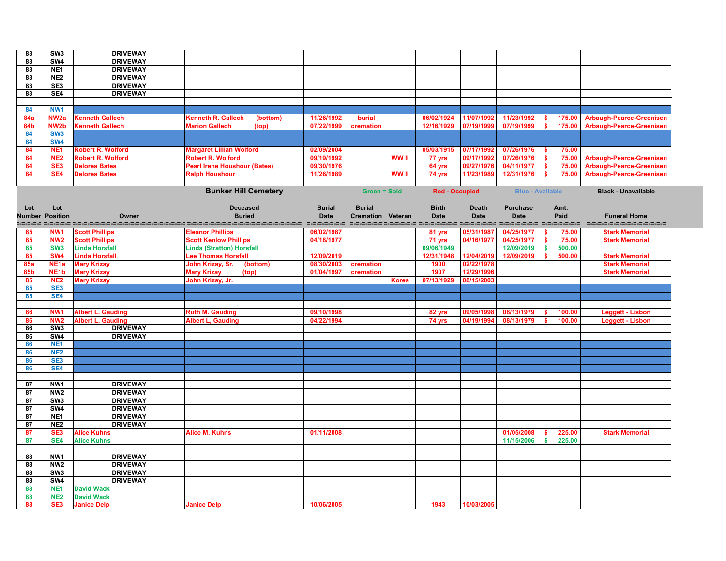| 83         | SW <sub>3</sub>                    | <b>DRIVEWAY</b>                                      |                                                             |                          |                          |              |                       |                          |                          |                |                                                                    |
|------------|------------------------------------|------------------------------------------------------|-------------------------------------------------------------|--------------------------|--------------------------|--------------|-----------------------|--------------------------|--------------------------|----------------|--------------------------------------------------------------------|
| 83         | SW4                                | <b>DRIVEWAY</b>                                      |                                                             |                          |                          |              |                       |                          |                          |                |                                                                    |
| 83         | NE <sub>1</sub>                    | <b>DRIVEWAY</b>                                      |                                                             |                          |                          |              |                       |                          |                          |                |                                                                    |
| 83         | NE <sub>2</sub>                    | <b>DRIVEWAY</b>                                      |                                                             |                          |                          |              |                       |                          |                          |                |                                                                    |
| 83         | SE3                                | <b>DRIVEWAY</b>                                      |                                                             |                          |                          |              |                       |                          |                          |                |                                                                    |
| 83         | SE4                                | <b>DRIVEWAY</b>                                      |                                                             |                          |                          |              |                       |                          |                          |                |                                                                    |
|            |                                    |                                                      |                                                             |                          |                          |              |                       |                          |                          |                |                                                                    |
| 84         | NW <sub>1</sub>                    |                                                      |                                                             |                          |                          |              |                       |                          |                          |                |                                                                    |
| <b>84a</b> | NW <sub>2a</sub>                   | <b>Kenneth Gallech</b>                               | <b>Kenneth R. Gallech</b><br>(bottom)                       | 11/26/1992               | burial                   |              | 06/02/1924            | 11/07/1992               | 11/23/1992               | 175.00         | <b>Arbaugh-Pearce-Greenisen</b>                                    |
| 84b        | NW <sub>2</sub> b                  | <b>Kenneth Gallech</b>                               | <b>Marion Gallech</b><br>(top)                              | 07/22/1999               | cremation                |              | 12/16/1929            | 07/19/1999               | 07/19/1999               | 175.00         | <b>Arbaugh-Pearce-Greenisen</b>                                    |
| 84         | SW <sub>3</sub>                    |                                                      |                                                             |                          |                          |              |                       |                          |                          |                |                                                                    |
| 84         | <b>SW4</b>                         |                                                      |                                                             |                          |                          |              |                       |                          |                          |                |                                                                    |
| 84         | NE <sub>1</sub><br>NE <sub>2</sub> | <b>Robert R. Wolford</b><br><b>Robert R. Wolford</b> | <b>Margaret Lillian Wolford</b><br><b>Robert R. Wolford</b> | 02/09/2004<br>09/19/1992 |                          | <b>WW</b> II | 05/03/1915            | 07/17/1992               | 07/26/1976<br>07/26/1976 | 75.00          |                                                                    |
| 84<br>84   | SE <sub>3</sub>                    | <b>Delores Bates</b>                                 | <b>Pearl Irene Houshour (Bates)</b>                         | 09/30/1976               |                          |              | 77 yrs<br>64 yrs      | 09/17/1992<br>09/27/1976 | 04/11/1977               | 75.00<br>75.00 | <b>Arbaugh-Pearce-Greenisen</b><br><b>Arbaugh-Pearce-Greenisen</b> |
| 84         | SE <sub>4</sub>                    | <b>Delores Bates</b>                                 | <b>Ralph Houshour</b>                                       | 11/26/1989               |                          | <b>WW</b> II | 74 yrs                | 11/23/1989               | 12/31/1976               | 75.00          | <b>Arbaugh-Pearce-Greenisen</b>                                    |
|            |                                    |                                                      |                                                             |                          |                          |              |                       |                          |                          |                |                                                                    |
|            |                                    |                                                      | <b>Bunker Hill Cemetery</b>                                 |                          | <b>Green = Sold</b>      |              | <b>Red - Occupied</b> |                          | <b>Blue - Available</b>  |                | <b>Black - Unavailable</b>                                         |
|            |                                    |                                                      |                                                             |                          |                          |              |                       |                          |                          |                |                                                                    |
| Lot        | Lot                                |                                                      | <b>Deceased</b>                                             | <b>Burial</b>            | <b>Burial</b>            |              | <b>Birth</b>          | <b>Death</b>             | <b>Purchase</b>          | Amt.           |                                                                    |
|            | <b>Number Position</b>             | Owner                                                | <b>Buried</b>                                               | <b>Date</b>              | <b>Cremation Veteran</b> |              | <b>Date</b>           | <b>Date</b>              | <b>Date</b>              | Paid           | <b>Funeral Home</b>                                                |
|            |                                    |                                                      |                                                             | -----------              | _________________        |              |                       |                          | =-=-=-=-=-=-=            | _____________  | ---------------------                                              |
| 85         | NW <sub>1</sub>                    | <b>Scott Phillips</b>                                | <b>Eleanor Phillips</b>                                     | 06/02/1987               |                          |              | 81 yrs                | 05/31/1987               | 04/25/1977               | 75.00          | <b>Stark Memorial</b>                                              |
| 85         | NW <sub>2</sub>                    | <b>Scott Phillips</b>                                | <b>Scott Kenlow Phillips</b>                                | 04/18/1977               |                          |              | 71 yrs                | 04/16/1977               | 04/25/1977               | 75.00          | <b>Stark Memorial</b>                                              |
| 85         | SW <sub>3</sub>                    | <b>Linda Horsfall</b>                                | <b>Linda (Stratton) Horsfall</b>                            |                          |                          |              | 09/06/1949            |                          | 12/09/2019               | 500.00         |                                                                    |
| 85         | SW <sub>4</sub>                    | <b>Linda Horsfall</b>                                | Lee Thomas Horsfall                                         | 12/09/2019               |                          |              | 12/31/1948            | 12/04/2019               | 12/09/2019               | 500.00         | <b>Stark Memorial</b>                                              |
| <b>85a</b> | NE <sub>1a</sub>                   | <b>Mary Krizay</b>                                   | John Krizay, Sr.<br>(bottom)                                | 08/30/2003               | cremation                |              | 1900                  | 02/22/1978               |                          |                | <b>Stark Memorial</b>                                              |
| <b>85b</b> | NE <sub>1</sub> b                  | <b>Mary Krizay</b>                                   | <b>Mary Krizay</b><br>(top)                                 | 01/04/1997               | cremation                |              | 1907                  | 12/29/1996               |                          |                | <b>Stark Memorial</b>                                              |
| 85         | NE <sub>2</sub>                    | <b>Mary Krizay</b>                                   | John Krizay, Jr.                                            |                          |                          | <b>Korea</b> | 07/13/1929            | 08/15/2003               |                          |                |                                                                    |
| 85         | SE <sub>3</sub>                    |                                                      |                                                             |                          |                          |              |                       |                          |                          |                |                                                                    |
| 85         | SE4                                |                                                      |                                                             |                          |                          |              |                       |                          |                          |                |                                                                    |
|            |                                    |                                                      |                                                             |                          |                          |              |                       |                          |                          |                |                                                                    |
| 86         | NW <sub>1</sub>                    | <b>Albert L. Gauding</b>                             | <b>Ruth M. Gauding</b>                                      | 09/10/1998               |                          |              | 82 yrs                | 09/05/1998               | 08/13/1979               | 100.00         | Leggett - Lisbon                                                   |
| 86         | <b>NW2</b>                         | <b>Albert L. Gauding</b>                             | <b>Albert L, Gauding</b>                                    | 04/22/1994               |                          |              | 74 yrs                | 04/19/1994               | 08/13/1979               | 100.00         | <b>Leggett - Lisbon</b>                                            |
| 86         | SW <sub>3</sub>                    | <b>DRIVEWAY</b>                                      |                                                             |                          |                          |              |                       |                          |                          |                |                                                                    |
| 86         | SW4                                | <b>DRIVEWAY</b>                                      |                                                             |                          |                          |              |                       |                          |                          |                |                                                                    |
| 86         | NE <sub>1</sub>                    |                                                      |                                                             |                          |                          |              |                       |                          |                          |                |                                                                    |
| 86         | <b>NE2</b>                         |                                                      |                                                             |                          |                          |              |                       |                          |                          |                |                                                                    |
| 86         | SE <sub>3</sub>                    |                                                      |                                                             |                          |                          |              |                       |                          |                          |                |                                                                    |
| 86         | SE4                                |                                                      |                                                             |                          |                          |              |                       |                          |                          |                |                                                                    |
| 87         | NW1                                | <b>DRIVEWAY</b>                                      |                                                             |                          |                          |              |                       |                          |                          |                |                                                                    |
| 87         | NW <sub>2</sub>                    | <b>DRIVEWAY</b>                                      |                                                             |                          |                          |              |                       |                          |                          |                |                                                                    |
| 87         | SW <sub>3</sub>                    | <b>DRIVEWAY</b>                                      |                                                             |                          |                          |              |                       |                          |                          |                |                                                                    |
| 87         | SW4                                | <b>DRIVEWAY</b>                                      |                                                             |                          |                          |              |                       |                          |                          |                |                                                                    |
| 87         | NE <sub>1</sub>                    | <b>DRIVEWAY</b>                                      |                                                             |                          |                          |              |                       |                          |                          |                |                                                                    |
| 87         | NE <sub>2</sub>                    | <b>DRIVEWAY</b>                                      |                                                             |                          |                          |              |                       |                          |                          |                |                                                                    |
| 87         | SE <sub>3</sub>                    | <b>Alice Kuhns</b>                                   | <b>Alice M. Kuhns</b>                                       | 01/11/2008               |                          |              |                       |                          | 01/05/2008               | 225.00         | <b>Stark Memorial</b>                                              |
| 87         | SE4                                | <b>Alice Kuhns</b>                                   |                                                             |                          |                          |              |                       |                          | 11/15/2006               | 225.00         |                                                                    |
|            |                                    |                                                      |                                                             |                          |                          |              |                       |                          |                          |                |                                                                    |
| 88         | NW1                                | <b>DRIVEWAY</b>                                      |                                                             |                          |                          |              |                       |                          |                          |                |                                                                    |
| 88         | NW <sub>2</sub>                    | <b>DRIVEWAY</b>                                      |                                                             |                          |                          |              |                       |                          |                          |                |                                                                    |
| 88         | SW <sub>3</sub>                    | <b>DRIVEWAY</b>                                      |                                                             |                          |                          |              |                       |                          |                          |                |                                                                    |
| 88         | SW4                                | <b>DRIVEWAY</b>                                      |                                                             |                          |                          |              |                       |                          |                          |                |                                                                    |
| 88         | NE <sub>1</sub>                    | <b>David Wack</b>                                    |                                                             |                          |                          |              |                       |                          |                          |                |                                                                    |
| 88         | <b>NE2</b>                         | <b>David Wack</b>                                    |                                                             |                          |                          |              |                       |                          |                          |                |                                                                    |
| 88         | SE <sub>3</sub>                    | <b>Janice Delp</b>                                   | <b>Janice Delp</b>                                          | 10/06/2005               |                          |              | 1943                  | 10/03/2005               |                          |                |                                                                    |

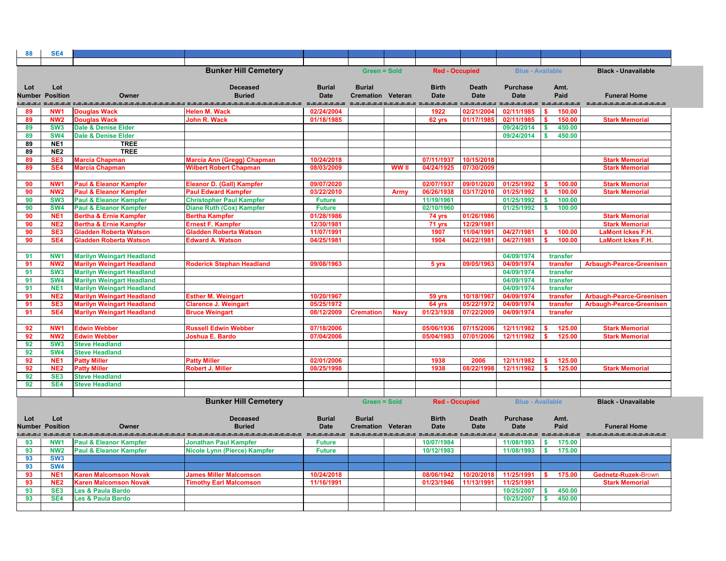| 88       | SE4                                |                                                                      |                                           |                            |                          |              |                       |                                         |                         |                                     |                                            |
|----------|------------------------------------|----------------------------------------------------------------------|-------------------------------------------|----------------------------|--------------------------|--------------|-----------------------|-----------------------------------------|-------------------------|-------------------------------------|--------------------------------------------|
|          |                                    |                                                                      |                                           |                            |                          |              |                       |                                         |                         |                                     |                                            |
|          |                                    |                                                                      | <b>Bunker Hill Cemetery</b>               |                            | <b>Green = Sold</b>      |              | <b>Red - Occupied</b> |                                         | <b>Blue - Available</b> |                                     | <b>Black - Unavailable</b>                 |
|          |                                    |                                                                      |                                           |                            |                          |              |                       |                                         |                         |                                     |                                            |
| Lot      | Lot                                |                                                                      | <b>Deceased</b>                           | <b>Burial</b>              | <b>Burial</b>            |              | <b>Birth</b>          | <b>Death</b>                            | <b>Purchase</b>         | Amt.                                |                                            |
|          | <b>Number Position</b>             | Owner                                                                | <b>Buried</b>                             | <b>Date</b>                | <b>Cremation Veteran</b> |              | <b>Date</b>           | <b>Date</b>                             | <b>Date</b>             | Paid                                | <b>Funeral Home</b>                        |
| 89       | NW <sub>1</sub>                    | <b>Douglas Wack</b>                                                  | . ---------------<br><b>Helen M. Wack</b> | ------------<br>02/24/2004 |                          |              | 1922                  | .=.=.=.=.= :.=.=.=.=.=.=.<br>02/21/2004 | 02/11/1985              | ---<br>150.00                       | -------                                    |
| 89       | NW <sub>2</sub>                    | <b>Douglas Wack</b>                                                  | John R. Wack                              | 01/18/1985                 |                          |              | 62 yrs                | 01/17/1985                              | 02/11/1985              | 150.00<br>S.                        | <b>Stark Memorial</b>                      |
| 89       | SW <sub>3</sub>                    | <b>Dale &amp; Denise Elder</b>                                       |                                           |                            |                          |              |                       |                                         | 09/24/2014              | $\boldsymbol{\mathsf{s}}$<br>450.00 |                                            |
| 89       | <b>SW4</b>                         | <b>Dale &amp; Denise Elder</b>                                       |                                           |                            |                          |              |                       |                                         | 09/24/2014              | 450.00                              |                                            |
| 89       | NE <sub>1</sub>                    | <b>TREE</b>                                                          |                                           |                            |                          |              |                       |                                         |                         |                                     |                                            |
| 89       | NE2                                | <b>TREE</b>                                                          |                                           |                            |                          |              |                       |                                         |                         |                                     |                                            |
| 89       | SE <sub>3</sub>                    | <b>Marcia Chapman</b>                                                | Marcia Ann (Gregg) Chapman                | 10/24/2018                 |                          |              | 07/11/1937            | 10/15/2018                              |                         |                                     | <b>Stark Memorial</b>                      |
| 89       | SE4                                | <b>Marcia Chapman</b>                                                | <b>Wilbert Robert Chapman</b>             | 08/03/2009                 |                          | <b>WW</b> II | 04/24/1925            | 07/30/2009                              |                         |                                     | <b>Stark Memorial</b>                      |
| 90       | NW <sub>1</sub>                    | <b>Paul &amp; Eleanor Kampfer</b>                                    | <b>Eleanor D. (Gall) Kampfer</b>          | 09/07/2020                 |                          |              | 02/07/1937            | 09/01/2020                              | 01/25/1992              | 100.00                              | <b>Stark Memorial</b>                      |
| 90       | <b>NW2</b>                         | <b>Paul &amp; Eleanor Kampfer</b>                                    | <b>Paul Edward Kampfer</b>                | 03/22/2010                 |                          | <b>Army</b>  | 06/26/1938            | 03/17/2010                              | 01/25/1992              | 100.00                              | <b>Stark Memorial</b>                      |
| 90       | SW <sub>3</sub>                    | <b>Paul &amp; Eleanor Kampfer</b>                                    | <b>Christopher Paul Kampfer</b>           | <b>Future</b>              |                          |              | 11/19/1961            |                                         | 01/25/1992              | 100.00<br>-S                        |                                            |
| 90       | <b>SW4</b>                         | <b>Paul &amp; Eleanor Kampfer</b>                                    | <b>Diane Ruth (Cox) Kampfer</b>           | <b>Future</b>              |                          |              | 02/10/1960            |                                         | 01/25/1992              | 100.00<br>$\boldsymbol{\mathsf{s}}$ |                                            |
| 90       | NE <sub>1</sub>                    | <b>Bertha &amp; Ernie Kampfer</b>                                    | <b>Bertha Kampfer</b>                     | 01/28/1986                 |                          |              | 74 yrs                | 01/26/1986                              |                         |                                     | <b>Stark Memorial</b>                      |
| 90       | NE <sub>2</sub>                    | <b>Bertha &amp; Ernie Kampfer</b>                                    | <b>Ernest F. Kampfer</b>                  | 12/30/1981                 |                          |              | 71 yrs                | 12/29/1981                              |                         |                                     | <b>Stark Memorial</b>                      |
| 90       | SE <sub>3</sub>                    | <b>Gladden Roberta Watson</b>                                        | <b>Gladden Roberta Watson</b>             | 11/07/1991                 |                          |              | 1907                  | 11/04/1991                              | 04/27/1981              | 100.00                              | <b>LaMont Ickes F.H.</b>                   |
| 90       | SE4                                | <b>Gladden Roberta Watson</b>                                        | <b>Edward A. Watson</b>                   | 04/25/1981                 |                          |              | 1904                  | 04/22/1981                              | 04/27/1981              | 100.00                              | <b>LaMont Ickes F.H.</b>                   |
|          |                                    |                                                                      |                                           |                            |                          |              |                       |                                         | 04/09/1974              |                                     |                                            |
| 91<br>91 | NW <sub>1</sub><br>NW <sub>2</sub> | <b>Marilyn Weingart Headland</b><br><b>Marilyn Weingart Headland</b> | <b>Roderick Stephan Headland</b>          | 09/08/1963                 |                          |              | 5 yrs                 | 09/05/1963                              | 04/09/1974              | transfer<br>transfer                | <b>Arbaugh-Pearce-Greenisen</b>            |
| 91       | SW <sub>3</sub>                    | <b>Marilyn Weingart Headland</b>                                     |                                           |                            |                          |              |                       |                                         | 04/09/1974              | transfer                            |                                            |
| 91       | <b>SW4</b>                         | <b>Marilyn Weingart Headland</b>                                     |                                           |                            |                          |              |                       |                                         | 04/09/1974              | transfer                            |                                            |
| 91       | NE <sub>1</sub>                    | <b>Marilyn Weingart Headland</b>                                     |                                           |                            |                          |              |                       |                                         | 04/09/1974              | transfer                            |                                            |
| 91       | NE <sub>2</sub>                    | <b>Marilyn Weingart Headland</b>                                     | <b>Esther M. Weingart</b>                 | 10/20/1967                 |                          |              | 59 yrs                | 10/18/1967                              | 04/09/1974              | transfer                            | <b>Arbaugh-Pearce-Greenisen</b>            |
| 91       | SE <sub>3</sub>                    | <b>Marilyn Weingart Headland</b>                                     | <b>Clarence J. Weingart</b>               | 05/25/1972                 |                          |              | 64 yrs                | 05/22/1972                              | 04/09/1974              | transfer                            | <b>Arbaugh-Pearce-Greenisen</b>            |
| 91       | SE4                                | <b>Marilyn Weingart Headland</b>                                     | <b>Bruce Weingart</b>                     | 08/12/2009                 | <b>Cremation</b>         | <b>Navy</b>  | 01/23/1938            | 07/22/2009                              | 04/09/1974              | transfer                            |                                            |
|          |                                    |                                                                      |                                           |                            |                          |              |                       |                                         |                         |                                     |                                            |
| 92       | NW <sub>1</sub>                    | <b>Edwin Webber</b>                                                  | <b>Russell Edwin Webber</b>               | 07/18/2006                 |                          |              | 05/06/1936            | 07/15/2000                              | 12/11/1982              | 125.00                              | <b>Stark Memorial</b>                      |
| 92<br>92 | NW <sub>2</sub><br>SW <sub>3</sub> | <b>Edwin Webber</b><br><b>Steve Headland</b>                         | Joshua E. Bardo                           | 07/04/2006                 |                          |              |                       |                                         |                         | 125.00                              | <b>Stark Memorial</b>                      |
| 92       | <b>SW4</b>                         | <b>Steve Headland</b>                                                |                                           |                            |                          |              |                       |                                         |                         |                                     |                                            |
| 92       | NE <sub>1</sub>                    | <b>Patty Miller</b>                                                  | <b>Patty Miller</b>                       | 02/01/2006                 |                          |              | 1938                  | 2006                                    | 12/11/1982              | 125.00                              |                                            |
| 92       | NE <sub>2</sub>                    | <b>Patty Miller</b>                                                  | <b>Robert J. Miller</b>                   | 08/25/1998                 |                          |              | 1938                  | 08/22/1998                              | 12/11/1982              | 125.00                              | <b>Stark Memorial</b>                      |
| 92       | SE <sub>3</sub>                    | <b>Steve Headland</b>                                                |                                           |                            |                          |              |                       |                                         |                         |                                     |                                            |
| 92       | <b>SE4</b>                         | <b>Steve Headland</b>                                                |                                           |                            |                          |              |                       |                                         |                         |                                     |                                            |
|          |                                    |                                                                      |                                           |                            |                          |              |                       |                                         |                         |                                     |                                            |
|          |                                    |                                                                      | <b>Bunker Hill Cemetery</b>               |                            | <b>Green = Sold</b>      |              | <b>Red - Occupied</b> |                                         | <b>Blue - Available</b> |                                     | <b>Black - Unavailable</b>                 |
|          |                                    |                                                                      |                                           |                            |                          |              |                       |                                         |                         |                                     |                                            |
| Lot      | Lot                                |                                                                      | <b>Deceased</b>                           | <b>Burial</b>              | <b>Burial</b>            |              | <b>Birth</b>          | <b>Death</b>                            | <b>Purchase</b>         | Amt.                                |                                            |
|          | <b>Number Position</b>             | Owner                                                                | <b>Buried</b><br>-----------------        | <b>Date</b><br>======      | <b>Cremation Veteran</b> |              | <b>Date</b>           | <b>Date</b>                             | <b>Date</b>             | Paid<br>=-=-=-=-=-=-=               | <b>Funeral Home</b><br>=================== |
| 93       | NW <sub>1</sub>                    | <b>Paul &amp; Eleanor Kampfer</b>                                    | <b>Jonathan Paul Kampfer</b>              | <b>Future</b>              |                          |              | 10/07/1984            |                                         | 11/08/1993              | $\sqrt[3]{3}$<br>175.00             |                                            |
| 93       | NW <sub>2</sub>                    | <b>Paul &amp; Eleanor Kampfer</b>                                    | <b>Nicole Lynn (Pierce) Kampfer</b>       | <b>Future</b>              |                          |              | 10/12/1983            |                                         | 11/08/1993              | - \$<br>175.00                      |                                            |
| 93       | SW <sub>3</sub>                    |                                                                      |                                           |                            |                          |              |                       |                                         |                         |                                     |                                            |
| 93       | SW4                                |                                                                      |                                           |                            |                          |              |                       |                                         |                         |                                     |                                            |
| 93       | NE <sub>1</sub>                    | <b>Karen Malcomson Novak</b>                                         | <b>James Miller Malcomson</b>             | 10/24/2018                 |                          |              | 08/06/1942            | 10/20/2018                              | 11/25/1991              | 175.00                              | Gednetz-Ruzek-Brown                        |
| 93       | NE <sub>2</sub>                    | <b>Karen Malcomson Novak</b>                                         | <b>Timothy Earl Malcomson</b>             | 11/16/1991                 |                          |              | 01/23/1946            | 11/13/1991                              | 11/25/1991              |                                     | <b>Stark Memorial</b>                      |
| 93       | SE <sub>3</sub>                    | Les & Paula Bardo                                                    |                                           |                            |                          |              |                       |                                         | 10/25/2007              | 450.00<br>$\boldsymbol{\mathsf{s}}$ |                                            |
| 93       | SE4                                | <b>Les &amp; Paula Bardo</b>                                         |                                           |                            |                          |              |                       |                                         | 10/25/2007              | $\mathbf{s}$<br>450.00              |                                            |
|          |                                    |                                                                      |                                           |                            |                          |              |                       |                                         |                         |                                     |                                            |

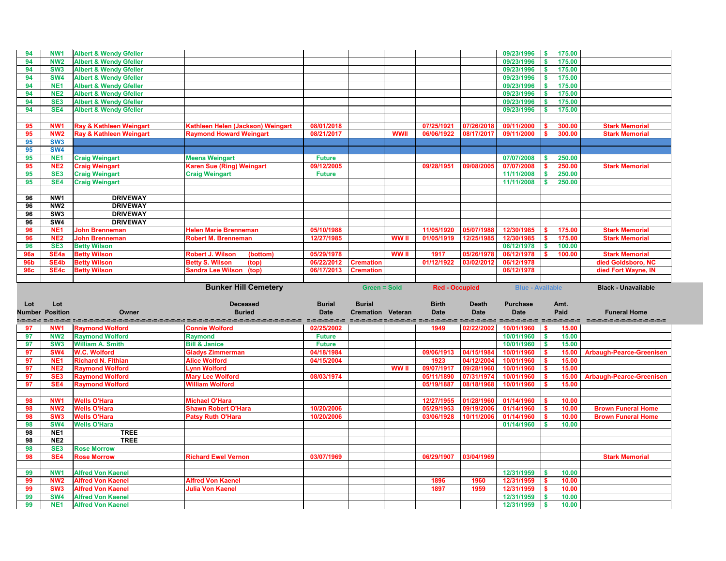| 94         | NW1                    | <b>Albert &amp; Wendy Gfeller</b>                |                                                   |               |                          |              |                          |                          | 09/23/1996               | $\sqrt{S}$<br>175.00          |                                                                                                                       |
|------------|------------------------|--------------------------------------------------|---------------------------------------------------|---------------|--------------------------|--------------|--------------------------|--------------------------|--------------------------|-------------------------------|-----------------------------------------------------------------------------------------------------------------------|
| 94         | <b>NW2</b>             | <b>Albert &amp; Wendy Gfeller</b>                |                                                   |               |                          |              |                          |                          | 09/23/1996               | 175.00                        |                                                                                                                       |
| 94         | SW <sub>3</sub>        | <b>Albert &amp; Wendy Gfeller</b>                |                                                   |               |                          |              |                          |                          | 09/23/1996               | 175.00<br>$\mathbf{s}$        |                                                                                                                       |
| 94         | <b>SW4</b>             | <b>Albert &amp; Wendy Gfeller</b>                |                                                   |               |                          |              |                          |                          | 09/23/1996               | 175.00<br>- \$                |                                                                                                                       |
| 94         | NE <sub>1</sub>        | <b>Albert &amp; Wendy Gfeller</b>                |                                                   |               |                          |              |                          |                          | 09/23/1996               | 175.00<br>- \$                |                                                                                                                       |
| 94         | NE <sub>2</sub>        | <b>Albert &amp; Wendy Gfeller</b>                |                                                   |               |                          |              |                          |                          | 09/23/1996               | 175.00<br>- \$                |                                                                                                                       |
| 94         | SE <sub>3</sub>        | <b>Albert &amp; Wendy Gfeller</b>                |                                                   |               |                          |              |                          |                          | 09/23/1996               | 175.00                        |                                                                                                                       |
| 94         | SE4                    | <b>Albert &amp; Wendy Gfeller</b>                |                                                   |               |                          |              |                          |                          | 09/23/1996               | 175.00                        |                                                                                                                       |
|            |                        |                                                  |                                                   |               |                          |              |                          |                          |                          |                               |                                                                                                                       |
| 95         | NW <sub>1</sub>        | Ray & Kathleen Weingart                          | Kathleen Helen (Jackson) Weingart                 | 08/01/2018    |                          |              | 07/25/1921               | 07/26/2018               | 09/11/2000               | 300.00                        | <b>Stark Memorial</b>                                                                                                 |
| 95         | NW <sub>2</sub>        | Ray & Kathleen Weingart                          | <b>Raymond Howard Weingart</b>                    | 08/21/2017    |                          | <b>WWII</b>  | 06/06/1922               | 08/17/2017               | 09/11/2000               | 300.00                        | <b>Stark Memorial</b>                                                                                                 |
| 95         | SW <sub>3</sub>        |                                                  |                                                   |               |                          |              |                          |                          |                          |                               |                                                                                                                       |
| 95         | <b>SW4</b>             |                                                  |                                                   |               |                          |              |                          |                          |                          |                               |                                                                                                                       |
| 95         | NE <sub>1</sub>        | <b>Craig Weingart</b>                            | Meena Weingart                                    | <b>Future</b> |                          |              |                          |                          | 07/07/2008               | 250.00<br>s.                  |                                                                                                                       |
| 95         | NE <sub>2</sub>        | <b>Craig Weingart</b>                            | <b>Karen Sue (Ring) Weingart</b>                  | 09/12/2005    |                          |              | 09/28/1951               | 09/08/200                | 07/07/2008               | 250.00                        | <b>Stark Memorial</b>                                                                                                 |
| 95         | SE <sub>3</sub>        | <b>Craig Weingart</b>                            | <b>Craig Weingart</b>                             | <b>Future</b> |                          |              |                          |                          | 11/11/2008               | 250.00                        |                                                                                                                       |
| 95         | SE4                    | <b>Craig Weingart</b>                            |                                                   |               |                          |              |                          |                          | 11/11/2008               | 250.00                        |                                                                                                                       |
|            |                        |                                                  |                                                   |               |                          |              |                          |                          |                          |                               |                                                                                                                       |
| 96         | NW1                    | <b>DRIVEWAY</b>                                  |                                                   |               |                          |              |                          |                          |                          |                               |                                                                                                                       |
| 96         | NW <sub>2</sub>        | <b>DRIVEWAY</b>                                  |                                                   |               |                          |              |                          |                          |                          |                               |                                                                                                                       |
| 96         | SW <sub>3</sub>        | <b>DRIVEWAY</b>                                  |                                                   |               |                          |              |                          |                          |                          |                               |                                                                                                                       |
| 96         | SW4                    | <b>DRIVEWAY</b>                                  |                                                   |               |                          |              |                          |                          |                          |                               |                                                                                                                       |
| 96         | NE <sub>1</sub>        | <b>John Brenneman</b>                            | <b>Helen Marie Brenneman</b>                      | 05/10/1988    |                          |              | 11/05/1920               | 05/07/1988               | 12/30/1985               | 175.00                        | <b>Stark Memorial</b>                                                                                                 |
| 96         | NE <sub>2</sub>        | <b>John Brenneman</b>                            | <b>Robert M. Brenneman</b>                        | 12/27/1985    |                          | <b>WW II</b> | 01/05/1919               | 12/25/1985               | 12/30/1985               | 175.00                        | <b>Stark Memorial</b>                                                                                                 |
| 96         | SE <sub>3</sub>        | <b>Betty Wilson</b>                              |                                                   |               |                          |              |                          |                          | 06/12/1978               | 100.00                        |                                                                                                                       |
| <b>96a</b> | SE <sub>4a</sub>       | <b>Betty Wilson</b>                              | <b>Robert J. Wilson</b><br>(bottom)               | 05/29/1978    |                          | WW II        | 1917                     | 05/26/1978               | 06/12/1978               | 100.00                        | <b>Stark Memorial</b>                                                                                                 |
| <b>96b</b> | SE4b                   | <b>Betty Wilson</b>                              | <b>Betty S. Wilson</b><br>(top)                   | 06/22/2012    | <b>Cremation</b>         |              | 01/12/1922               | 03/02/2012               | 06/12/1978               |                               | died Goldsboro, NC                                                                                                    |
| <b>96c</b> | SE4c                   | <b>Betty Wilson</b>                              | <b>Sandra Lee Wilson</b><br>(top)                 | 06/17/2013    | <b>Cremation</b>         |              |                          |                          | 06/12/1978               |                               | died Fort Wayne, IN                                                                                                   |
|            |                        |                                                  |                                                   |               |                          |              |                          |                          |                          |                               |                                                                                                                       |
|            |                        |                                                  |                                                   |               |                          |              |                          |                          |                          |                               |                                                                                                                       |
|            |                        |                                                  |                                                   |               |                          |              |                          |                          |                          |                               |                                                                                                                       |
|            |                        |                                                  | <b>Bunker Hill Cemetery</b>                       |               | <b>Green = Sold</b>      |              | <b>Red - Occupied</b>    |                          | <b>Blue - Available</b>  |                               | <b>Black - Unavailable</b>                                                                                            |
|            |                        |                                                  | <b>Deceased</b>                                   |               |                          |              |                          |                          |                          |                               |                                                                                                                       |
| Lot        | Lot                    |                                                  |                                                   | <b>Burial</b> | <b>Burial</b>            |              | <b>Birth</b>             | <b>Death</b>             | <b>Purchase</b>          | Amt.                          |                                                                                                                       |
|            | <b>Number Position</b> | Owner                                            | <b>Buried</b>                                     | <b>Date</b>   | <b>Cremation Veteran</b> |              | <b>Date</b>              | <b>Date</b>              | <b>Date</b>              | Paid                          | <b>Funeral Home</b><br>alalalan sisisisi didistika taun mengana didistikan didistikan didistikan di sebelum distribut |
|            |                        |                                                  |                                                   |               |                          |              |                          |                          |                          |                               |                                                                                                                       |
| 97         | <b>NW1</b>             | <b>Raymond Wolford</b>                           | <b>Connie Wolford</b>                             | 02/25/2002    |                          |              | 1949                     | 02/22/2002               | 10/01/1960               | $\sqrt{S}$<br>15.00           |                                                                                                                       |
| 97<br>97   | SW <sub>3</sub>        | <b>NW2</b> Raymond Wolford                       | <b>Raymond</b>                                    | <b>Future</b> |                          |              |                          |                          | $10/01/1960$ \$          | 15.00                         |                                                                                                                       |
|            |                        | <b>William A. Smith</b>                          | <b>Bill &amp; Janice</b>                          | <b>Future</b> |                          |              |                          |                          | 10/01/1960               | 15.00<br>l \$<br>- \$         |                                                                                                                       |
| 97         | SW <sub>4</sub>        | <b>W.C. Wolford</b>                              | <b>Gladys Zimmerman</b>                           | 04/18/1984    |                          |              | 09/06/1913               | 04/15/1984               | 10/01/1960               | 15.00<br>-\$                  | <b>Arbaugh-Pearce-Greenisen</b>                                                                                       |
| 97         | NE <sub>1</sub>        | <b>Richard N. Fithian</b>                        | <b>Alice Wolford</b><br><b>Lynn Wolford</b>       | 04/15/2004    |                          |              | 1923                     | 04/12/2004               | 10/01/1960               | 15.00                         |                                                                                                                       |
| 97<br>97   | NE <sub>2</sub>        | <b>Raymond Wolford</b>                           |                                                   |               |                          | WW II        | 09/07/1917<br>05/11/1890 | 09/28/1960               | 10/01/1960               | 15.00                         |                                                                                                                       |
| 97         | SE <sub>3</sub><br>SE4 | <b>Raymond Wolford</b><br><b>Raymond Wolford</b> | <b>Mary Lee Wolford</b><br><b>William Wolford</b> | 08/03/1974    |                          |              | 05/19/1887               | 07/31/1974<br>08/18/1968 | 10/01/1960<br>10/01/1960 | 15.00<br>15.00                | <b>Arbaugh-Pearce-Greenisen</b>                                                                                       |
|            |                        |                                                  |                                                   |               |                          |              |                          |                          |                          |                               |                                                                                                                       |
| 98         | NW <sub>1</sub>        | <b>Wells O'Hara</b>                              | <b>Michael O'Hara</b>                             |               |                          |              | 12/27/1955               | 01/28/1960               | 01/14/1960               | 10.00                         |                                                                                                                       |
|            | <b>NW2</b>             | <b>Wells O'Hara</b>                              | <b>Shawn Robert O'Hara</b>                        | 10/20/2006    |                          |              | 05/29/1953               |                          | 01/14/1960               | $\sqrt{3}$                    | <b>Brown Funeral Home</b>                                                                                             |
| 98<br>98   | SW <sub>3</sub>        |                                                  |                                                   | 10/20/2006    |                          |              | 03/06/1928               | 09/19/2006<br>10/11/2006 |                          | 10.00<br>$\mathbf s$<br>10.00 | <b>Brown Funeral Home</b>                                                                                             |
| 98         | SW4                    | <b>Wells O'Hara</b><br><b>Wells O'Hara</b>       | <b>Patsy Ruth O'Hara</b>                          |               |                          |              |                          |                          | 01/14/1960<br>01/14/1960 | 10.00<br>∣\$                  |                                                                                                                       |
| 98         | NE <sub>1</sub>        | <b>TREE</b>                                      |                                                   |               |                          |              |                          |                          |                          |                               |                                                                                                                       |
| 98         | NE <sub>2</sub>        | <b>TREE</b>                                      |                                                   |               |                          |              |                          |                          |                          |                               |                                                                                                                       |
| 98         | SE <sub>3</sub>        | <b>Rose Morrow</b>                               |                                                   |               |                          |              |                          |                          |                          |                               |                                                                                                                       |
| 98         | SE4                    | <b>Rose Morrow</b>                               | <b>Richard Ewel Vernon</b>                        | 03/07/1969    |                          |              | 06/29/1907               | 03/04/1969               |                          |                               | <b>Stark Memorial</b>                                                                                                 |
|            |                        |                                                  |                                                   |               |                          |              |                          |                          |                          |                               |                                                                                                                       |
| 99         | NW1                    | <b>Alfred Von Kaenel</b>                         |                                                   |               |                          |              |                          |                          | 12/31/1959               | 10.00<br>$\sqrt{S}$           |                                                                                                                       |
| 99         | NW <sub>2</sub>        | <b>Alfred Von Kaenel</b>                         | <b>Alfred Von Kaenel</b>                          |               |                          |              | 1896                     | 1960                     | 12/31/1959               | 10.00                         |                                                                                                                       |
| 99         | SW <sub>3</sub>        | <b>Alfred Von Kaenel</b>                         | <b>Julia Von Kaenel</b>                           |               |                          |              | 1897                     | 1959                     | 12/31/1959               | 10.00                         |                                                                                                                       |
| 99         | <b>SW4</b>             | <b>Alfred Von Kaenel</b>                         |                                                   |               |                          |              |                          |                          | 12/31/1959               | $\vert$ \$<br>10.00           |                                                                                                                       |
| 99         | NE <sub>1</sub>        | <b>Alfred Von Kaenel</b>                         |                                                   |               |                          |              |                          |                          | 12/31/1959               | $\sqrt{S}$<br>10.00           |                                                                                                                       |

| <b>Stark Memorial</b> |
|-----------------------|
| <b>Stark Memorial</b> |
|                       |
|                       |
|                       |
| <b>Stark Memorial</b> |
|                       |
|                       |
|                       |
|                       |
|                       |
|                       |
|                       |
| <b>Stark Memorial</b> |
| <b>Stark Memorial</b> |
|                       |
| <b>Stark Memorial</b> |
| died Goldsboro, NC    |
| died Fort Wayne, IN   |
|                       |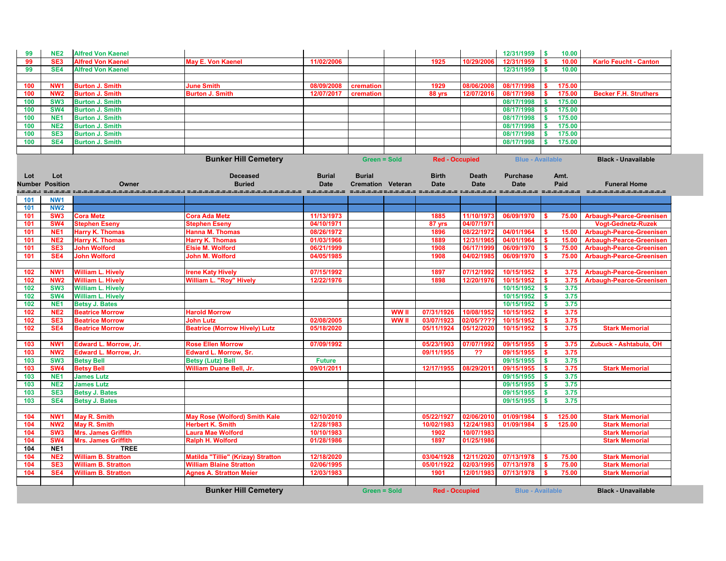| 99      | <b>NE2</b>      | <b>Alfred Von Kaenel</b>     |                                      |               |                          |              |                       |              | 12/31/1959                       | $\boldsymbol{\mathsf{s}}$<br>10.00 |                                 |
|---------|-----------------|------------------------------|--------------------------------------|---------------|--------------------------|--------------|-----------------------|--------------|----------------------------------|------------------------------------|---------------------------------|
| 99      | SE <sub>3</sub> | <b>Alfred Von Kaenel</b>     | <b>May E. Von Kaenel</b>             | 11/02/2006    |                          |              | 1925                  | 10/29/2006   | 12/31/1959                       | 10.00<br>S.                        | <b>Karlo Feucht - Canton</b>    |
| 99      | SE4             | <b>Alfred Von Kaenel</b>     |                                      |               |                          |              |                       |              | 12/31/1959                       | 10.00<br>S.                        |                                 |
|         |                 |                              |                                      |               |                          |              |                       |              |                                  |                                    |                                 |
|         |                 |                              |                                      |               |                          |              |                       |              |                                  |                                    |                                 |
| 100     | NW <sub>1</sub> | <b>Burton J. Smith</b>       | <b>June Smith</b>                    | 08/09/2008    | cremation                |              | 1929                  | 08/06/2008   | 08/17/1998                       | 175.00                             |                                 |
| 100     | NW <sub>2</sub> | <b>Burton J. Smith</b>       | <b>Burton J. Smith</b>               | 12/07/2017    | cremation                |              | 88 yrs                | 12/07/2016   | 08/17/1998                       | 175.00                             | <b>Becker F.H. Struthers</b>    |
| 100     | SW <sub>3</sub> | <b>Burton J. Smith</b>       |                                      |               |                          |              |                       |              | 08/17/1998                       | 175.00                             |                                 |
| 100     | <b>SW4</b>      | <b>Burton J. Smith</b>       |                                      |               |                          |              |                       |              | 08/17/1998                       | 175.00                             |                                 |
| 100     | NE <sub>1</sub> | <b>Burton J. Smith</b>       |                                      |               |                          |              |                       |              | 08/17/1998                       | 175.00                             |                                 |
| 100     | <b>NE2</b>      | <b>Burton J. Smith</b>       |                                      |               |                          |              |                       |              | 08/17/1998                       | 175.00                             |                                 |
| 100     | SE <sub>3</sub> | <b>Burton J. Smith</b>       |                                      |               |                          |              |                       |              | 08/17/1998                       | 175.00                             |                                 |
| 100     | SE4             | <b>Burton J. Smith</b>       |                                      |               |                          |              |                       |              | 08/17/1998                       | 175.00                             |                                 |
|         |                 |                              |                                      |               |                          |              |                       |              |                                  |                                    |                                 |
|         |                 |                              | <b>Bunker Hill Cemetery</b>          |               | <b>Green = Sold</b>      |              | <b>Red - Occupied</b> |              | <b>Blue - Available</b>          |                                    | <b>Black - Unavailable</b>      |
|         |                 |                              |                                      |               |                          |              |                       |              |                                  |                                    |                                 |
| Lot     | Lot             |                              | <b>Deceased</b>                      | <b>Burial</b> | <b>Burial</b>            |              | <b>Birth</b>          | <b>Death</b> | <b>Purchase</b>                  | Amt.                               |                                 |
| Number  | <b>Position</b> | Owner                        | <b>Buried</b>                        | <b>Date</b>   | <b>Cremation Veteran</b> |              | <b>Date</b>           | <b>Date</b>  | <b>Date</b>                      | Paid                               | <b>Funeral Home</b>             |
| =.=.=.: |                 |                              |                                      |               |                          |              | --------------------  |              | . -------- ------------- ------- |                                    | --------------------            |
| 101     | NW1             |                              |                                      |               |                          |              |                       |              |                                  |                                    |                                 |
| 101     | <b>NW2</b>      |                              |                                      |               |                          |              |                       |              |                                  |                                    |                                 |
| 101     | SW <sub>3</sub> | <b>Cora Metz</b>             | <b>Cora Ada Metz</b>                 | 11/13/1973    |                          |              | 1885                  | 11/10/1973   | 06/09/1970                       | 75.00<br>S.                        | <b>Arbaugh-Pearce-Greenisen</b> |
| 101     | SW <sub>4</sub> | <b>Stephen Eseny</b>         |                                      | 04/10/1971    |                          |              |                       | 04/07/1971   |                                  |                                    |                                 |
|         |                 |                              | <b>Stephen Eseny</b>                 |               |                          |              | 87 yrs                |              |                                  |                                    | <b>Vogt-Gednetz-Ruzek</b>       |
| 101     | NE <sub>1</sub> | <b>Harry K. Thomas</b>       | <b>Hanna M. Thomas</b>               | 08/26/1972    |                          |              | 1896                  | 08/22/1972   | 04/01/1964                       | 15.00<br>s.                        | <b>Arbaugh-Pearce-Greenisen</b> |
| 101     | NE <sub>2</sub> | <b>Harry K. Thomas</b>       | <b>Harry K. Thomas</b>               | 01/03/1966    |                          |              | 1889                  | 12/31/1965   | 04/01/1964                       | \$<br>15.00                        | <b>Arbaugh-Pearce-Greenisen</b> |
| 101     | SE <sub>3</sub> | <b>John Wolford</b>          | <b>Elsie M. Wolford</b>              | 06/21/1999    |                          |              | 1908                  | 06/17/1999   | 06/09/1970                       | 75.00<br>S.                        | <b>Arbaugh-Pearce-Greenisen</b> |
| 101     | SE4             | <b>John Wolford</b>          | John M. Wolford                      | 04/05/1985    |                          |              | 1908                  | 04/02/1985   | 06/09/1970                       | 75.00                              | <b>Arbaugh-Pearce-Greenisen</b> |
|         |                 |                              |                                      |               |                          |              |                       |              |                                  |                                    |                                 |
| 102     | NW <sub>1</sub> | <b>William L. Hively</b>     | <b>Irene Katy Hively</b>             | 07/15/1992    |                          |              | 1897                  | 07/12/1992   | 10/15/1952                       | 3.75<br>-S                         | <b>Arbaugh-Pearce-Greenisen</b> |
| 102     | NW <sub>2</sub> | <b>William L. Hively</b>     | <b>William L. "Roy" Hively</b>       | 12/22/1976    |                          |              | 1898                  | 12/20/1976   | 10/15/1952                       | 3.75<br>$\mathbf{\$}$              | <b>Arbaugh-Pearce-Greenisen</b> |
| 102     | SW <sub>3</sub> | <b>William L. Hively</b>     |                                      |               |                          |              |                       |              | 10/15/1952                       | 3.75<br><b>S</b>                   |                                 |
| 102     | <b>SW4</b>      | <b>William L. Hively</b>     |                                      |               |                          |              |                       |              | 10/15/1952                       | 3.75<br>$\mathbf{\$}$              |                                 |
| 102     | NE <sub>1</sub> | <b>Betsy J. Bates</b>        |                                      |               |                          |              |                       |              | 10/15/1952                       | 3.75<br>\$                         |                                 |
| 102     | NE <sub>2</sub> | <b>Beatrice Morrow</b>       | <b>Harold Morrow</b>                 |               |                          | <b>WW</b> II | 07/31/1926            | 10/08/1952   | 10/15/1952                       | 3.75<br>$\mathbf{\$}$              |                                 |
| 102     | SE <sub>3</sub> | <b>Beatrice Morrow</b>       | <b>John Lutz</b>                     | 02/08/2005    |                          | <b>WW</b> II | 03/07/1923            | 02/05/????   | 10/15/1952                       | 3.75<br>S.                         |                                 |
| 102     | SE4             | <b>Beatrice Morrow</b>       | <b>Beatrice (Morrow Hively) Lutz</b> | 05/18/2020    |                          |              | 05/11/1924            | 05/12/2020   | 10/15/1952                       | 3.75                               | <b>Stark Memorial</b>           |
|         |                 |                              |                                      |               |                          |              |                       |              |                                  |                                    |                                 |
| 103     | NW <sub>1</sub> | <b>Edward L. Morrow, Jr.</b> | <b>Rose Ellen Morrow</b>             | 07/09/1992    |                          |              | 05/23/1903            | 07/07/1992   | 09/15/1955                       | 3.75<br>-S                         | Zubuck - Ashtabula, OH          |
| 103     | NW <sub>2</sub> | <b>Edward L. Morrow, Jr.</b> | <b>Edward L. Morrow, Sr.</b>         |               |                          |              | 09/11/1955            | ??           | 09/15/1955                       | 3.75<br>$\mathbf{\$}$              |                                 |
| 103     | SW <sub>3</sub> | <b>Betsy Bell</b>            | <b>Betsy (Lutz) Bell</b>             | <b>Future</b> |                          |              |                       |              | 09/15/1955                       | 3.75<br>S.                         |                                 |
| 103     | <b>SW4</b>      | <b>Betsy Bell</b>            | <b>William Duane Bell, Jr.</b>       | 09/01/2011    |                          |              | 12/17/1955            | 08/29/201    | 09/15/1955                       | 3.75<br>-S                         | <b>Stark Memorial</b>           |
| 103     | NE <sub>1</sub> | <b>James Lutz</b>            |                                      |               |                          |              |                       |              | 09/15/1955                       | \$<br>3.75                         |                                 |
|         | NE <sub>2</sub> |                              |                                      |               |                          |              |                       |              | 09/15/1955                       | 3.75                               |                                 |
| 103     |                 | <b>James Lutz</b>            |                                      |               |                          |              |                       |              |                                  | $\mathbf{s}$                       |                                 |
| 103     | SE <sub>3</sub> | <b>Betsy J. Bates</b>        |                                      |               |                          |              |                       |              | 09/15/1955                       | 3.75<br>$\mathbf{\$}$              |                                 |
| 103     | SE4             | <b>Betsy J. Bates</b>        |                                      |               |                          |              |                       |              | 09/15/1955                       | 3.75<br>S.                         |                                 |
|         |                 |                              |                                      |               |                          |              |                       |              |                                  |                                    |                                 |
| 104     | NW <sub>1</sub> | <b>May R. Smith</b>          | May Rose (Wolford) Smith Kale        | 02/10/2010    |                          |              | 05/22/1927            | 02/06/2010   | 01/09/1984                       | 125.00<br>S.                       | <b>Stark Memorial</b>           |
| 104     | NW <sub>2</sub> | <b>May R. Smith</b>          | <b>Herbert K. Smith</b>              | 12/28/1983    |                          |              | 10/02/1983            | 12/24/1983   | 01/09/1984                       | 125.00                             | <b>Stark Memorial</b>           |
| 104     | SW <sub>3</sub> | <b>Mrs. James Griffith</b>   | <b>Laura Mae Wolford</b>             | 10/10/1983    |                          |              | 1902                  | 10/07/1983   |                                  |                                    | <b>Stark Memorial</b>           |
| 104     | <b>SW4</b>      | <b>Mrs. James Griffith</b>   | <b>Ralph H. Wolford</b>              | 01/28/1986    |                          |              | 1897                  | 01/25/1986   |                                  |                                    | <b>Stark Memorial</b>           |
| 104     | NE <sub>1</sub> | <b>TREE</b>                  |                                      |               |                          |              |                       |              |                                  |                                    |                                 |
| 104     | NE <sub>2</sub> | <b>William B. Stratton</b>   | Matilda "Tillie" (Krizay) Stratton   | 12/18/2020    |                          |              | 03/04/1928            | 12/11/2020   | 07/13/1978                       | 75.00<br>-S                        | <b>Stark Memorial</b>           |
| 104     | SE <sub>3</sub> | <b>William B. Stratton</b>   | <b>William Blaine Stratton</b>       | 02/06/1995    |                          |              | 05/01/1922            | 02/03/1995   | 07/13/1978                       | 75.00<br>$\mathbf{\$}$             | <b>Stark Memorial</b>           |
| 104     | SE4             | <b>William B. Stratton</b>   | <b>Agnes A. Stratton Meier</b>       | 12/03/1983    |                          |              | 1901                  | 12/01/1983   | 07/13/1978                       | 75.00<br>s.                        | <b>Stark Memorial</b>           |
|         |                 |                              |                                      |               |                          |              |                       |              |                                  |                                    |                                 |
|         |                 |                              | <b>Bunker Hill Cemetery</b>          |               | <b>Green = Sold</b>      |              | <b>Red - Occupied</b> |              | <b>Blue - Available</b>          |                                    | <b>Black - Unavailable</b>      |
|         |                 |                              |                                      |               |                          |              |                       |              |                                  |                                    |                                 |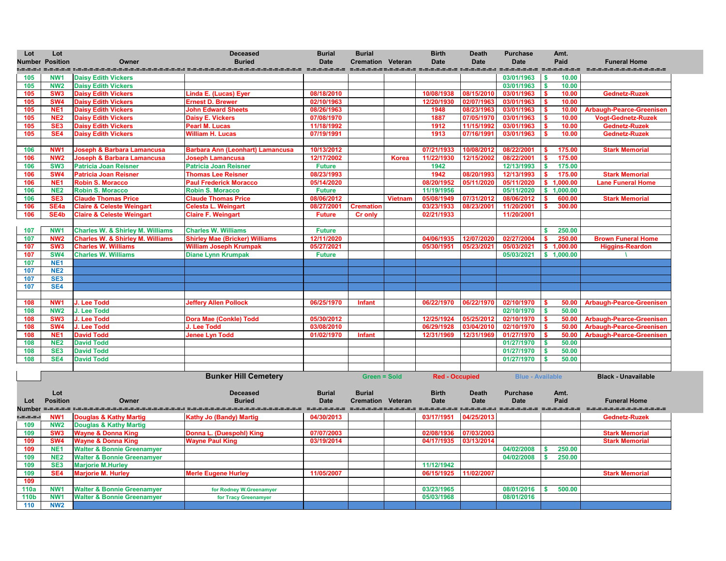

**Black - Unavailable** 

| Lot    | Lot<br><b>Number Position</b> | Owner                                       | <b>Deceased</b><br><b>Buried</b>        | <b>Burial</b><br><b>Date</b> | <b>Burial</b><br><b>Cremation Veteran</b> |                | <b>Birth</b><br><b>Date</b>                                | <b>Death</b><br><b>Date</b> | <b>Purchase</b><br><b>Date</b>   | Amt.<br>Paid                       | <b>Funeral Home</b>             |
|--------|-------------------------------|---------------------------------------------|-----------------------------------------|------------------------------|-------------------------------------------|----------------|------------------------------------------------------------|-----------------------------|----------------------------------|------------------------------------|---------------------------------|
|        | . -------- ------             |                                             |                                         |                              |                                           |                | character concerne concerned concerned concerned concerned |                             |                                  |                                    | ====================            |
| 105    | NW <sub>1</sub>               | <b>Daisy Edith Vickers</b>                  |                                         |                              |                                           |                |                                                            |                             | 03/01/1963                       | 10.00<br>$\boldsymbol{\mathsf{s}}$ |                                 |
| 105    | <b>NW2</b>                    | <b>Daisy Edith Vickers</b>                  |                                         |                              |                                           |                |                                                            |                             | 03/01/1963                       | S.<br>10.00                        |                                 |
| 105    | SW <sub>3</sub>               | <b>Daisy Edith Vickers</b>                  | Linda E. (Lucas) Eyer                   | 08/18/2010                   |                                           |                | 10/08/1938                                                 | 08/15/2010                  | 03/01/1963                       | 10.00                              | <b>Gednetz-Ruzek</b>            |
| 105    | SW <sub>4</sub>               | <b>Daisy Edith Vickers</b>                  | <b>Ernest D. Brewer</b>                 | 02/10/1963                   |                                           |                | 12/20/1930                                                 | 02/07/1963                  | 03/01/1963                       | 10.00                              |                                 |
| 105    | NE <sub>1</sub>               | <b>Daisy Edith Vickers</b>                  | <b>John Edward Sheets</b>               | 08/26/1963                   |                                           |                | 1948                                                       | 08/23/1963                  | 03/01/1963                       | 10.00                              | <b>Arbaugh-Pearce-Greeniser</b> |
| 105    | NE <sub>2</sub>               | <b>Daisy Edith Vickers</b>                  | <b>Daisy E. Vickers</b>                 | 07/08/1970                   |                                           |                | 1887                                                       | 07/05/1970                  | 03/01/1963                       | 10.00                              | <b>Vogt-Gednetz-Ruzek</b>       |
| 105    | SE <sub>3</sub>               | <b>Daisy Edith Vickers</b>                  | <b>Pearl M. Lucas</b>                   | 11/18/1992                   |                                           |                | 1912                                                       | 11/15/1992                  | 03/01/1963                       | 10.00                              | <b>Gednetz-Ruzek</b>            |
| 105    | SE4                           | <b>Daisy Edith Vickers</b>                  | <b>William H. Lucas</b>                 | 07/19/1991                   |                                           |                | 1913                                                       | 07/16/199                   | 03/01/1963                       | 10.00                              | <b>Gednetz-Ruzek</b>            |
|        |                               |                                             |                                         |                              |                                           |                |                                                            |                             |                                  |                                    |                                 |
| 106    | NW <sub>1</sub>               | <b>Joseph &amp; Barbara Lamancusa</b>       | <b>Barbara Ann (Leonhart) Lamancusa</b> | 10/13/2012                   |                                           |                | 07/21/1933                                                 | 10/08/2012                  | 08/22/2001                       | 175.00                             | <b>Stark Memorial</b>           |
| 106    | NW <sub>2</sub>               | <b>Joseph &amp; Barbara Lamancusa</b>       | <b>Joseph Lamancusa</b>                 | 12/17/2002                   |                                           | <b>Korea</b>   | 11/22/1930                                                 | 12/15/2002                  | 08/22/2001                       | 175.00<br>S.                       |                                 |
| 106    | SW <sub>3</sub>               | <b>Patricia Joan Reisner</b>                | <b>Patricia Joan Reisner</b>            | <b>Future</b>                |                                           |                | 1942                                                       |                             | 12/13/1993                       | 175.00<br>\$                       |                                 |
| 106    | <b>SW4</b>                    | <b>Patricia Joan Reisner</b>                | <b>Thomas Lee Reisner</b>               | 08/23/1993                   |                                           |                | 1942                                                       | 08/20/1993                  | 12/13/1993                       | 175.00                             | <b>Stark Memorial</b>           |
| 106    | NE <sub>1</sub>               | Robin S. Moracco                            | <b>Paul Frederick Moracco</b>           | 05/14/2020                   |                                           |                | 08/20/1952                                                 | 05/11/2020                  | 05/11/2020                       | 1,000.00<br>\$.                    | <b>Lane Funeral Home</b>        |
| 106    | NE <sub>2</sub>               | <b>Robin S. Moracco</b>                     | <b>Robin S. Moracco</b>                 | <b>Future</b>                |                                           |                | 11/19/1956                                                 |                             | 05/11/2020                       | 1,000.00<br>\$                     |                                 |
| 106    | SE <sub>3</sub>               | <b>Claude Thomas Price</b>                  | <b>Claude Thomas Price</b>              | 08/06/2012                   |                                           | <b>Vietnam</b> | 05/08/1949                                                 | 07/31/2012                  | 08/06/2012                       | 600.00                             | <b>Stark Memorial</b>           |
| 106    | SE <sub>4a</sub>              | <b>Claire &amp; Celeste Weingart</b>        | <b>Celesta L. Weingart</b>              | 08/27/2001                   | <b>Cremation</b>                          |                | 03/23/1933                                                 | 08/23/2001                  | 11/20/2001                       | 300.00                             |                                 |
| 106    | SE4b                          | <b>Claire &amp; Celeste Weingart</b>        | <b>Claire F. Weingart</b>               | <b>Future</b>                | <b>Cr only</b>                            |                | 02/21/1933                                                 |                             | 11/20/2001                       |                                    |                                 |
|        |                               |                                             |                                         |                              |                                           |                |                                                            |                             |                                  |                                    |                                 |
| 107    | NW1                           | <b>Charles W. &amp; Shirley M. Williams</b> | <b>Charles W. Williams</b>              | <b>Future</b>                |                                           |                |                                                            |                             |                                  | 250.00                             |                                 |
| 107    | NW <sub>2</sub>               | <b>Charles W. &amp; Shirley M. Williams</b> | <b>Shirley Mae (Bricker) Williams</b>   | 12/11/2020                   |                                           |                | 04/06/1935                                                 | 12/07/2020                  | 02/27/2004                       | 250.00                             | <b>Brown Funeral Home</b>       |
| 107    | SW <sub>3</sub>               | <b>Charles W. Williams</b>                  | <b>William Joseph Krumpak</b>           | 05/27/2021                   |                                           |                | 05/30/1951                                                 | 05/23/2021                  | 05/03/2021                       | \$1,000.00                         | <b>Higgins-Reardon</b>          |
| 107    | <b>SW4</b>                    | <b>Charles W. Williams</b>                  | <b>Diane Lynn Krumpak</b>               | <b>Future</b>                |                                           |                |                                                            |                             | 05/03/2021                       | \$1,000.00                         |                                 |
| 107    | NE <sub>1</sub>               |                                             |                                         |                              |                                           |                |                                                            |                             |                                  |                                    |                                 |
| 107    | <b>NE2</b>                    |                                             |                                         |                              |                                           |                |                                                            |                             |                                  |                                    |                                 |
| 107    | SE <sub>3</sub>               |                                             |                                         |                              |                                           |                |                                                            |                             |                                  |                                    |                                 |
| 107    | SE4                           |                                             |                                         |                              |                                           |                |                                                            |                             |                                  |                                    |                                 |
|        |                               |                                             |                                         |                              |                                           |                |                                                            |                             |                                  |                                    |                                 |
| 108    | NW <sub>1</sub>               | J. Lee Todd                                 | <b>Jeffery Allen Pollock</b>            | 06/25/1970                   | Infant                                    |                | 06/22/1970                                                 | 06/22/1970                  | 02/10/1970                       | 50.00                              | <b>Arbaugh-Pearce-Greeniser</b> |
| 108    | <b>NW2</b>                    | J. Lee Todd                                 |                                         |                              |                                           |                |                                                            |                             | 02/10/1970                       | 50.00<br>$\boldsymbol{s}$          |                                 |
| 108    | SW <sub>3</sub>               | J. Lee Todd                                 | <b>Dora Mae (Conkle) Todd</b>           | 05/30/2012                   |                                           |                | 12/25/1924                                                 | 05/25/2012                  | 02/10/1970                       | 50.00                              | <b>Arbaugh-Pearce-Greeniser</b> |
| 108    | <b>SW4</b>                    | J. Lee Todd                                 | J. Lee Todd                             | 03/08/2010                   |                                           |                | 06/29/1928                                                 | 03/04/2010                  | 02/10/1970                       | 50.00                              | <b>Arbaugh-Pearce-Greeniser</b> |
| 108    | <b>NE1</b>                    | <b>David Todd</b>                           | <b>Jenee Lyn Todd</b>                   | 01/02/1970 Infant            |                                           |                |                                                            |                             | 12/31/1969 12/31/1969 01/27/1970 |                                    | 50.00 Arbaugh-Pearce-Greeniser  |
| 108    | <b>NE2</b>                    | <b>David Todd</b>                           |                                         |                              |                                           |                |                                                            |                             | 01/27/1970                       | $\boldsymbol{\mathsf{s}}$<br>50.00 |                                 |
| 108    | SE <sub>3</sub>               | <b>David Todd</b>                           |                                         |                              |                                           |                |                                                            |                             | 01/27/1970                       | 50.00<br>$\boldsymbol{\mathsf{s}}$ |                                 |
| 108    | SE4                           | <b>David Todd</b>                           |                                         |                              |                                           |                |                                                            |                             | 01/27/1970                       | 50.00                              |                                 |
|        |                               |                                             |                                         |                              |                                           |                |                                                            |                             |                                  |                                    |                                 |
|        |                               |                                             | <b>Bunker Hill Cemetery</b>             |                              | <b>Green = Sold</b>                       |                | <b>Red - Occupied</b>                                      |                             | <b>Blue - Available</b>          |                                    | <b>Black - Unavailable</b>      |
|        |                               |                                             |                                         |                              |                                           |                |                                                            |                             |                                  |                                    |                                 |
|        | Lot                           |                                             | <b>Deceased</b>                         | <b>Burial</b>                | <b>Burial</b>                             |                | <b>Birth</b>                                               | <b>Death</b>                | <b>Purchase</b>                  | Amt.                               |                                 |
| Lot    | <b>Position</b>               | Owner                                       | <b>Buried</b>                           | <b>Date</b>                  | <b>Cremation Veteran</b>                  |                | <b>Date</b>                                                | <b>Date</b>                 | <b>Date</b>                      | Paid                               | <b>Funeral Home</b>             |
| Number |                               |                                             |                                         | =-=-=-=-=-=-=                | ==================                        |                | sicialización distribución distribución distribución       |                             |                                  |                                    | ----------------------          |
|        | NW <sub>1</sub>               | <b>Douglas &amp; Kathy Martig</b>           | <b>Kathy Jo (Bandy) Martig</b>          | 04/30/2013                   |                                           |                | 03/17/1951                                                 | 04/25/2013                  |                                  |                                    | <b>Gednetz-Ruzek</b>            |
| 109    | <b>NW2</b>                    | <b>Douglas &amp; Kathy Martig</b>           |                                         |                              |                                           |                |                                                            |                             |                                  |                                    |                                 |
| 109    | SW <sub>3</sub>               | <b>Wayne &amp; Donna King</b>               | Donna L. (Duespohl) King                | 07/07/2003                   |                                           |                | 02/08/1936                                                 | 07/03/2003                  |                                  |                                    | <b>Stark Memorial</b>           |
| 109    | <b>SW4</b>                    | Wayne & Donna King                          | <b>Wayne Paul King</b>                  | 03/19/2014                   |                                           |                | 04/17/1935 03/13/2014                                      |                             |                                  |                                    | <b>Stark Memorial</b>           |



| 109         | NW <sub>2</sub> | <b>Douglas &amp; Kathy Martig</b>     |                            |            |            |            |            |        |                       |
|-------------|-----------------|---------------------------------------|----------------------------|------------|------------|------------|------------|--------|-----------------------|
| 109         | SW <sub>3</sub> | <b>Wayne &amp; Donna King</b>         | Donna L. (Duespohl) King   | 07/07/2003 | 02/08/1936 | 07/03/2003 |            |        | <b>Stark Memorial</b> |
| 109         | SW <sub>4</sub> | <b>Wayne &amp; Donna King</b>         | <b>Wayne Paul King</b>     | 03/19/2014 | 04/17/1935 | 03/13/2014 |            |        | <b>Stark Memorial</b> |
| 109         | NE <sub>1</sub> | <b>Walter &amp; Bonnie Greenamyer</b> |                            |            |            |            | 04/02/2008 | 250.00 |                       |
| 109         | <b>NE2</b>      | <b>Walter &amp; Bonnie Greenamyer</b> |                            |            |            |            | 04/02/2008 | 250.00 |                       |
| 109         | SE <sub>3</sub> | <b>Marjorie M.Hurley</b>              |                            |            | 11/12/1942 |            |            |        |                       |
| 109         | SE4             | <b>Marjorie M. Hurley</b>             | <b>Merle Eugene Hurley</b> | 11/05/2007 | 06/15/1925 | 11/02/2007 |            |        | <b>Stark Memorial</b> |
| 109         |                 |                                       |                            |            |            |            |            |        |                       |
| 110a        | NW <sub>1</sub> | <b>Walter &amp; Bonnie Greenamyer</b> | for Rodney W.Greenamyer    |            | 03/23/1965 |            | 08/01/2016 | 500.00 |                       |
| <b>110b</b> | NW'             | <b>Walter &amp; Bonnie Greenamyer</b> | for Tracy Greenamyer       |            | 05/03/1968 |            | 08/01/2016 |        |                       |
|             | <b>NW2</b>      |                                       |                            |            |            |            |            |        |                       |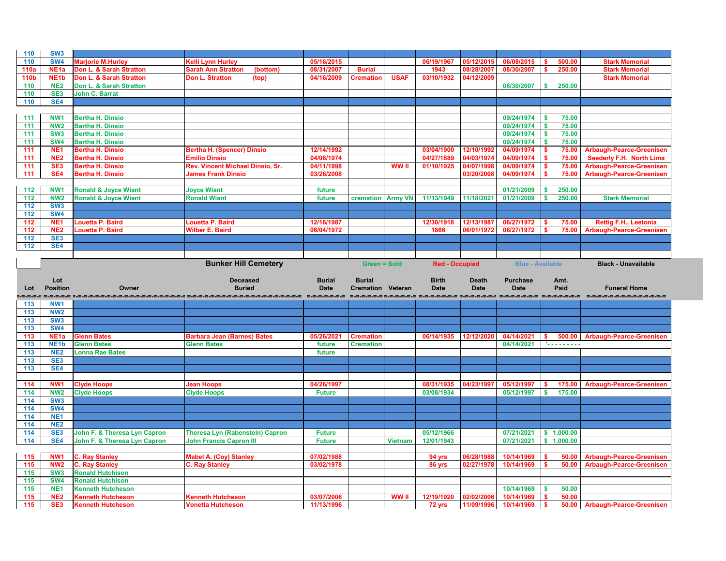| 110         | SW <sub>3</sub>               |                                                      |                                                      |                          |                          |                |                       |                          |                          |                    |                                 |
|-------------|-------------------------------|------------------------------------------------------|------------------------------------------------------|--------------------------|--------------------------|----------------|-----------------------|--------------------------|--------------------------|--------------------|---------------------------------|
| 110         | <b>SW4</b>                    | <b>Marjorie M.Hurley</b>                             | <b>Kelli Lynn Hurley</b>                             | 05/16/2015               |                          |                | 06/19/1967            | 05/12/2015               | 06/08/2015               | 500.00             | <b>Stark Memorial</b>           |
| <b>110a</b> | NE <sub>1a</sub>              | <b>Don L. &amp; Sarah Stratton</b>                   | <b>Sarah Ann Stratton</b><br>(bottom)                | 08/31/2007               | <b>Burial</b>            |                | 1943                  | 08/28/2007               | 08/30/2007               | 250.00             | <b>Stark Memorial</b>           |
| <b>110b</b> | NE <sub>1</sub> b             | Don L. & Sarah Stratton                              | <b>Don L. Stratton</b><br>(top)                      | 04/16/2009               | <b>Cremation</b>         | <b>USAF</b>    | 03/10/1932            | 04/12/2009               |                          |                    | <b>Stark Memorial</b>           |
| 110         | <b>NE2</b>                    | Don L. & Sarah Stratton                              |                                                      |                          |                          |                |                       |                          | 08/30/2007               | 250.00             |                                 |
| 110         | SE <sub>3</sub>               | <b>John C. Barrat</b>                                |                                                      |                          |                          |                |                       |                          |                          |                    |                                 |
| 110         | SE4                           |                                                      |                                                      |                          |                          |                |                       |                          |                          |                    |                                 |
|             |                               |                                                      |                                                      |                          |                          |                |                       |                          |                          |                    |                                 |
| 111         | NW1                           | <b>Bertha H. Dinsio</b>                              |                                                      |                          |                          |                |                       |                          | 09/24/1974               | 75.00<br>-S        |                                 |
| 111         | NW <sub>2</sub>               | <b>Bertha H. Dinsio</b>                              |                                                      |                          |                          |                |                       |                          | 09/24/1974               | 75.00              |                                 |
| 111         | SW <sub>3</sub>               | <b>Bertha H. Dinsio</b>                              |                                                      |                          |                          |                |                       |                          | 09/24/1974               | 75.00<br>-S        |                                 |
| 111         | <b>SW4</b>                    | <b>Bertha H. Dinsio</b>                              |                                                      |                          |                          |                |                       |                          | 09/24/1974               | 75.00<br>S.        |                                 |
| 111         | NE <sub>1</sub>               | <b>Bertha H. Dinsio</b>                              | <b>Bertha H. (Spencer) Dinsio</b>                    | 12/14/1992               |                          |                | 03/04/1900            | 12/10/1992               | 04/09/1974               | 75.00              | <b>Arbaugh-Pearce-Greenisen</b> |
| 111         | NE <sub>2</sub>               | <b>Bertha H. Dinsio</b>                              | <b>Emilio Dinsio</b>                                 | 04/06/1974               |                          |                | 04/27/1889            | 04/03/1974               | 04/09/1974               | 75.00              | <b>Seederly F.H. North Lima</b> |
| 111         | SE <sub>3</sub>               | <b>Bertha H. Dinsio</b>                              | Rev. Vincent Michael Dinsio, Sr.                     | 04/11/1998               |                          | <b>WW</b> II   | 01/10/1925            | 04/07/1998               | 04/09/1974               | 75.00              | <b>Arbaugh-Pearce-Greenisen</b> |
| 111         | SE4                           | <b>Bertha H. Dinsio</b>                              | <b>James Frank Dinsio</b>                            | 03/26/2008               |                          |                |                       | 03/20/2008               | 04/09/1974               | 75.00              | <b>Arbaugh-Pearce-Greenisen</b> |
|             |                               |                                                      |                                                      |                          |                          |                |                       |                          |                          |                    |                                 |
| 112         | NW1                           | <b>Ronald &amp; Joyce Wiant</b>                      | <b>Joyce Wiant</b>                                   | future                   |                          |                |                       |                          | 01/21/2009               | 250.00             |                                 |
| 112         | NW <sub>2</sub>               | <b>Ronald &amp; Joyce Wiant</b>                      | <b>Ronald Wiant</b>                                  | future                   | <b>cremation Army VN</b> |                | 11/13/1949            | 11/18/2021               | 01/21/2009               | 250.00             | <b>Stark Memorial</b>           |
| 112         | SW <sub>3</sub>               |                                                      |                                                      |                          |                          |                |                       |                          |                          |                    |                                 |
| 112         | <b>SW4</b>                    |                                                      |                                                      |                          |                          |                |                       |                          |                          |                    |                                 |
| 112         | NE <sub>1</sub>               | <b>Louetta P. Baird</b>                              | <b>Louetta P. Baird</b>                              | 12/16/1987               |                          |                | 12/30/1918            | 12/13/1987               | 06/27/1972               | 75.00              | <b>Rettig F.H., Leetonia</b>    |
| 112         | NE <sub>2</sub>               | <b>Louetta P. Baird</b>                              | <b>Wilber E. Baird</b>                               | 06/04/1972               |                          |                | 1866                  | 06/01/1972               | 06/27/1972               | 75.00              | <b>Arbaugh-Pearce-Greenisen</b> |
| 112         | SE <sub>3</sub>               |                                                      |                                                      |                          |                          |                |                       |                          |                          |                    |                                 |
| 112         | SE4                           |                                                      |                                                      |                          |                          |                |                       |                          |                          |                    |                                 |
|             |                               |                                                      |                                                      |                          |                          |                |                       |                          |                          |                    |                                 |
|             |                               |                                                      | <b>Bunker Hill Cemetery</b>                          |                          | <b>Green = Sold</b>      |                | <b>Red - Occupied</b> |                          | <b>Blue - Available</b>  |                    | <b>Black - Unavailable</b>      |
|             |                               |                                                      |                                                      |                          |                          |                |                       |                          |                          |                    |                                 |
|             |                               |                                                      |                                                      |                          |                          |                |                       |                          |                          |                    |                                 |
|             | Lot                           |                                                      | <b>Deceased</b>                                      | <b>Burial</b>            | <b>Burial</b>            |                | <b>Birth</b>          | <b>Death</b>             | <b>Purchase</b>          | Amt.               |                                 |
| Lot         | <b>Position</b>               | Owner                                                | <b>Buried</b>                                        | <b>Date</b>              | <b>Cremation Veteran</b> |                | <b>Date</b>           | <b>Date</b>              | <b>Date</b>              | Paid               | <b>Funeral Home</b>             |
|             |                               |                                                      | .=.=.=.=.=.=.=.=.=.                                  | ___________              |                          |                |                       |                          |                          |                    |                                 |
| 113         | NW <sub>1</sub>               |                                                      |                                                      |                          |                          |                |                       |                          |                          |                    |                                 |
| 113         | <b>NW2</b>                    |                                                      |                                                      |                          |                          |                |                       |                          |                          |                    |                                 |
| 113         | SW <sub>3</sub>               |                                                      |                                                      |                          |                          |                |                       |                          |                          |                    |                                 |
| 113         | <b>SW4</b>                    |                                                      |                                                      |                          |                          |                |                       |                          |                          |                    |                                 |
| 113         | NE <sub>1</sub> a             | <b>Glenn Bates</b>                                   | <b>Barbara Jean (Barnes) Bates</b>                   | 05/26/2021               | <b>Cremation</b>         |                | 06/14/1935 12/12/2020 |                          | 04/14/2021 \$            |                    | 500.00 Arbaugh-Pearce-Greenisen |
| 113         | NE <sub>1</sub> b             | <b>Glenn Bates</b>                                   | <b>Glenn Bates</b>                                   | future                   | <b>Cremation</b>         |                |                       |                          | 04/14/2021               | 1.                 |                                 |
| 113         | NE <sub>2</sub>               | <b>Lonna Rae Bates</b>                               |                                                      | future                   |                          |                |                       |                          |                          |                    |                                 |
| 113         | SE <sub>3</sub>               |                                                      |                                                      |                          |                          |                |                       |                          |                          |                    |                                 |
| 113         | SE4                           |                                                      |                                                      |                          |                          |                |                       |                          |                          |                    |                                 |
|             |                               |                                                      |                                                      |                          |                          |                |                       |                          |                          |                    |                                 |
| 114         | NW <sub>1</sub>               | <b>Clyde Hoops</b>                                   | <b>Jean Hoops</b>                                    | 04/26/1997               |                          |                | 08/31/1935            | 04/23/1997               | 05/12/1997               | 175.00             | <b>Arbaugh-Pearce-Greenisen</b> |
| 114         | <b>NW2</b>                    | <b>Clyde Hoops</b>                                   | <b>Clyde Hoops</b>                                   | <b>Future</b>            |                          |                | 03/08/1934            |                          | 05/12/1997               | S.<br>175.00       |                                 |
| 114         | SW <sub>3</sub>               |                                                      |                                                      |                          |                          |                |                       |                          |                          |                    |                                 |
| 114         | <b>SW4</b>                    |                                                      |                                                      |                          |                          |                |                       |                          |                          |                    |                                 |
| 114         | NE <sub>1</sub>               |                                                      |                                                      |                          |                          |                |                       |                          |                          |                    |                                 |
| 114         | NE <sub>2</sub>               |                                                      |                                                      |                          |                          |                |                       |                          |                          |                    |                                 |
| 114         | SE <sub>3</sub>               | John F. & Theresa Lyn Capron                         | <b>Theresa Lyn (Rabenstein) Capron</b>               | <b>Future</b>            |                          |                | 05/12/1966            |                          | 07/21/2021               | \$1,000.00         |                                 |
| 114         | SE4                           | John F. & Theresa Lyn Capron                         | <b>John Francis Capron III</b>                       | <b>Future</b>            |                          | <b>Vietnam</b> | 12/01/1943            |                          | 07/21/2021               | \$1,000.00         |                                 |
|             |                               |                                                      |                                                      |                          |                          |                |                       |                          |                          |                    |                                 |
| 115         | NW <sub>1</sub>               | <b>C. Ray Stanley</b>                                | <b>Mabel A. (Coy) Stanley</b>                        | 07/02/1988               |                          |                | 94 yrs                | 06/28/1988               | 10/14/1969               | 50.00              | <b>Arbaugh-Pearce-Greenisen</b> |
| 115         | <b>NW2</b>                    | <b>C. Ray Stanley</b>                                | <b>C. Ray Stanley</b>                                | 03/02/1978               |                          |                | 86 yrs                | 02/27/1978               | 10/14/1969               |                    | 50.00 Arbaugh-Pearce-Greenisen  |
| 115         | SW <sub>3</sub>               | <b>Ronald Hutchison</b>                              |                                                      |                          |                          |                |                       |                          |                          |                    |                                 |
| 115         | <b>SW4</b>                    | <b>Ronald Hutchison</b>                              |                                                      |                          |                          |                |                       |                          |                          |                    |                                 |
| 115         | NE <sub>1</sub>               | <b>Kenneth Hutcheson</b>                             |                                                      |                          |                          |                |                       |                          | 10/14/1969               | 50.00<br>-S        |                                 |
| 115<br>115  | <b>NE2</b><br>SE <sub>3</sub> | <b>Kenneth Hutcheson</b><br><b>Kenneth Hutcheson</b> | <b>Kenneth Hutcheson</b><br><b>Vonetta Hutcheson</b> | 03/07/2006<br>11/13/1996 |                          | <b>WW II</b>   | 12/19/1920<br>72 yrs  | 02/02/2006<br>11/09/1996 | 10/14/1969<br>10/14/1969 | 50.00<br>\$<br>-\$ | 50.00 Arbaugh-Pearce-Greenisen  |

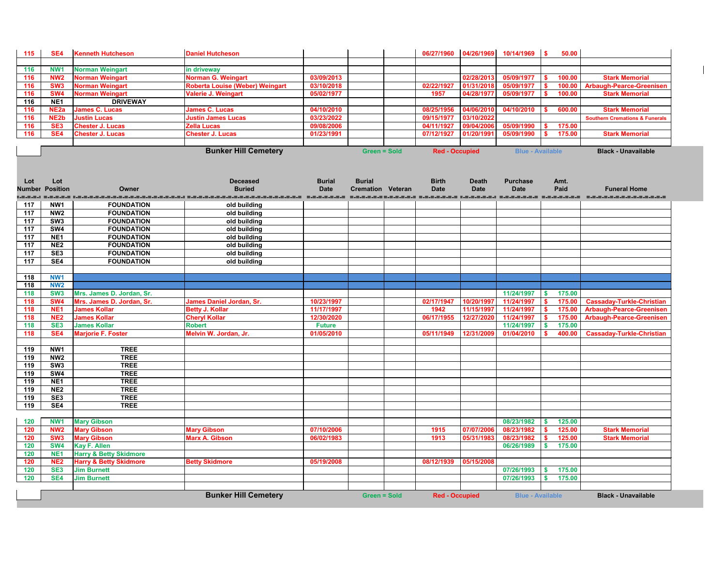| 115               | SE4                                | <b>Kenneth Hutcheson</b>                   | <b>Daniel Hutcheson</b>                                                                                        |                          |                          | 06/27/1960            | 04/26/1969               | 10/14/1969               | $\overline{\phantom{a}}$  | 50.00            |                                                                     |
|-------------------|------------------------------------|--------------------------------------------|----------------------------------------------------------------------------------------------------------------|--------------------------|--------------------------|-----------------------|--------------------------|--------------------------|---------------------------|------------------|---------------------------------------------------------------------|
|                   |                                    |                                            |                                                                                                                |                          |                          |                       |                          |                          |                           |                  |                                                                     |
| 116               | NW <sub>1</sub>                    | <b>Norman Weingart</b>                     | in driveway                                                                                                    |                          |                          |                       |                          |                          |                           |                  |                                                                     |
| 116               | NW <sub>2</sub>                    | <b>Norman Weingart</b>                     | Norman G. Weingart                                                                                             | 03/09/2013               |                          |                       | 02/28/201                | 05/09/1977               | -S                        | 100.00           | <b>Stark Memorial</b>                                               |
| 116               | SW <sub>3</sub>                    | <b>Norman Weingart</b>                     | <b>Roberta Louise (Weber) Weingart</b>                                                                         | 03/10/2018               |                          | 02/22/1927            | 01/31/2018               | 05/09/1977               | S.                        | 100.00           | <b>Arbaugh-Pearce-Greenisen</b>                                     |
| 116               | SW <sub>4</sub>                    | <b>Norman Weingart</b>                     | <b>Valerie J. Weingart</b>                                                                                     | 05/02/1977               |                          | 1957                  | 04/28/197                | 05/09/1977               |                           | 100.00           | <b>Stark Memorial</b>                                               |
| 116               | NE <sub>1</sub>                    | <b>DRIVEWAY</b>                            |                                                                                                                |                          |                          |                       |                          |                          |                           |                  |                                                                     |
| 116               | NE <sub>2a</sub>                   | <b>James C. Lucas</b>                      | <b>James C. Lucas</b>                                                                                          | 04/10/2010               |                          | 08/25/1956            | 04/06/2010               | 04/10/2010               |                           | 600.00           | <b>Stark Memorial</b>                                               |
| 116               | NE <sub>2</sub> b                  | <b>Justin Lucas</b>                        | <b>Justin James Lucas</b>                                                                                      | 03/23/2022               |                          | 09/15/1977            | 03/10/2022               |                          |                           |                  | <b>Southern Cremations &amp; Funerals</b>                           |
| 116               | SE <sub>3</sub>                    | <b>Chester J. Lucas</b>                    | <b>Zella Lucas</b>                                                                                             | 09/08/2006               |                          | 04/11/1927            | 09/04/2006               | 05/09/1990               |                           | 175.00           |                                                                     |
| 116               | SE4                                | <b>Chester J. Lucas</b>                    | <b>Chester J. Lucas</b>                                                                                        | 01/23/1991               |                          | 07/12/1927            | 01/20/1991               | 05/09/1990               | $\mathbf{s}$              | 175.00           | <b>Stark Memorial</b>                                               |
|                   |                                    |                                            |                                                                                                                |                          |                          |                       |                          |                          |                           |                  |                                                                     |
|                   |                                    |                                            | <b>Bunker Hill Cemetery</b>                                                                                    |                          | <b>Green = Sold</b>      | <b>Red - Occupied</b> |                          | <b>Blue - Available</b>  |                           |                  | <b>Black - Unavailable</b>                                          |
|                   |                                    |                                            |                                                                                                                |                          |                          |                       |                          |                          |                           |                  |                                                                     |
|                   |                                    |                                            |                                                                                                                |                          |                          |                       |                          |                          |                           |                  |                                                                     |
| Lot               | Lot                                |                                            | <b>Deceased</b>                                                                                                | <b>Burial</b>            | <b>Burial</b>            | <b>Birth</b>          | <b>Death</b>             | <b>Purchase</b>          |                           | Amt.             |                                                                     |
|                   | <b>Number Position</b>             | Owner                                      | <b>Buried</b>                                                                                                  | <b>Date</b>              | <b>Cremation Veteran</b> | <b>Date</b>           | <b>Date</b>              | <b>Date</b>              |                           | Paid             | <b>Funeral Home</b>                                                 |
|                   |                                    |                                            | alialistica di distribuita di distribuita di distribuita di distribuita di distribuita di distribuita di distr |                          |                          |                       |                          |                          |                           |                  |                                                                     |
| 117               | NW1                                | <b>FOUNDATION</b>                          | old building                                                                                                   |                          |                          |                       |                          |                          |                           |                  |                                                                     |
| 117               | NW <sub>2</sub>                    | <b>FOUNDATION</b>                          | old building                                                                                                   |                          |                          |                       |                          |                          |                           |                  |                                                                     |
| 117               | SW <sub>3</sub>                    | <b>FOUNDATION</b>                          | old building                                                                                                   |                          |                          |                       |                          |                          |                           |                  |                                                                     |
| $\frac{117}{117}$ | SW4                                | <b>FOUNDATION</b>                          | old building                                                                                                   |                          |                          |                       |                          |                          |                           |                  |                                                                     |
| $\frac{117}{117}$ | NE <sub>1</sub>                    | <b>FOUNDATION</b>                          | old building                                                                                                   |                          |                          |                       |                          |                          |                           |                  |                                                                     |
| 117               | NE <sub>2</sub>                    | <b>FOUNDATION</b>                          | old building                                                                                                   |                          |                          |                       |                          |                          |                           |                  |                                                                     |
| 117               | SE <sub>3</sub>                    | <b>FOUNDATION</b>                          | old building                                                                                                   |                          |                          |                       |                          |                          |                           |                  |                                                                     |
| 117               | SE4                                | <b>FOUNDATION</b>                          | old building                                                                                                   |                          |                          |                       |                          |                          |                           |                  |                                                                     |
|                   |                                    |                                            |                                                                                                                |                          |                          |                       |                          |                          |                           |                  |                                                                     |
| 118               | NW1                                |                                            |                                                                                                                |                          |                          |                       |                          |                          |                           |                  |                                                                     |
| 118               | <b>NW2</b>                         |                                            |                                                                                                                |                          |                          |                       |                          |                          |                           |                  |                                                                     |
| 118               | SW <sub>3</sub>                    | Mrs. James D. Jordan, Sr.                  |                                                                                                                |                          |                          |                       |                          | 11/24/1997               | $\sqrt{5}$                | 175.00           |                                                                     |
| 118               | SW <sub>4</sub><br>NE <sub>1</sub> | Mrs. James D. Jordan, Sr.                  | <b>James Daniel Jordan, Sr.</b>                                                                                | 10/23/1997               |                          | 02/17/1947            | 10/20/1997<br>11/15/1997 | 11/24/1997               | $\mathbf{s}$              | 175.00           | <b>Cassaday-Turkle-Christian</b><br><b>Arbaugh-Pearce-Greenisen</b> |
| 118<br>118        | NE <sub>2</sub>                    | <b>James Kollar</b><br><b>James Kollar</b> | <b>Betty J. Kollar</b><br><b>Cheryl Kollar</b>                                                                 | 11/17/1997<br>12/30/2020 |                          | 1942<br>06/17/1955    | 12/27/2020               | 11/24/1997<br>11/24/1997 |                           | 175.00<br>175.00 | <b>Arbaugh-Pearce-Greenisen</b>                                     |
| 118               | SE <sub>3</sub>                    | <b>James Kollar</b>                        | <b>Robert</b>                                                                                                  | <b>Future</b>            |                          |                       |                          | 11/24/1997               | $\mathbf{s}$              | 175.00           |                                                                     |
| 118               | SE4                                | <b>Marjorie F. Foster</b>                  | Melvin W. Jordan, Jr.                                                                                          | 01/05/2010               |                          | 05/11/1949 12/31/2009 |                          | 01/04/2010               |                           |                  | 400.00 Cassaday-Turkle-Christian                                    |
|                   |                                    |                                            |                                                                                                                |                          |                          |                       |                          |                          |                           |                  |                                                                     |
| 119               | NW1                                | <b>TREE</b>                                |                                                                                                                |                          |                          |                       |                          |                          |                           |                  |                                                                     |
| 119               | NW <sub>2</sub>                    | <b>TREE</b>                                |                                                                                                                |                          |                          |                       |                          |                          |                           |                  |                                                                     |
| 119               | SW <sub>3</sub>                    | <b>TREE</b>                                |                                                                                                                |                          |                          |                       |                          |                          |                           |                  |                                                                     |
| 119               | SW4                                | <b>TREE</b>                                |                                                                                                                |                          |                          |                       |                          |                          |                           |                  |                                                                     |
| 119               | NE <sub>1</sub>                    | <b>TREE</b>                                |                                                                                                                |                          |                          |                       |                          |                          |                           |                  |                                                                     |
| 119               | NE <sub>2</sub>                    | <b>TREE</b>                                |                                                                                                                |                          |                          |                       |                          |                          |                           |                  |                                                                     |
| 119               | SE <sub>3</sub>                    | <b>TREE</b>                                |                                                                                                                |                          |                          |                       |                          |                          |                           |                  |                                                                     |
| 119               | SE4                                | <b>TREE</b>                                |                                                                                                                |                          |                          |                       |                          |                          |                           |                  |                                                                     |
|                   |                                    |                                            |                                                                                                                |                          |                          |                       |                          |                          |                           |                  |                                                                     |
| 120               | NW <sub>1</sub>                    | <b>Mary Gibson</b>                         |                                                                                                                |                          |                          |                       |                          | 08/23/1982               | $\boldsymbol{\mathsf{s}}$ | 125.00           |                                                                     |
| 120               | <b>NW2</b>                         | <b>Mary Gibson</b>                         | <b>Mary Gibson</b>                                                                                             | 07/10/2006               |                          | 1915                  | 07/07/2006               | 08/23/1982               | $\mathbf{\$}$             | 125.00           | <b>Stark Memorial</b>                                               |
| 120               | SW <sub>3</sub>                    | <b>Mary Gibson</b>                         | <b>Marx A. Gibson</b>                                                                                          | 06/02/1983               |                          | 1913                  | 05/31/1983               | 08/23/1982               |                           | 125.00           | <b>Stark Memorial</b>                                               |
| 120               | <b>SW4</b>                         | <b>Kay F. Allen</b>                        |                                                                                                                |                          |                          |                       |                          | 06/26/1989               | \$                        | 175.00           |                                                                     |
| 120               | NE <sub>1</sub>                    | <b>Harry &amp; Betty Skidmore</b>          |                                                                                                                |                          |                          |                       |                          |                          |                           |                  |                                                                     |
| 120               | NE <sub>2</sub>                    | <b>Harry &amp; Betty Skidmore</b>          | <b>Betty Skidmore</b>                                                                                          | 05/19/2008               |                          | 08/12/1939            | 05/15/2008               |                          |                           |                  |                                                                     |
| 120               | SE <sub>3</sub>                    | <b>Jim Burnett</b>                         |                                                                                                                |                          |                          |                       |                          | 07/26/1993               | \$                        | 175.00           |                                                                     |
| 120               | SE4                                | <b>Jim Burnett</b>                         |                                                                                                                |                          |                          |                       |                          | 07/26/1993               | $\mathbf{\$}$             | 175.00           |                                                                     |
|                   |                                    |                                            |                                                                                                                |                          |                          |                       |                          |                          |                           |                  |                                                                     |
|                   |                                    |                                            | <b>Bunker Hill Cemetery</b>                                                                                    |                          | <b>Green = Sold</b>      | <b>Red - Occupied</b> |                          | <b>Blue - Available</b>  |                           |                  | <b>Black - Unavailable</b>                                          |



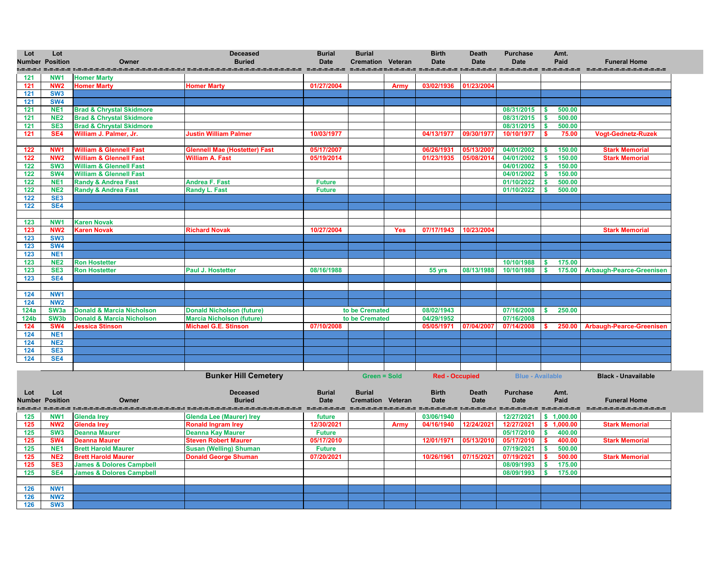| Lot         | Lot<br><b>Number Position</b> | Owner                                | <b>Deceased</b><br><b>Buried</b>     | <b>Burial</b><br><b>Date</b> | <b>Burial</b><br><b>Cremation Veteran</b> |             | <b>Birth</b><br><b>Date</b>                      | <b>Death</b><br><b>Date</b>       | <b>Purchase</b><br><b>Date</b> | Amt.<br>Paid            | <b>Funeral Home</b>             |
|-------------|-------------------------------|--------------------------------------|--------------------------------------|------------------------------|-------------------------------------------|-------------|--------------------------------------------------|-----------------------------------|--------------------------------|-------------------------|---------------------------------|
| <br>121     | NW <sub>1</sub>               | <b>Homer Marty</b>                   |                                      |                              |                                           |             | SALARA BARARA BARARA MARARA MARARA BARARA BARARA |                                   |                                |                         | ===================             |
| 121         | NW <sub>2</sub>               | <b>Homer Marty</b>                   | <b>Homer Marty</b>                   | 01/27/2004                   |                                           | <b>Army</b> | 03/02/1936                                       | 01/23/2004                        |                                |                         |                                 |
| 121         | SW <sub>3</sub>               |                                      |                                      |                              |                                           |             |                                                  |                                   |                                |                         |                                 |
| 121         | <b>SW4</b>                    |                                      |                                      |                              |                                           |             |                                                  |                                   |                                |                         |                                 |
| 121         | NE <sub>1</sub>               | <b>Brad &amp; Chrystal Skidmore</b>  |                                      |                              |                                           |             |                                                  |                                   | 08/31/2015                     | 500.00<br><b>S</b>      |                                 |
| 121         | NE <sub>2</sub>               | <b>Brad &amp; Chrystal Skidmore</b>  |                                      |                              |                                           |             |                                                  |                                   | 08/31/2015                     | 500.00                  |                                 |
| 121         | SE <sub>3</sub>               | <b>Brad &amp; Chrystal Skidmore</b>  |                                      |                              |                                           |             |                                                  |                                   | 08/31/2015                     | 500.00                  |                                 |
| 121         | SE4                           | William J. Palmer, Jr.               | <b>Justin William Palmer</b>         | 10/03/1977                   |                                           |             | 04/13/1977                                       | 09/30/1977                        | 10/10/1977                     | 75.00                   | <b>Vogt-Gednetz-Ruzek</b>       |
|             |                               |                                      |                                      |                              |                                           |             |                                                  |                                   |                                |                         |                                 |
| 122         | NW <sub>1</sub>               | <b>William &amp; Glennell Fast</b>   | <b>Glennell Mae (Hostetter) Fast</b> | 05/17/2007                   |                                           |             | 06/26/1931                                       | 05/13/2007                        | 04/01/2002                     | 150.00                  | <b>Stark Memorial</b>           |
| 122         | NW <sub>2</sub>               | <b>William &amp; Glennell Fast</b>   | <b>William A. Fast</b>               | 05/19/2014                   |                                           |             | 01/23/1935                                       | 05/08/2014                        | 04/01/2002                     | 150.00                  | <b>Stark Memorial</b>           |
| 122         | SW <sub>3</sub>               | <b>William &amp; Glennell Fast</b>   |                                      |                              |                                           |             |                                                  |                                   | 04/01/2002                     | \$<br>150.00            |                                 |
| 122         | <b>SW4</b>                    | <b>William &amp; Glennell Fast</b>   |                                      |                              |                                           |             |                                                  |                                   | 04/01/2002                     | 150.00<br><b>S</b>      |                                 |
| 122         | NE <sub>1</sub>               | <b>Randy &amp; Andrea Fast</b>       | <b>Andrea F. Fast</b>                | <b>Future</b>                |                                           |             |                                                  |                                   | 01/10/2022                     | 500.00                  |                                 |
| 122         | NE <sub>2</sub>               | <b>Randy &amp; Andrea Fast</b>       | <b>Randy L. Fast</b>                 | <b>Future</b>                |                                           |             |                                                  |                                   | 01/10/2022                     | 500.00                  |                                 |
| 122         | SE <sub>3</sub>               |                                      |                                      |                              |                                           |             |                                                  |                                   |                                |                         |                                 |
| 122         | SE4                           |                                      |                                      |                              |                                           |             |                                                  |                                   |                                |                         |                                 |
|             |                               |                                      |                                      |                              |                                           |             |                                                  |                                   |                                |                         |                                 |
| 123         | NW <sub>1</sub>               | <b>Karen Novak</b>                   |                                      |                              |                                           |             |                                                  |                                   |                                |                         |                                 |
| 123         | NW <sub>2</sub>               | <b>Karen Novak</b>                   | <b>Richard Novak</b>                 | 10/27/2004                   |                                           | <b>Yes</b>  | 07/17/1943                                       | 10/23/2004                        |                                |                         | <b>Stark Memorial</b>           |
| 123         | SW <sub>3</sub>               |                                      |                                      |                              |                                           |             |                                                  |                                   |                                |                         |                                 |
| 123         | SW4                           |                                      |                                      |                              |                                           |             |                                                  |                                   |                                |                         |                                 |
| 123         | NE <sub>1</sub>               |                                      |                                      |                              |                                           |             |                                                  |                                   |                                |                         |                                 |
| 123         | NE <sub>2</sub>               | <b>Ron Hostetter</b>                 |                                      |                              |                                           |             |                                                  |                                   | 10/10/1988                     | 175.00<br>$\mathbf{\$}$ |                                 |
| 123         | SE <sub>3</sub>               | <b>Ron Hostetter</b>                 | <b>Paul J. Hostetter</b>             | 08/16/1988                   |                                           |             | 55 yrs                                           | 08/13/1988                        | 10/10/1988                     | 175.00<br><b>S</b>      | <b>Arbaugh-Pearce-Greenisen</b> |
| 123         | SE4                           |                                      |                                      |                              |                                           |             |                                                  |                                   |                                |                         |                                 |
|             |                               |                                      |                                      |                              |                                           |             |                                                  |                                   |                                |                         |                                 |
| 124         | NW1                           |                                      |                                      |                              |                                           |             |                                                  |                                   |                                |                         |                                 |
| 124         | <b>NW2</b>                    |                                      |                                      |                              |                                           |             |                                                  |                                   |                                |                         |                                 |
| <b>124a</b> | SW <sub>3a</sub>              | <b>Donald &amp; Marcia Nicholson</b> | <b>Donald Nicholson (future)</b>     |                              | to be Cremated                            |             | 08/02/1943                                       |                                   | 07/16/2008                     | S<br>250.00             |                                 |
| <b>124b</b> | SW <sub>3</sub> b             | <b>Donald &amp; Marcia Nicholson</b> | <b>Marcia Nicholson (future)</b>     |                              | to be Cremated                            |             | 04/29/1952                                       |                                   | 07/16/2008                     |                         |                                 |
| 124         | <b>SW4</b>                    | <b>Jessica Stinson</b>               | <b>Michael G.E. Stinson</b>          | 07/10/2008                   |                                           |             | 05/05/197                                        | 07/04/2007                        | 07/14/2008                     | 250.00                  | <b>Arbaugh-Pearce-Greenisen</b> |
| 124         | NE <sub>1</sub>               |                                      |                                      |                              |                                           |             |                                                  |                                   |                                |                         |                                 |
| 124         | NE <sub>2</sub>               |                                      |                                      |                              |                                           |             |                                                  |                                   |                                |                         |                                 |
| 124         | SE <sub>3</sub>               |                                      |                                      |                              |                                           |             |                                                  |                                   |                                |                         |                                 |
| 124         | <b>SE4</b>                    |                                      |                                      |                              |                                           |             |                                                  |                                   |                                |                         |                                 |
|             |                               |                                      |                                      |                              |                                           |             |                                                  |                                   |                                |                         |                                 |
|             |                               |                                      | <b>Bunker Hill Cemetery</b>          |                              | <b>Green = Sold</b>                       |             | <b>Red - Occupied</b>                            |                                   | <b>Blue - Available</b>        |                         | <b>Black - Unavailable</b>      |
|             |                               |                                      | <b>Depended</b>                      | Dirichlet                    | Dirichlet                                 |             | D:4h                                             | $D$ <sub>o</sub> $A$ <sub>h</sub> | <b>Durchoon</b>                |                         |                                 |



| Lot | Lot                    |                                     | <b>Deceased</b>                 | <b>Burial</b> | <b>Burial</b>            |             | <b>Birth</b> | Death<br><b>Date</b> | <b>Purchase</b> | Amt.<br>Paid | <b>Funeral Home</b>   |
|-----|------------------------|-------------------------------------|---------------------------------|---------------|--------------------------|-------------|--------------|----------------------|-----------------|--------------|-----------------------|
|     | <b>Number Position</b> | <b>Owner</b>                        | <b>Buried</b>                   | <b>Date</b>   | <b>Cremation Veteran</b> |             | <b>Date</b>  |                      | <b>Date</b>     |              |                       |
| 125 | NW <sub>1</sub>        | <b>Glenda Irey</b>                  | <b>Glenda Lee (Maurer) Irey</b> | future        |                          |             | 03/06/1940   |                      | 12/27/2021      | 1,000.00     |                       |
| 125 | NW <sub>2</sub>        | <b>Glenda Irev</b>                  | <b>Ronald Ingram Irey</b>       | 12/30/2021    |                          | <b>Armv</b> | 04/16/1940   | 12/24/2021           | 12/27/2021      | 1,000.00     | <b>Stark Memorial</b> |
| 125 | SW <sub>3</sub>        | <b>Deanna Maurer</b>                | <b>Deanna Kay Maurer</b>        | <b>Future</b> |                          |             |              |                      | 05/17/2010      | 400.00       |                       |
| 125 | SW <sub>4</sub>        | <b>Deanna Maurer</b>                | <b>Steven Robert Maurer</b>     | 05/17/2010    |                          |             | 12/01/1971   | 05/13/2010           | 05/17/2010      | 400.00       | <b>Stark Memorial</b> |
| 125 | NE <sub>1</sub>        | <b>Brett Harold Maurer</b>          | <b>Susan (Welling) Shuman</b>   | <b>Future</b> |                          |             |              |                      | 07/19/2021      | 500.00       |                       |
| 125 | NE <sub>2</sub>        | <b>Brett Harold Maurer</b>          | <b>Donald George Shuman</b>     | 07/20/2021    |                          |             | 10/26/1961   | 07/15/2021           | 07/19/2021      | 500.00       | <b>Stark Memorial</b> |
| 125 | SE <sub>3</sub>        | <b>James &amp; Dolores Campbell</b> |                                 |               |                          |             |              |                      | 08/09/1993      | 175.00       |                       |
| 125 | SE4                    | <b>James &amp; Dolores Campbell</b> |                                 |               |                          |             |              |                      | 08/09/1993      | 175.00       |                       |
|     |                        |                                     |                                 |               |                          |             |              |                      |                 |              |                       |
| 126 | NW <sub>1</sub>        |                                     |                                 |               |                          |             |              |                      |                 |              |                       |
| 126 | NW <sub>2</sub>        |                                     |                                 |               |                          |             |              |                      |                 |              |                       |
| 126 | SW <sub>3</sub>        |                                     |                                 |               |                          |             |              |                      |                 |              |                       |

| <b>Funeral Home</b><br>. <b>.</b> |
|-----------------------------------|
|                                   |
|                                   |
|                                   |
|                                   |
|                                   |
|                                   |
|                                   |
| Vogt-Gednetz-Ruzek                |
|                                   |
| <b>Stark Memorial</b>             |
| <b>Stark Memorial</b>             |
|                                   |
|                                   |
|                                   |
|                                   |
|                                   |
|                                   |
|                                   |
| <b>Stark Memorial</b>             |
|                                   |
|                                   |
|                                   |
|                                   |
| <b>Arbaugh-Pearce-Greenisen</b>   |
|                                   |
|                                   |
|                                   |
|                                   |
|                                   |
| Arbaugh-Pearce-Greenisen          |
|                                   |
|                                   |
|                                   |
|                                   |
|                                   |

**Black - Unavailable**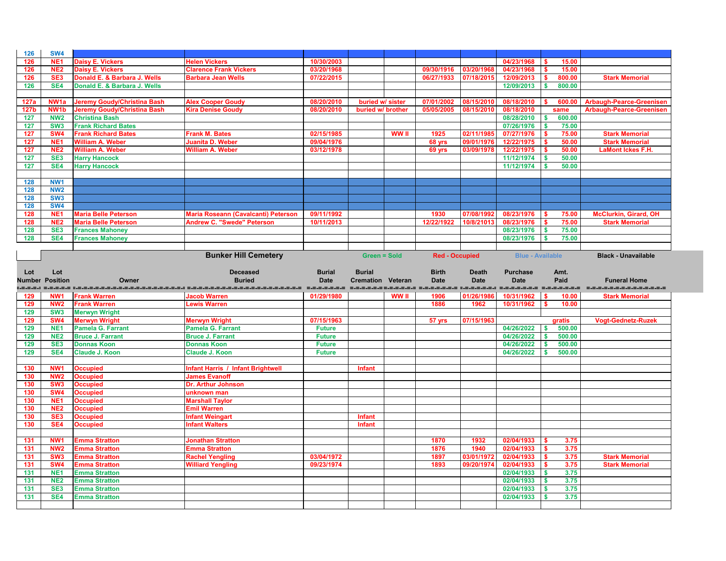| 126         | <b>SW4</b>             |                                    |                                          |               |                          |              |                       |              |                         |                                     |                                 |
|-------------|------------------------|------------------------------------|------------------------------------------|---------------|--------------------------|--------------|-----------------------|--------------|-------------------------|-------------------------------------|---------------------------------|
| 126         | NE <sub>1</sub>        | <b>Daisy E. Vickers</b>            | <b>Helen Vickers</b>                     | 10/30/2003    |                          |              |                       |              | 04/23/1968              | 15.00                               |                                 |
| 126         | NE <sub>2</sub>        | <b>Daisy E. Vickers</b>            | <b>Clarence Frank Vickers</b>            | 03/20/1968    |                          |              | 09/30/1916            | 03/20/1968   | 04/23/1968              | 15.00                               |                                 |
| 126         | SE <sub>3</sub>        | Donald E. & Barbara J. Wells       | <b>Barbara Jean Wells</b>                | 07/22/2015    |                          |              | 06/27/1933            | 07/18/2015   | 12/09/2013              | 800.00                              | <b>Stark Memorial</b>           |
|             |                        |                                    |                                          |               |                          |              |                       |              |                         |                                     |                                 |
| 126         | SE4                    | Donald E. & Barbara J. Wells       |                                          |               |                          |              |                       |              | 12/09/2013              | 800.00                              |                                 |
|             |                        |                                    |                                          |               |                          |              |                       |              |                         |                                     |                                 |
| 127a        | NW <sub>1</sub> a      | <b>Jeremy Goudy/Christina Bash</b> | <b>Alex Cooper Goudy</b>                 | 08/20/2010    | buried w/ sister         |              | 07/01/2002            | 08/15/2010   | 08/18/2010              | 600.00                              | <b>Arbaugh-Pearce-Greenisen</b> |
| <b>127b</b> | NW <sub>1</sub> b      | <b>Jeremy Goudy/Christina Bash</b> | <b>Kira Denise Goudy</b>                 | 08/20/2010    | buried w/ brother        |              | 05/05/2005            | 08/15/2010   | 08/18/2010              | same                                | <b>Arbaugh-Pearce-Greenisen</b> |
| 127         | NW <sub>2</sub>        | <b>Christina Bash</b>              |                                          |               |                          |              |                       |              | 08/28/2010              | 600.00                              |                                 |
| 127         | SW <sub>3</sub>        | <b>Frank Richard Bates</b>         |                                          |               |                          |              |                       |              | 07/26/1976              | 75.00                               |                                 |
| 127         | SW <sub>4</sub>        | <b>Frank Richard Bates</b>         | <b>Frank M. Bates</b>                    | 02/15/1985    |                          | <b>WW II</b> | 1925                  | 02/11/1985   | 07/27/1976              | 75.00                               | <b>Stark Memorial</b>           |
| 127         | NE <sub>1</sub>        | <b>William A. Weber</b>            | <b>Juanita D. Weber</b>                  | 09/04/1976    |                          |              | 68 yrs                | 09/01/1976   | 12/22/1975              | 50.00                               | <b>Stark Memorial</b>           |
| 127         | NE <sub>2</sub>        | <b>William A. Weber</b>            | <b>William A. Weber</b>                  | 03/12/1978    |                          |              | 69 yrs                | 03/09/1978   | 12/22/1975              | 50.00                               | <b>LaMont Ickes F.H.</b>        |
| 127         | SE <sub>3</sub>        | <b>Harry Hancock</b>               |                                          |               |                          |              |                       |              | 11/12/1974              | 50.00                               |                                 |
| 127         | SE4                    | <b>Harry Hancock</b>               |                                          |               |                          |              |                       |              | 11/12/1974              | 50.00                               |                                 |
|             |                        |                                    |                                          |               |                          |              |                       |              |                         |                                     |                                 |
|             |                        |                                    |                                          |               |                          |              |                       |              |                         |                                     |                                 |
| 128         | NW1                    |                                    |                                          |               |                          |              |                       |              |                         |                                     |                                 |
| 128         | <b>NW2</b>             |                                    |                                          |               |                          |              |                       |              |                         |                                     |                                 |
| 128         | SW <sub>3</sub>        |                                    |                                          |               |                          |              |                       |              |                         |                                     |                                 |
| 128         | <b>SW4</b>             |                                    |                                          |               |                          |              |                       |              |                         |                                     |                                 |
| 128         | NE <sub>1</sub>        | <b>Maria Belle Peterson</b>        | Maria Roseann (Cavalcanti) Peterson      | 09/11/1992    |                          |              | 1930                  | 07/08/1992   | 08/23/1976              | 75.00                               | <b>McClurkin, Girard, OH</b>    |
| 128         | NE <sub>2</sub>        | <b>Maria Belle Peterson</b>        | <b>Andrew C. "Swede" Peterson</b>        | 10/11/2013    |                          |              | 12/22/1922            | 10/8/21013   | 08/23/1976              | 75.00                               | <b>Stark Memorial</b>           |
| 128         | SE <sub>3</sub>        | <b>Frances Mahoney</b>             |                                          |               |                          |              |                       |              | 08/23/1976              | 75.00                               |                                 |
| 128         | SE4                    | <b>Frances Mahoney</b>             |                                          |               |                          |              |                       |              | 08/23/1976              | 75.00                               |                                 |
|             |                        |                                    |                                          |               |                          |              |                       |              |                         |                                     |                                 |
|             |                        |                                    | <b>Bunker Hill Cemetery</b>              |               | <b>Green = Sold</b>      |              | <b>Red - Occupied</b> |              | <b>Blue - Available</b> |                                     | <b>Black - Unavailable</b>      |
|             |                        |                                    |                                          |               |                          |              |                       |              |                         |                                     |                                 |
|             |                        |                                    |                                          |               |                          |              |                       |              |                         |                                     |                                 |
| Lot         | Lot                    |                                    | <b>Deceased</b>                          | <b>Burial</b> | <b>Burial</b>            |              | <b>Birth</b>          | <b>Death</b> | <b>Purchase</b>         | Amt.                                |                                 |
|             |                        |                                    |                                          |               |                          |              |                       |              |                         |                                     |                                 |
|             | <b>Number Position</b> | Owner                              | <b>Buried</b>                            | <b>Date</b>   | <b>Cremation Veteran</b> |              | <b>Date</b>           | <b>Date</b>  | <b>Date</b>             | Paid                                | <b>Funeral Home</b>             |
|             |                        |                                    | =_=_=_=_=_=_=_=_=_=_=_=_=_=_=_=_=_=_     | .=.=.=.=.=.=  |                          |              | =======               |              | =========               |                                     |                                 |
| 129         | NW <sub>1</sub>        | <b>Frank Warren</b>                | <b>Jacob Warren</b>                      | 01/29/1980    |                          | WW II        | 1906                  | 01/26/1986   | 10/31/1962              | 10.00                               | <b>Stark Memorial</b>           |
| 129         | NW <sub>2</sub>        | <b>Frank Warren</b>                | <b>Lewis Warren</b>                      |               |                          |              | 1886                  | 1962         | 10/31/1962              | 10.00                               |                                 |
| 129         | SW <sub>3</sub>        | <b>Merwyn Wright</b>               |                                          |               |                          |              |                       |              |                         |                                     |                                 |
| 129         | <b>SW4</b>             | <b>Merwyn Wright</b>               | <b>Merwyn Wright</b>                     | 07/15/1963    |                          |              | 57 yrs                | 07/15/1963   |                         | gratis                              | <b>Vogt-Gednetz-Ruzek</b>       |
| 129         | NE <sub>1</sub>        | <b>Pamela G. Farrant</b>           | Pamela G. Farrant                        | <b>Future</b> |                          |              |                       |              | 04/26/2022              | 500.00<br>$\boldsymbol{\mathsf{s}}$ |                                 |
|             |                        |                                    |                                          |               |                          |              |                       |              |                         |                                     |                                 |
| $129$       | NE <sub>2</sub>        | <b>Bruce J. Farrant</b>            | <b>Bruce J. Farrant</b>                  | <b>Future</b> |                          |              |                       |              | 04/26/2022 \$           | 500.00                              |                                 |
| 129         | SE <sub>3</sub>        | <b>Donnas Koon</b>                 | <b>Donnas Koon</b>                       | <b>Future</b> |                          |              |                       |              | 04/26/2022              | 500.00<br>$\boldsymbol{\mathsf{s}}$ |                                 |
| 129         | SE4                    | <b>Claude J. Koon</b>              | <b>Claude J. Koon</b>                    | <b>Future</b> |                          |              |                       |              | 04/26/2022              | 500.00                              |                                 |
|             |                        |                                    |                                          |               |                          |              |                       |              |                         |                                     |                                 |
| 130         | NW <sub>1</sub>        | <b>Occupied</b>                    | <b>Infant Harris / Infant Brightwell</b> |               | <b>Infant</b>            |              |                       |              |                         |                                     |                                 |
| 130         | <b>NW2</b>             | <b>Occupied</b>                    | <b>James Evanoff</b>                     |               |                          |              |                       |              |                         |                                     |                                 |
| 130         | SW <sub>3</sub>        | <b>Occupied</b>                    | <b>Dr. Arthur Johnson</b>                |               |                          |              |                       |              |                         |                                     |                                 |
| 130         | <b>SW4</b>             | <b>Occupied</b>                    | unknown man                              |               |                          |              |                       |              |                         |                                     |                                 |
| 130         | NE <sub>1</sub>        | <b>Occupied</b>                    | <b>Marshall Taylor</b>                   |               |                          |              |                       |              |                         |                                     |                                 |
| 130         | <b>NE2</b>             | <b>Occupied</b>                    | <b>Emil Warren</b>                       |               |                          |              |                       |              |                         |                                     |                                 |
| 130         | SE <sub>3</sub>        | <b>Occupied</b>                    | <b>Infant Weingart</b>                   |               | <b>Infant</b>            |              |                       |              |                         |                                     |                                 |
| 130         | SE4                    | <b>Occupied</b>                    | <b>Infant Walters</b>                    |               | <b>Infant</b>            |              |                       |              |                         |                                     |                                 |
|             |                        |                                    |                                          |               |                          |              |                       |              |                         |                                     |                                 |
| 131         | NW <sub>1</sub>        | <b>Emma Stratton</b>               | <b>Jonathan Stratton</b>                 |               |                          |              | 1870                  | 1932         | 02/04/1933              | 3.75<br>$\mathbf{\$}$               |                                 |
|             | NW <sub>2</sub>        | <b>Emma Stratton</b>               | <b>Emma Stratton</b>                     |               |                          |              | 1876                  |              |                         | 3.75<br>-S                          |                                 |
| 131         |                        |                                    |                                          |               |                          |              |                       | 1940         | 02/04/1933              |                                     |                                 |
| 131         | SW <sub>3</sub>        | <b>Emma Stratton</b>               | <b>Rachel Yengling</b>                   | 03/04/1972    |                          |              | 1897                  | 03/01/1972   | 02/04/1933              | 3.75                                | <b>Stark Memorial</b>           |
| 131         | <b>SW4</b>             | <b>Emma Stratton</b>               | <b>Williard Yengling</b>                 | 09/23/1974    |                          |              | 1893                  | 09/20/1974   | 02/04/1933              | 3.75                                | <b>Stark Memorial</b>           |
| 131         | NE <sub>1</sub>        | <b>Emma Stratton</b>               |                                          |               |                          |              |                       |              | 02/04/1933              | 3.75<br>-S                          |                                 |
| 131         | NE <sub>2</sub>        | <b>Emma Stratton</b>               |                                          |               |                          |              |                       |              | 02/04/1933              | 3.75<br>$\sqrt{5}$                  |                                 |
| 131         | SE <sub>3</sub>        | <b>Emma Stratton</b>               |                                          |               |                          |              |                       |              | 02/04/1933              | 3.75<br>- \$                        |                                 |
| 131         | SE4                    | <b>Emma Stratton</b>               |                                          |               |                          |              |                       |              | 02/04/1933              | 3.75<br>S.                          |                                 |